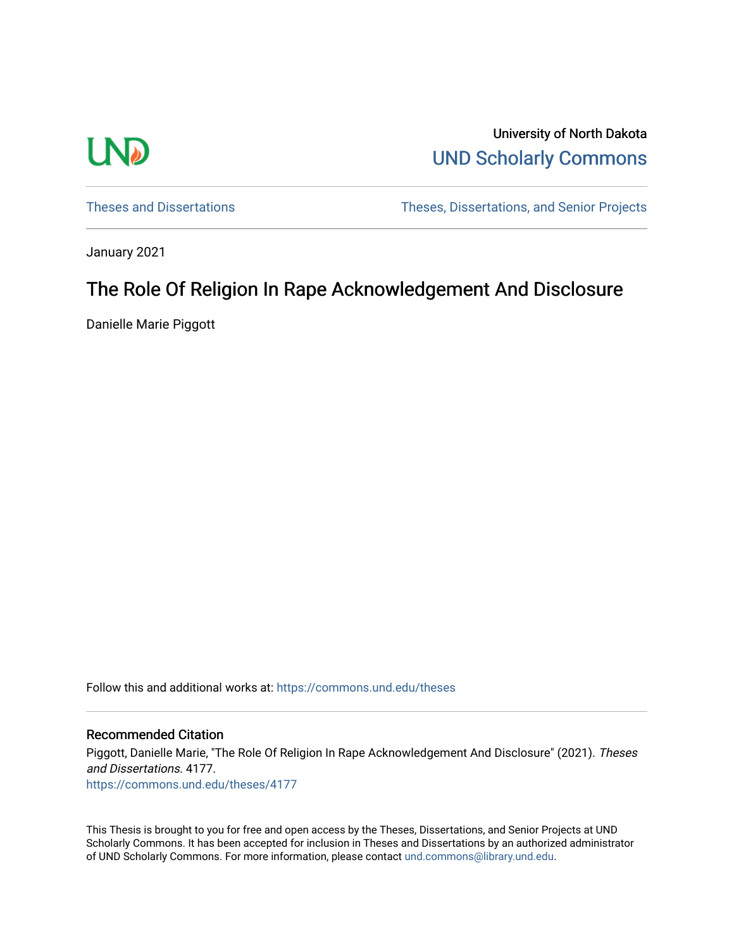

University of North Dakota [UND Scholarly Commons](https://commons.und.edu/) 

[Theses and Dissertations](https://commons.und.edu/theses) [Theses, Dissertations, and Senior Projects](https://commons.und.edu/etds) 

January 2021

# The Role Of Religion In Rape Acknowledgement And Disclosure

Danielle Marie Piggott

Follow this and additional works at: [https://commons.und.edu/theses](https://commons.und.edu/theses?utm_source=commons.und.edu%2Ftheses%2F4177&utm_medium=PDF&utm_campaign=PDFCoverPages)

### Recommended Citation

Piggott, Danielle Marie, "The Role Of Religion In Rape Acknowledgement And Disclosure" (2021). Theses and Dissertations. 4177. [https://commons.und.edu/theses/4177](https://commons.und.edu/theses/4177?utm_source=commons.und.edu%2Ftheses%2F4177&utm_medium=PDF&utm_campaign=PDFCoverPages) 

This Thesis is brought to you for free and open access by the Theses, Dissertations, and Senior Projects at UND Scholarly Commons. It has been accepted for inclusion in Theses and Dissertations by an authorized administrator of UND Scholarly Commons. For more information, please contact [und.commons@library.und.edu](mailto:und.commons@library.und.edu).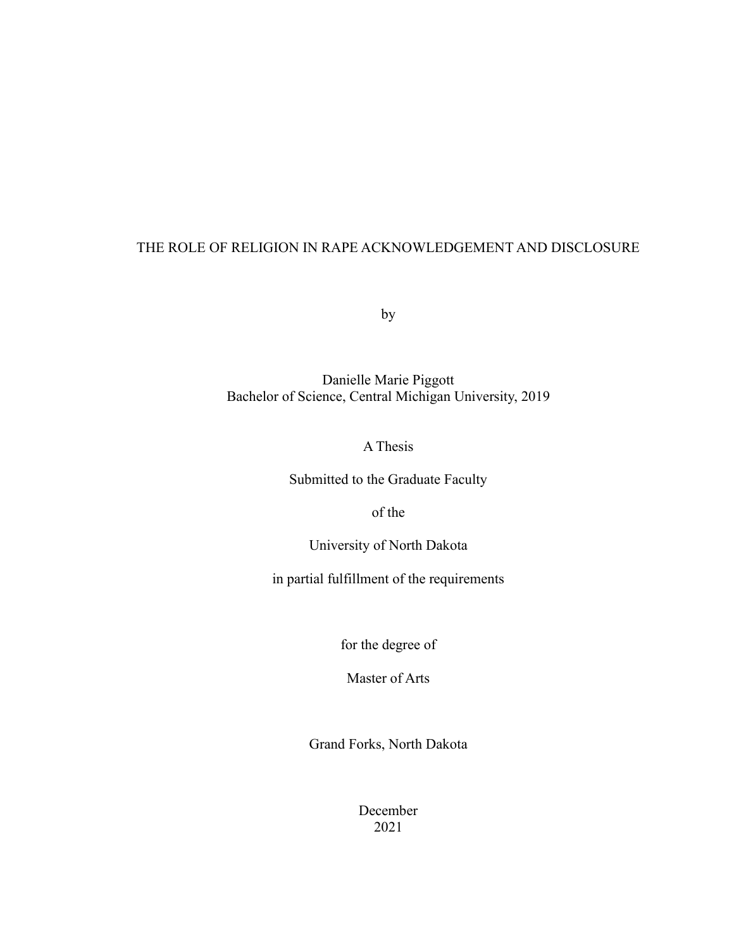## THE ROLE OF RELIGION IN RAPE ACKNOWLEDGEMENT AND DISCLOSURE

by

Danielle Marie Piggott Bachelor of Science, Central Michigan University, 2019

A Thesis

Submitted to the Graduate Faculty

of the

University of North Dakota

in partial fulfillment of the requirements

for the degree of

Master of Arts

Grand Forks, North Dakota

December 2021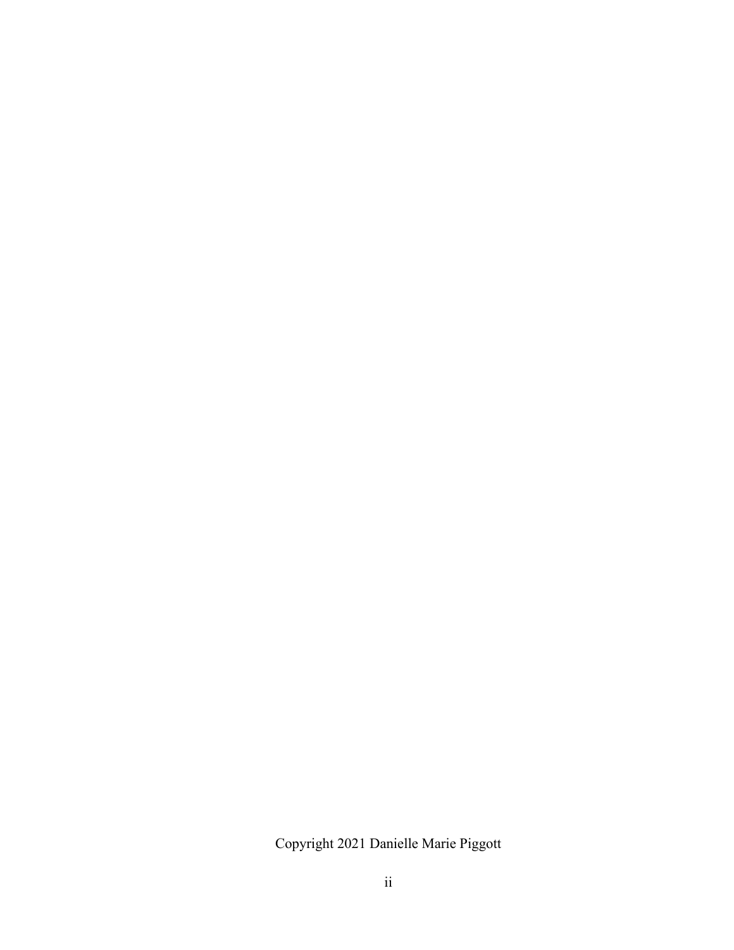Copyright 2021 Danielle Marie Piggott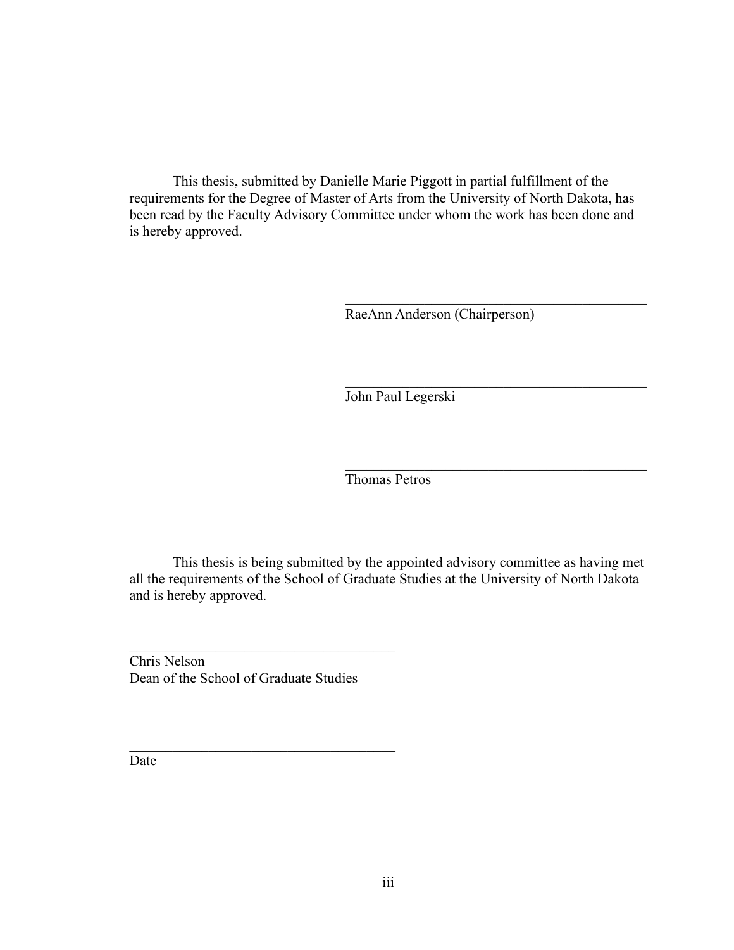This thesis, submitted by Danielle Marie Piggott in partial fulfillment of the requirements for the Degree of Master of Arts from the University of North Dakota, has been read by the Faculty Advisory Committee under whom the work has been done and is hereby approved.

RaeAnn Anderson (Chairperson)

John Paul Legerski

Thomas Petros

This thesis is being submitted by the appointed advisory committee as having met all the requirements of the School of Graduate Studies at the University of North Dakota and is hereby approved.

Chris Nelson Dean of the School of Graduate Studies

Date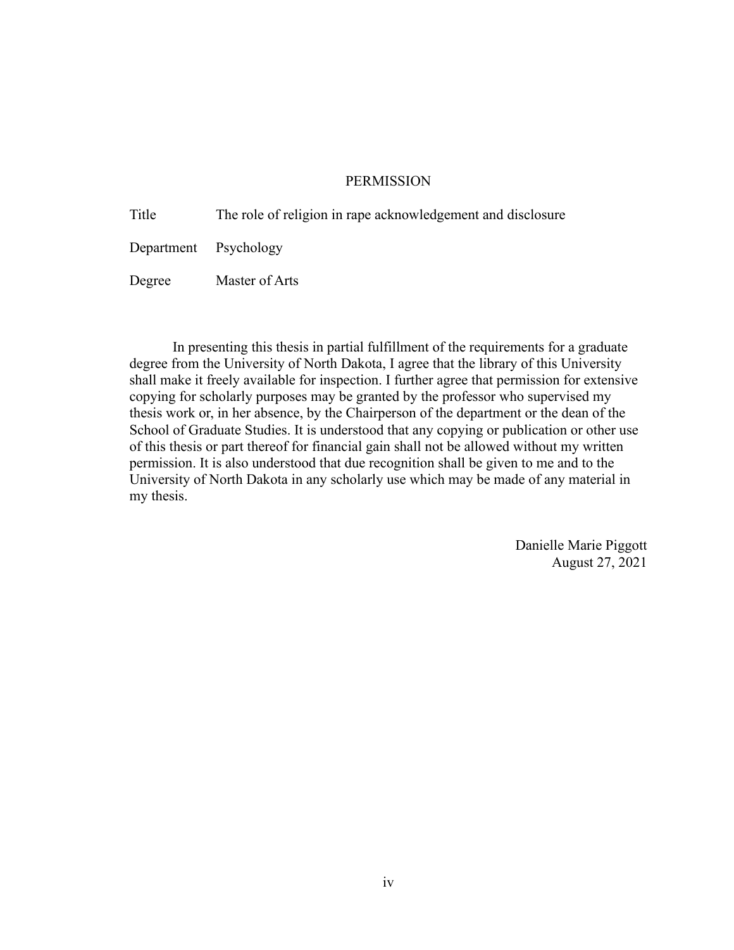## **PERMISSION**

Title The role of religion in rape acknowledgement and disclosure Department Psychology Degree Master of Arts

In presenting this thesis in partial fulfillment of the requirements for a graduate degree from the University of North Dakota, I agree that the library of this University shall make it freely available for inspection. I further agree that permission for extensive copying for scholarly purposes may be granted by the professor who supervised my thesis work or, in her absence, by the Chairperson of the department or the dean of the School of Graduate Studies. It is understood that any copying or publication or other use of this thesis or part thereof for financial gain shall not be allowed without my written permission. It is also understood that due recognition shall be given to me and to the University of North Dakota in any scholarly use which may be made of any material in my thesis.

> Danielle Marie Piggott August 27, 2021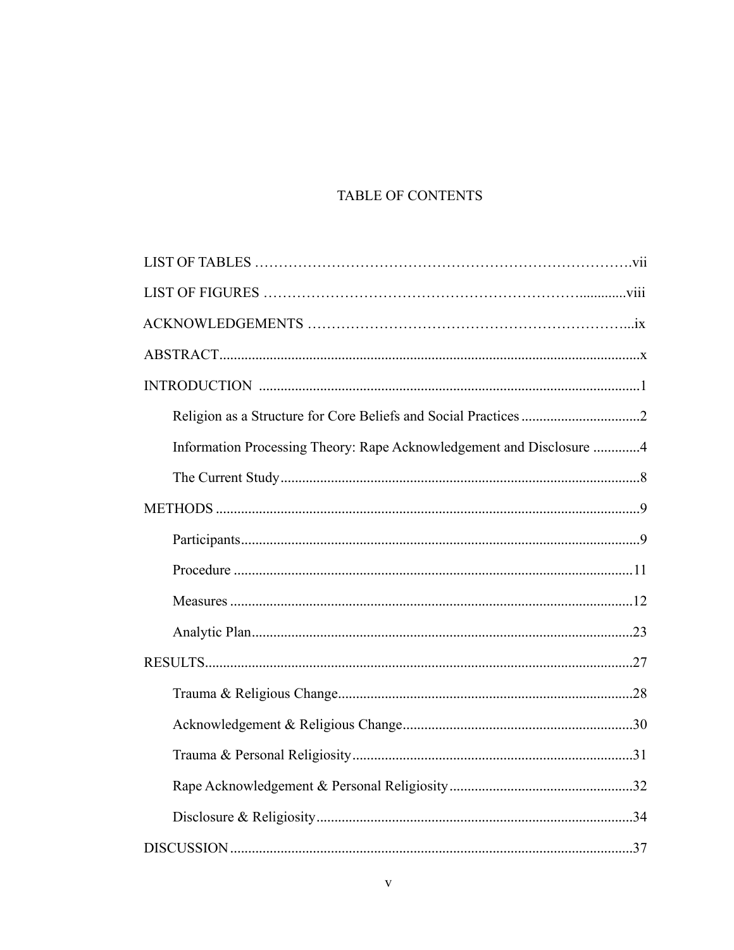## TABLE OF CONTENTS

| Information Processing Theory: Rape Acknowledgement and Disclosure 4 |  |
|----------------------------------------------------------------------|--|
|                                                                      |  |
|                                                                      |  |
|                                                                      |  |
|                                                                      |  |
|                                                                      |  |
|                                                                      |  |
|                                                                      |  |
|                                                                      |  |
|                                                                      |  |
|                                                                      |  |
|                                                                      |  |
|                                                                      |  |
|                                                                      |  |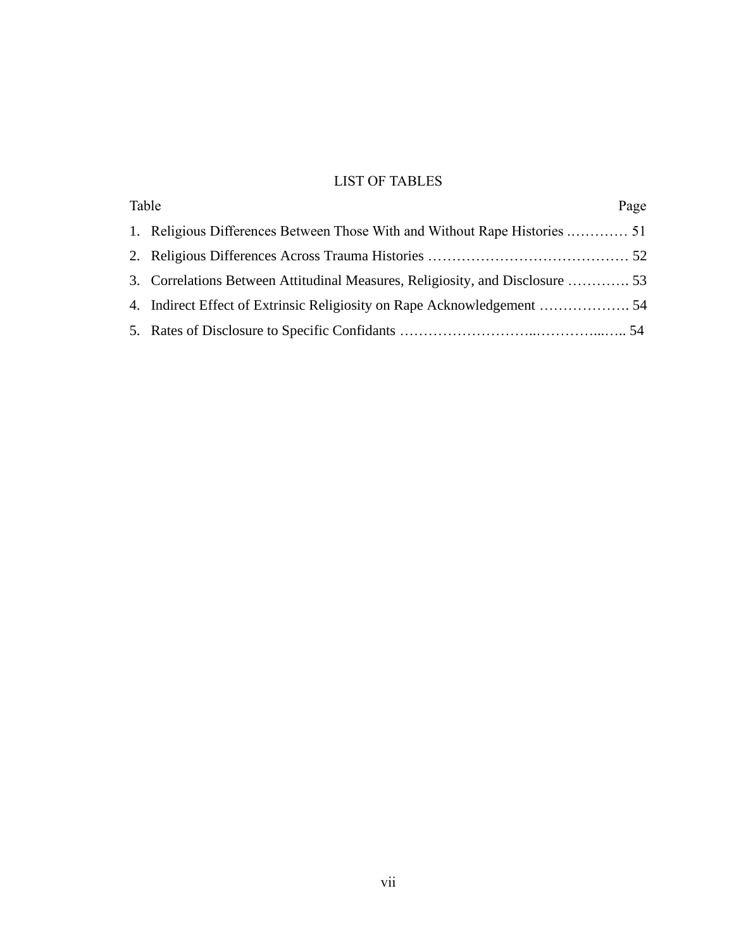## LIST OF TABLES

| Table                                                                         | Page |
|-------------------------------------------------------------------------------|------|
|                                                                               |      |
|                                                                               |      |
| 3. Correlations Between Attitudinal Measures, Religiosity, and Disclosure  53 |      |
|                                                                               |      |
|                                                                               |      |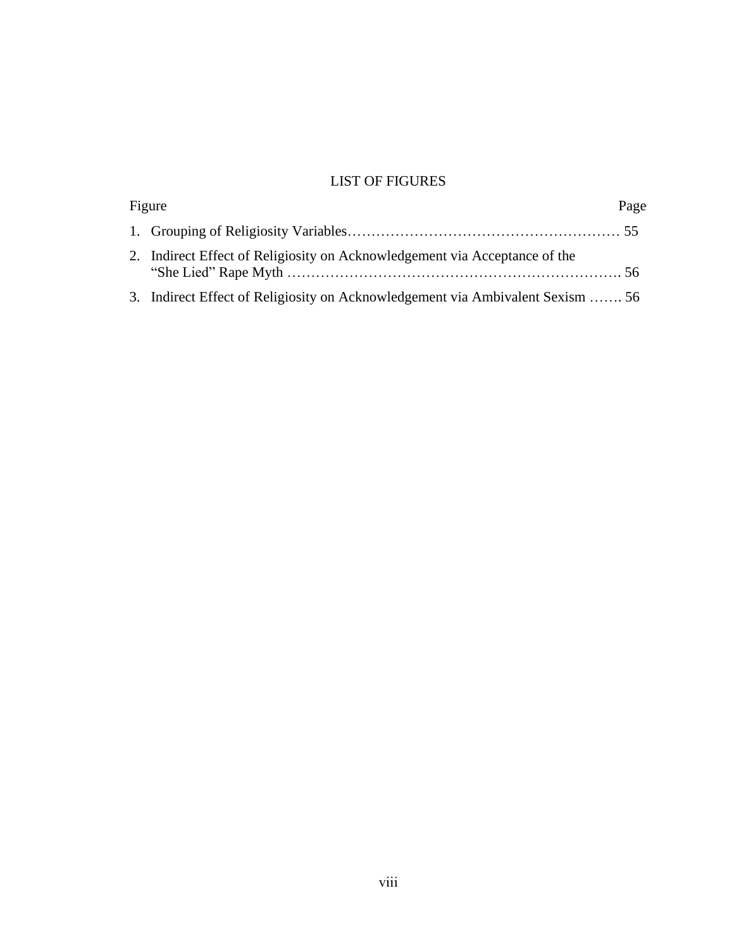## LIST OF FIGURES

| Figure                                                                         | Page |
|--------------------------------------------------------------------------------|------|
|                                                                                |      |
| 2. Indirect Effect of Religiosity on Acknowledgement via Acceptance of the     |      |
| 3. Indirect Effect of Religiosity on Acknowledgement via Ambivalent Sexism  56 |      |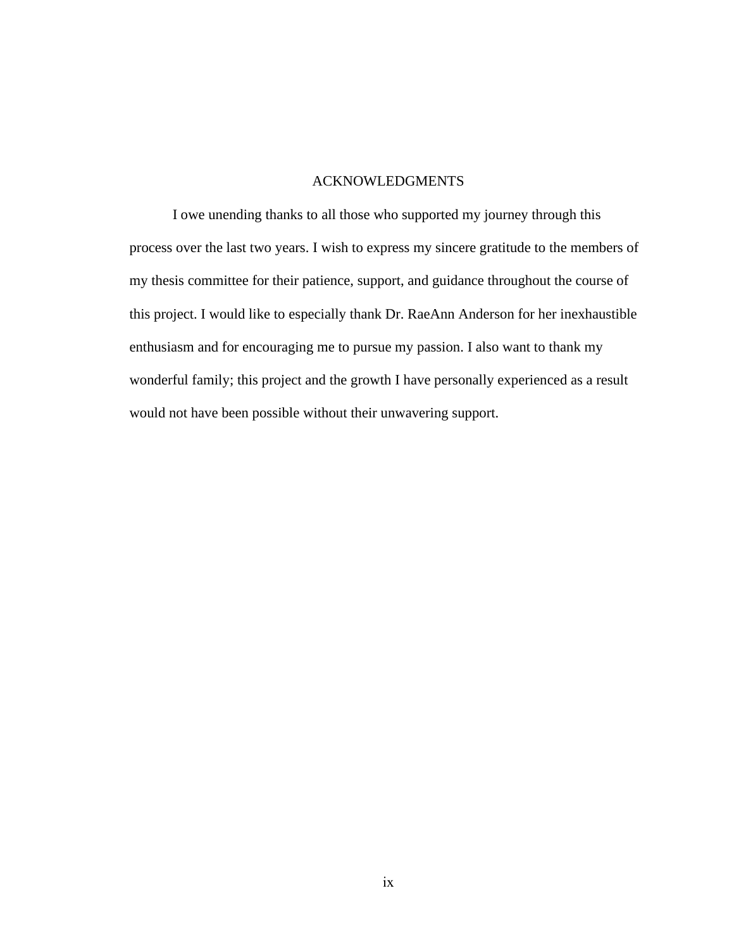## ACKNOWLEDGMENTS

I owe unending thanks to all those who supported my journey through this process over the last two years. I wish to express my sincere gratitude to the members of my thesis committee for their patience, support, and guidance throughout the course of this project. I would like to especially thank Dr. RaeAnn Anderson for her inexhaustible enthusiasm and for encouraging me to pursue my passion. I also want to thank my wonderful family; this project and the growth I have personally experienced as a result would not have been possible without their unwavering support.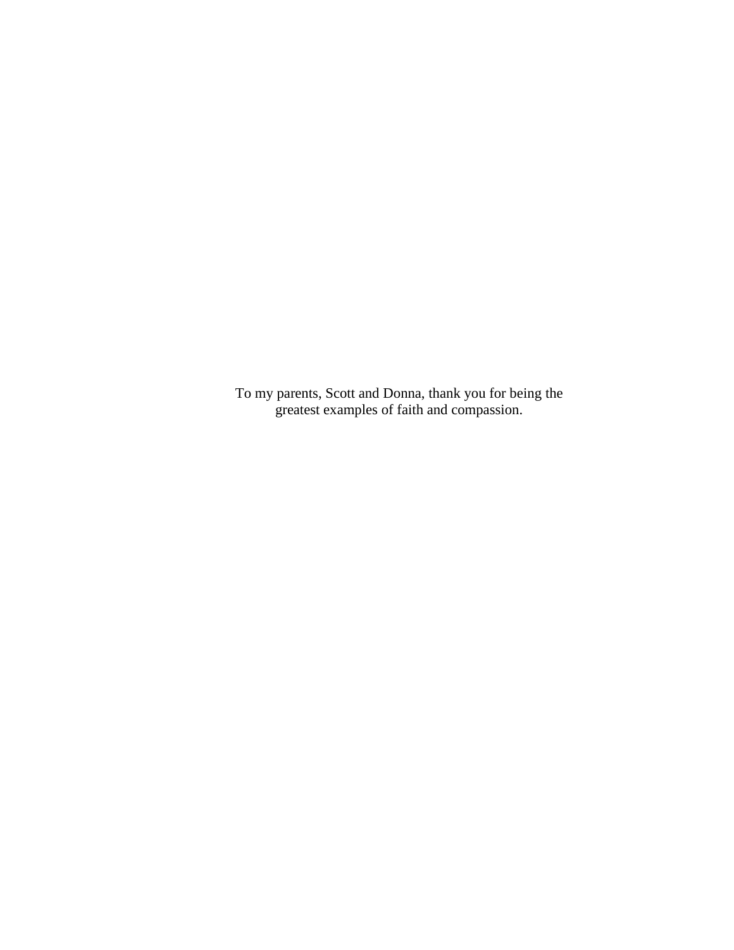To my parents, Scott and Donna, thank you for being the greatest examples of faith and compassion.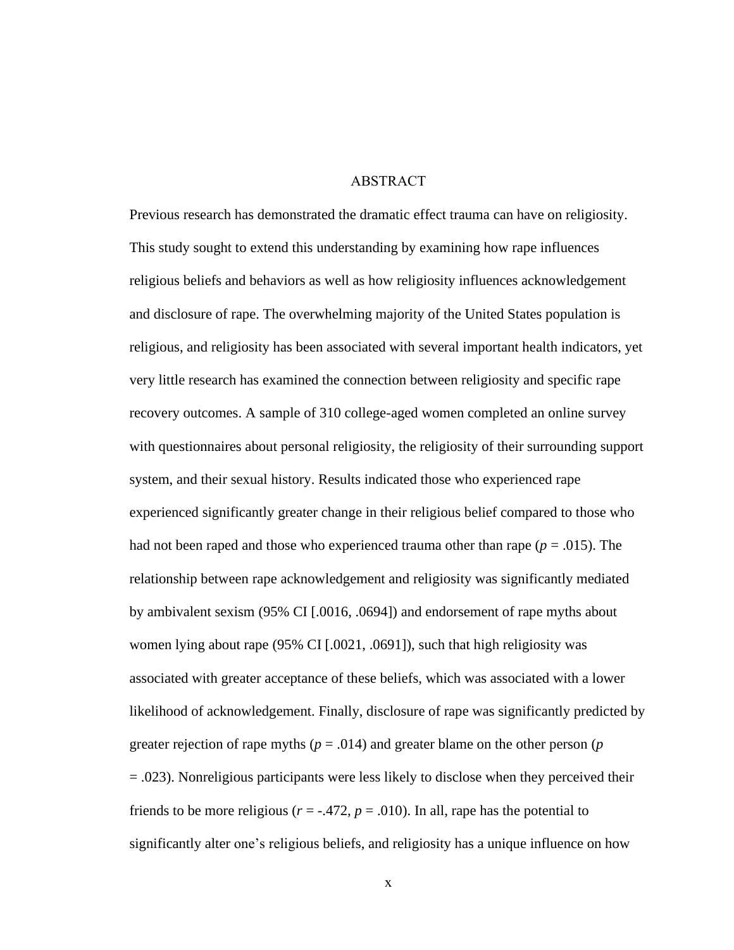## ABSTRACT

<span id="page-11-0"></span>Previous research has demonstrated the dramatic effect trauma can have on religiosity. This study sought to extend this understanding by examining how rape influences religious beliefs and behaviors as well as how religiosity influences acknowledgement and disclosure of rape. The overwhelming majority of the United States population is religious, and religiosity has been associated with several important health indicators, yet very little research has examined the connection between religiosity and specific rape recovery outcomes. A sample of 310 college-aged women completed an online survey with questionnaires about personal religiosity, the religiosity of their surrounding support system, and their sexual history. Results indicated those who experienced rape experienced significantly greater change in their religious belief compared to those who had not been raped and those who experienced trauma other than rape  $(p = .015)$ . The relationship between rape acknowledgement and religiosity was significantly mediated by ambivalent sexism (95% CI [.0016, .0694]) and endorsement of rape myths about women lying about rape (95% CI [.0021, .0691]), such that high religiosity was associated with greater acceptance of these beliefs, which was associated with a lower likelihood of acknowledgement. Finally, disclosure of rape was significantly predicted by greater rejection of rape myths ( $p = .014$ ) and greater blame on the other person ( $p$ ) = .023). Nonreligious participants were less likely to disclose when they perceived their friends to be more religious ( $r = -.472$ ,  $p = .010$ ). In all, rape has the potential to significantly alter one's religious beliefs, and religiosity has a unique influence on how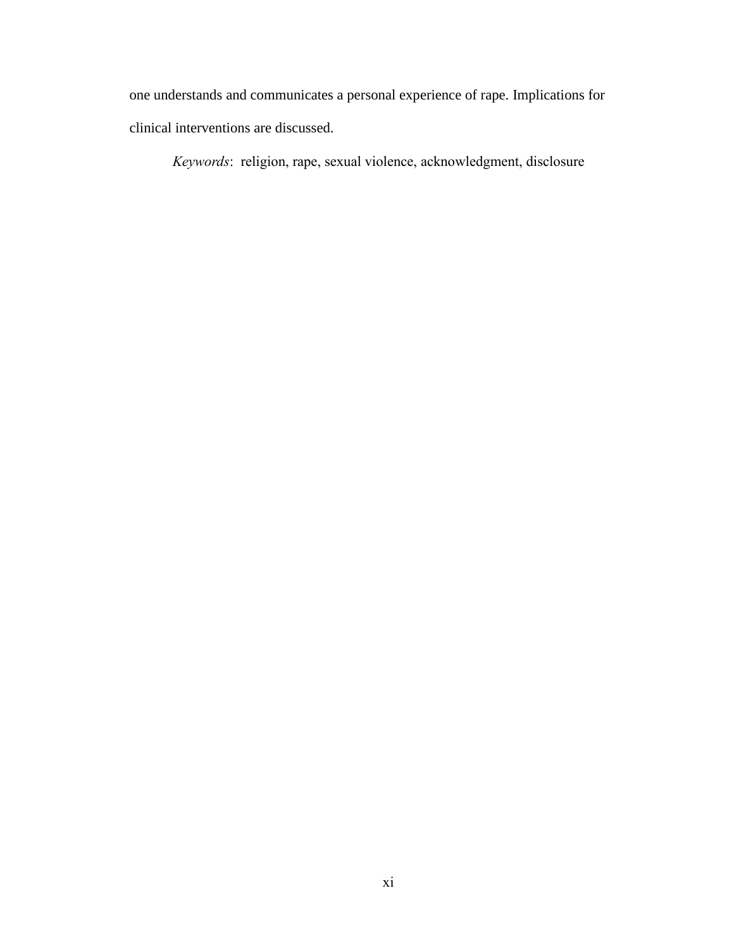one understands and communicates a personal experience of rape. Implications for clinical interventions are discussed.

*Keywords*: religion, rape, sexual violence, acknowledgment, disclosure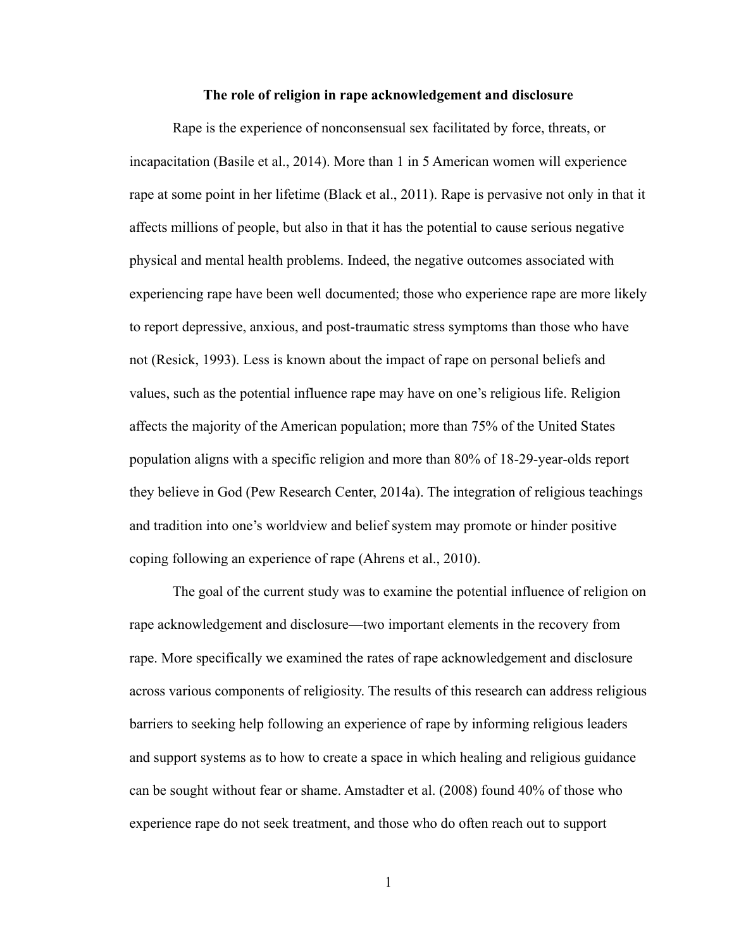#### **The role of religion in rape acknowledgement and disclosure**

<span id="page-13-0"></span>Rape is the experience of nonconsensual sex facilitated by force, threats, or incapacitation (Basile et al., 2014). More than 1 in 5 American women will experience rape at some point in her lifetime (Black et al., 2011). Rape is pervasive not only in that it affects millions of people, but also in that it has the potential to cause serious negative physical and mental health problems. Indeed, the negative outcomes associated with experiencing rape have been well documented; those who experience rape are more likely to report depressive, anxious, and post-traumatic stress symptoms than those who have not (Resick, 1993). Less is known about the impact of rape on personal beliefs and values, such as the potential influence rape may have on one's religious life. Religion affects the majority of the American population; more than 75% of the United States population aligns with a specific religion and more than 80% of 18-29-year-olds report they believe in God (Pew Research Center, 2014a). The integration of religious teachings and tradition into one's worldview and belief system may promote or hinder positive coping following an experience of rape (Ahrens et al., 2010).

The goal of the current study was to examine the potential influence of religion on rape acknowledgement and disclosure—two important elements in the recovery from rape. More specifically we examined the rates of rape acknowledgement and disclosure across various components of religiosity. The results of this research can address religious barriers to seeking help following an experience of rape by informing religious leaders and support systems as to how to create a space in which healing and religious guidance can be sought without fear or shame. Amstadter et al. (2008) found 40% of those who experience rape do not seek treatment, and those who do often reach out to support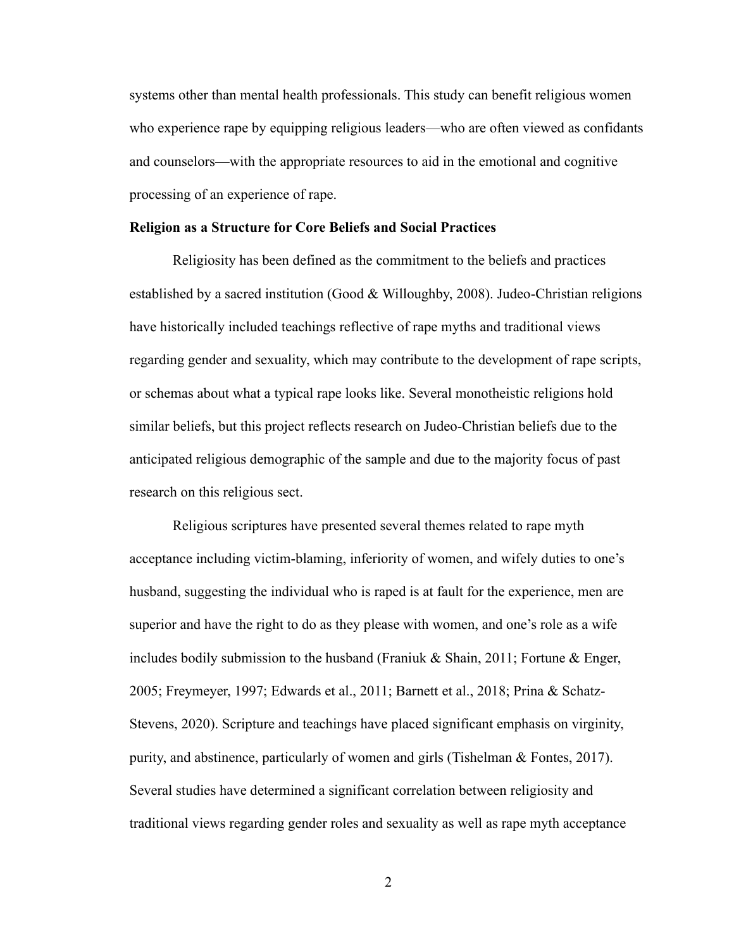systems other than mental health professionals. This study can benefit religious women who experience rape by equipping religious leaders—who are often viewed as confidants and counselors—with the appropriate resources to aid in the emotional and cognitive processing of an experience of rape.

#### <span id="page-14-0"></span>**Religion as a Structure for Core Beliefs and Social Practices**

Religiosity has been defined as the commitment to the beliefs and practices established by a sacred institution (Good & Willoughby, 2008). Judeo-Christian religions have historically included teachings reflective of rape myths and traditional views regarding gender and sexuality, which may contribute to the development of rape scripts, or schemas about what a typical rape looks like. Several monotheistic religions hold similar beliefs, but this project reflects research on Judeo-Christian beliefs due to the anticipated religious demographic of the sample and due to the majority focus of past research on this religious sect.

Religious scriptures have presented several themes related to rape myth acceptance including victim-blaming, inferiority of women, and wifely duties to one's husband, suggesting the individual who is raped is at fault for the experience, men are superior and have the right to do as they please with women, and one's role as a wife includes bodily submission to the husband (Franiuk & Shain, 2011; Fortune & Enger, 2005; Freymeyer, 1997; Edwards et al., 2011; Barnett et al., 2018; Prina & Schatz-Stevens, 2020). Scripture and teachings have placed significant emphasis on virginity, purity, and abstinence, particularly of women and girls (Tishelman & Fontes, 2017). Several studies have determined a significant correlation between religiosity and traditional views regarding gender roles and sexuality as well as rape myth acceptance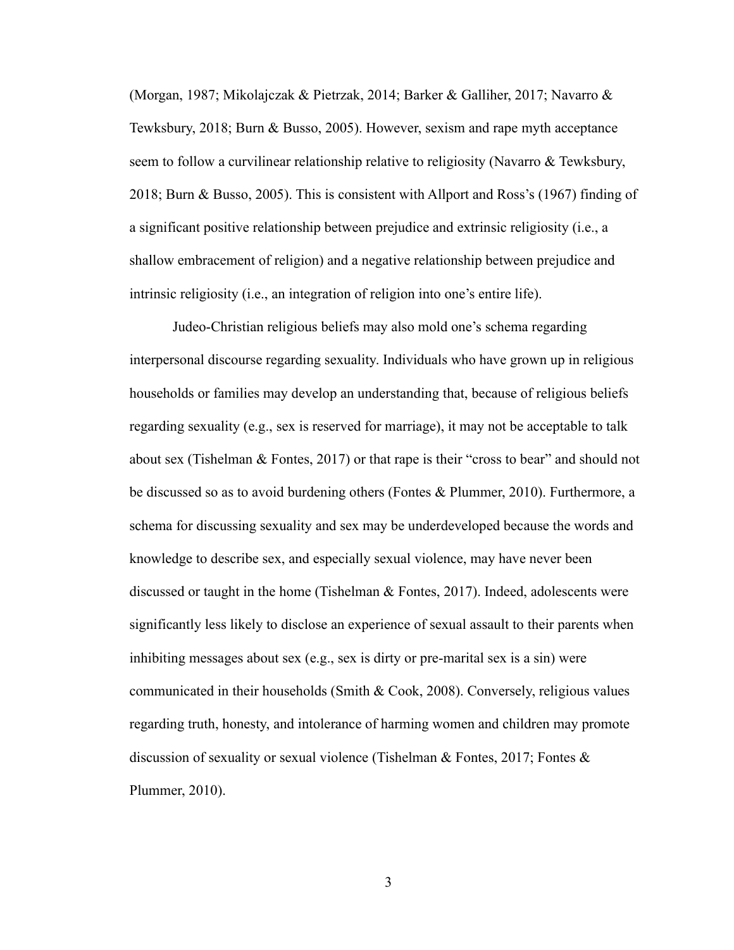(Morgan, 1987; Mikolajczak & Pietrzak, 2014; Barker & Galliher, 2017; Navarro & Tewksbury, 2018; Burn & Busso, 2005). However, sexism and rape myth acceptance seem to follow a curvilinear relationship relative to religiosity (Navarro  $\&$  Tewksbury, 2018; Burn & Busso, 2005). This is consistent with Allport and Ross's (1967) finding of a significant positive relationship between prejudice and extrinsic religiosity (i.e., a shallow embracement of religion) and a negative relationship between prejudice and intrinsic religiosity (i.e., an integration of religion into one's entire life).

Judeo-Christian religious beliefs may also mold one's schema regarding interpersonal discourse regarding sexuality. Individuals who have grown up in religious households or families may develop an understanding that, because of religious beliefs regarding sexuality (e.g., sex is reserved for marriage), it may not be acceptable to talk about sex (Tishelman & Fontes, 2017) or that rape is their "cross to bear" and should not be discussed so as to avoid burdening others (Fontes & Plummer, 2010). Furthermore, a schema for discussing sexuality and sex may be underdeveloped because the words and knowledge to describe sex, and especially sexual violence, may have never been discussed or taught in the home (Tishelman  $\&$  Fontes, 2017). Indeed, adolescents were significantly less likely to disclose an experience of sexual assault to their parents when inhibiting messages about sex (e.g., sex is dirty or pre-marital sex is a sin) were communicated in their households (Smith & Cook, 2008). Conversely, religious values regarding truth, honesty, and intolerance of harming women and children may promote discussion of sexuality or sexual violence (Tishelman & Fontes, 2017; Fontes & Plummer, 2010).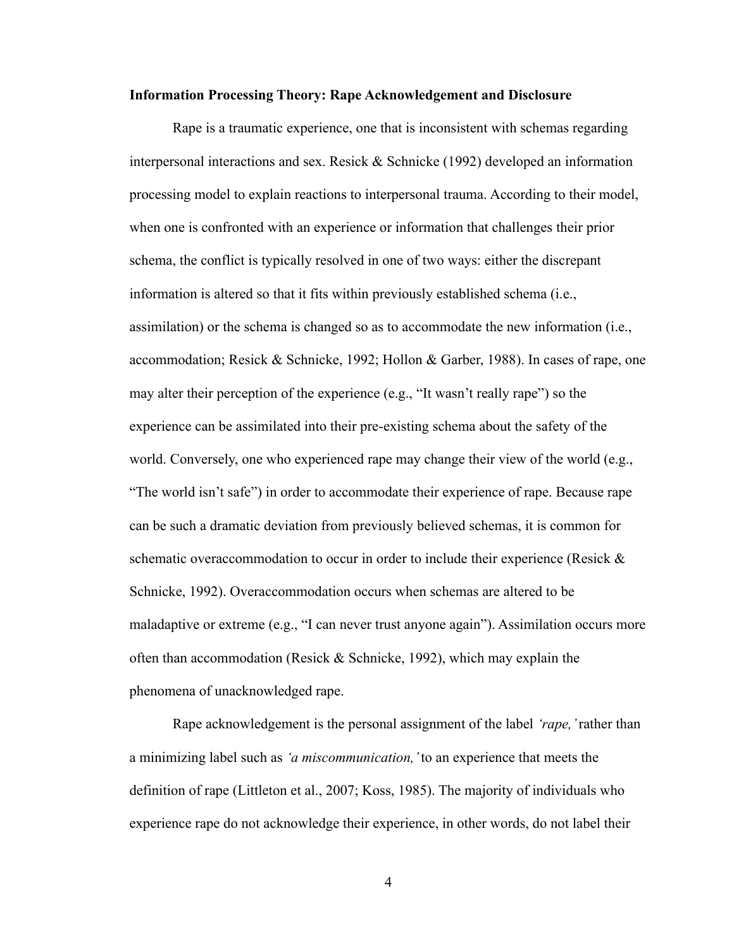## <span id="page-16-0"></span>**Information Processing Theory: Rape Acknowledgement and Disclosure**

Rape is a traumatic experience, one that is inconsistent with schemas regarding interpersonal interactions and sex. Resick & Schnicke (1992) developed an information processing model to explain reactions to interpersonal trauma. According to their model, when one is confronted with an experience or information that challenges their prior schema, the conflict is typically resolved in one of two ways: either the discrepant information is altered so that it fits within previously established schema (i.e., assimilation) or the schema is changed so as to accommodate the new information (i.e., accommodation; Resick & Schnicke, 1992; Hollon & Garber, 1988). In cases of rape, one may alter their perception of the experience (e.g., "It wasn't really rape") so the experience can be assimilated into their pre-existing schema about the safety of the world. Conversely, one who experienced rape may change their view of the world (e.g., "The world isn't safe") in order to accommodate their experience of rape. Because rape can be such a dramatic deviation from previously believed schemas, it is common for schematic overaccommodation to occur in order to include their experience (Resick & Schnicke, 1992). Overaccommodation occurs when schemas are altered to be maladaptive or extreme (e.g., "I can never trust anyone again"). Assimilation occurs more often than accommodation (Resick  $&$  Schnicke, 1992), which may explain the phenomena of unacknowledged rape.

Rape acknowledgement is the personal assignment of the label *'rape,'* rather than a minimizing label such as *'a miscommunication,'* to an experience that meets the definition of rape (Littleton et al., 2007; Koss, 1985). The majority of individuals who experience rape do not acknowledge their experience, in other words, do not label their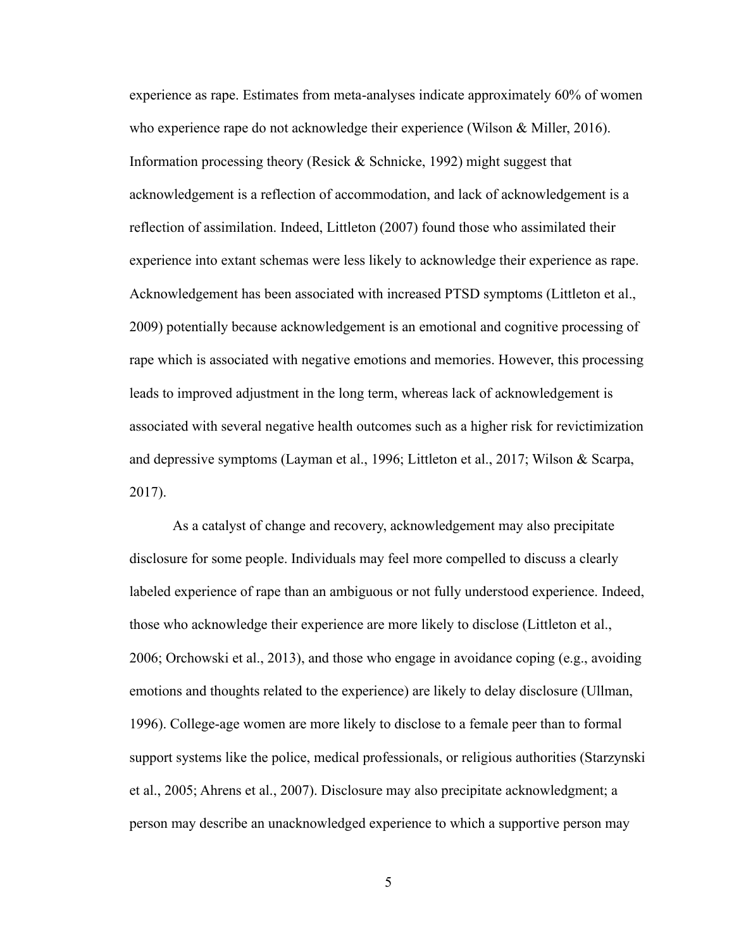experience as rape. Estimates from meta-analyses indicate approximately 60% of women who experience rape do not acknowledge their experience (Wilson & Miller, 2016). Information processing theory (Resick & Schnicke, 1992) might suggest that acknowledgement is a reflection of accommodation, and lack of acknowledgement is a reflection of assimilation. Indeed, Littleton (2007) found those who assimilated their experience into extant schemas were less likely to acknowledge their experience as rape. Acknowledgement has been associated with increased PTSD symptoms (Littleton et al., 2009) potentially because acknowledgement is an emotional and cognitive processing of rape which is associated with negative emotions and memories. However, this processing leads to improved adjustment in the long term, whereas lack of acknowledgement is associated with several negative health outcomes such as a higher risk for revictimization and depressive symptoms (Layman et al., 1996; Littleton et al., 2017; Wilson & Scarpa, 2017).

As a catalyst of change and recovery, acknowledgement may also precipitate disclosure for some people. Individuals may feel more compelled to discuss a clearly labeled experience of rape than an ambiguous or not fully understood experience. Indeed, those who acknowledge their experience are more likely to disclose (Littleton et al., 2006; Orchowski et al., 2013), and those who engage in avoidance coping (e.g., avoiding emotions and thoughts related to the experience) are likely to delay disclosure (Ullman, 1996). College-age women are more likely to disclose to a female peer than to formal support systems like the police, medical professionals, or religious authorities (Starzynski et al., 2005; Ahrens et al., 2007). Disclosure may also precipitate acknowledgment; a person may describe an unacknowledged experience to which a supportive person may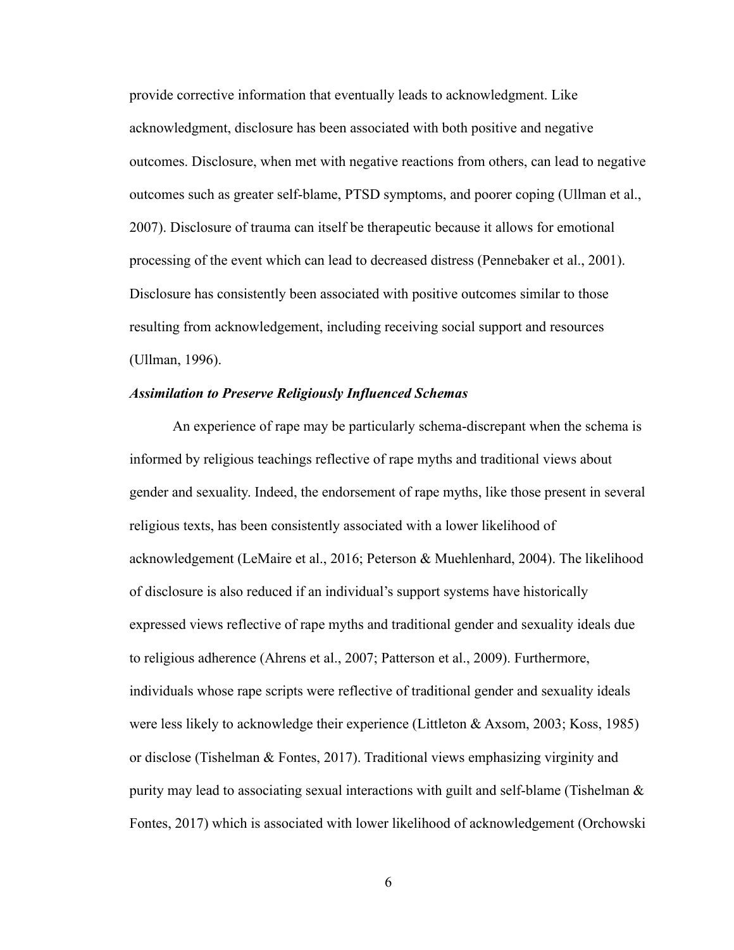provide corrective information that eventually leads to acknowledgment. Like acknowledgment, disclosure has been associated with both positive and negative outcomes. Disclosure, when met with negative reactions from others, can lead to negative outcomes such as greater self-blame, PTSD symptoms, and poorer coping (Ullman et al., 2007). Disclosure of trauma can itself be therapeutic because it allows for emotional processing of the event which can lead to decreased distress (Pennebaker et al., 2001). Disclosure has consistently been associated with positive outcomes similar to those resulting from acknowledgement, including receiving social support and resources (Ullman, 1996).

#### *Assimilation to Preserve Religiously Influenced Schemas*

An experience of rape may be particularly schema-discrepant when the schema is informed by religious teachings reflective of rape myths and traditional views about gender and sexuality. Indeed, the endorsement of rape myths, like those present in several religious texts, has been consistently associated with a lower likelihood of acknowledgement (LeMaire et al., 2016; Peterson & Muehlenhard, 2004). The likelihood of disclosure is also reduced if an individual's support systems have historically expressed views reflective of rape myths and traditional gender and sexuality ideals due to religious adherence (Ahrens et al., 2007; Patterson et al., 2009). Furthermore, individuals whose rape scripts were reflective of traditional gender and sexuality ideals were less likely to acknowledge their experience (Littleton & Axsom, 2003; Koss, 1985) or disclose (Tishelman & Fontes, 2017). Traditional views emphasizing virginity and purity may lead to associating sexual interactions with guilt and self-blame (Tishelman & Fontes, 2017) which is associated with lower likelihood of acknowledgement (Orchowski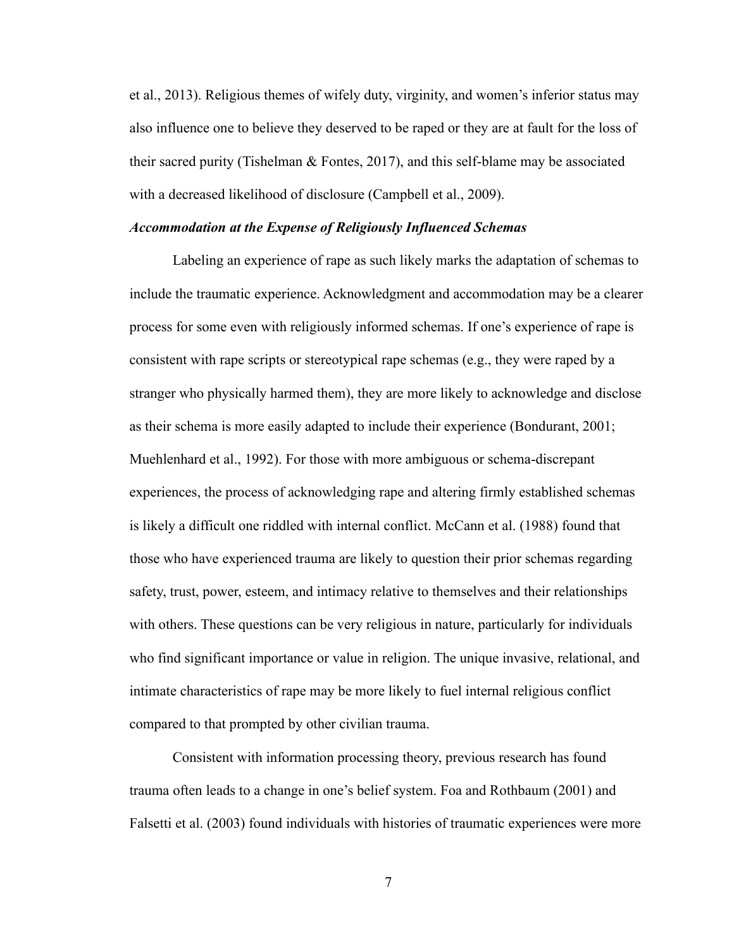et al., 2013). Religious themes of wifely duty, virginity, and women's inferior status may also influence one to believe they deserved to be raped or they are at fault for the loss of their sacred purity (Tishelman & Fontes, 2017), and this self-blame may be associated with a decreased likelihood of disclosure (Campbell et al., 2009).

#### *Accommodation at the Expense of Religiously Influenced Schemas*

Labeling an experience of rape as such likely marks the adaptation of schemas to include the traumatic experience. Acknowledgment and accommodation may be a clearer process for some even with religiously informed schemas. If one's experience of rape is consistent with rape scripts or stereotypical rape schemas (e.g., they were raped by a stranger who physically harmed them), they are more likely to acknowledge and disclose as their schema is more easily adapted to include their experience (Bondurant, 2001; Muehlenhard et al., 1992). For those with more ambiguous or schema-discrepant experiences, the process of acknowledging rape and altering firmly established schemas is likely a difficult one riddled with internal conflict. McCann et al. (1988) found that those who have experienced trauma are likely to question their prior schemas regarding safety, trust, power, esteem, and intimacy relative to themselves and their relationships with others. These questions can be very religious in nature, particularly for individuals who find significant importance or value in religion. The unique invasive, relational, and intimate characteristics of rape may be more likely to fuel internal religious conflict compared to that prompted by other civilian trauma.

Consistent with information processing theory, previous research has found trauma often leads to a change in one's belief system. Foa and Rothbaum (2001) and Falsetti et al. (2003) found individuals with histories of traumatic experiences were more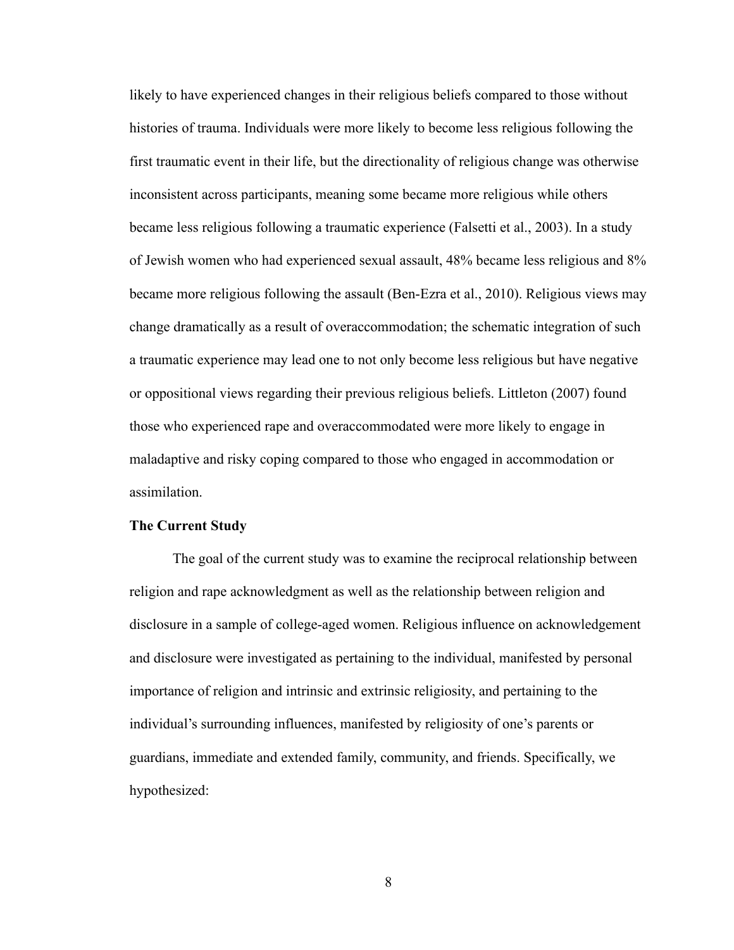likely to have experienced changes in their religious beliefs compared to those without histories of trauma. Individuals were more likely to become less religious following the first traumatic event in their life, but the directionality of religious change was otherwise inconsistent across participants, meaning some became more religious while others became less religious following a traumatic experience (Falsetti et al., 2003). In a study of Jewish women who had experienced sexual assault, 48% became less religious and 8% became more religious following the assault (Ben-Ezra et al., 2010). Religious views may change dramatically as a result of overaccommodation; the schematic integration of such a traumatic experience may lead one to not only become less religious but have negative or oppositional views regarding their previous religious beliefs. Littleton (2007) found those who experienced rape and overaccommodated were more likely to engage in maladaptive and risky coping compared to those who engaged in accommodation or assimilation.

### <span id="page-20-0"></span>**The Current Study**

The goal of the current study was to examine the reciprocal relationship between religion and rape acknowledgment as well as the relationship between religion and disclosure in a sample of college-aged women. Religious influence on acknowledgement and disclosure were investigated as pertaining to the individual, manifested by personal importance of religion and intrinsic and extrinsic religiosity, and pertaining to the individual's surrounding influences, manifested by religiosity of one's parents or guardians, immediate and extended family, community, and friends. Specifically, we hypothesized: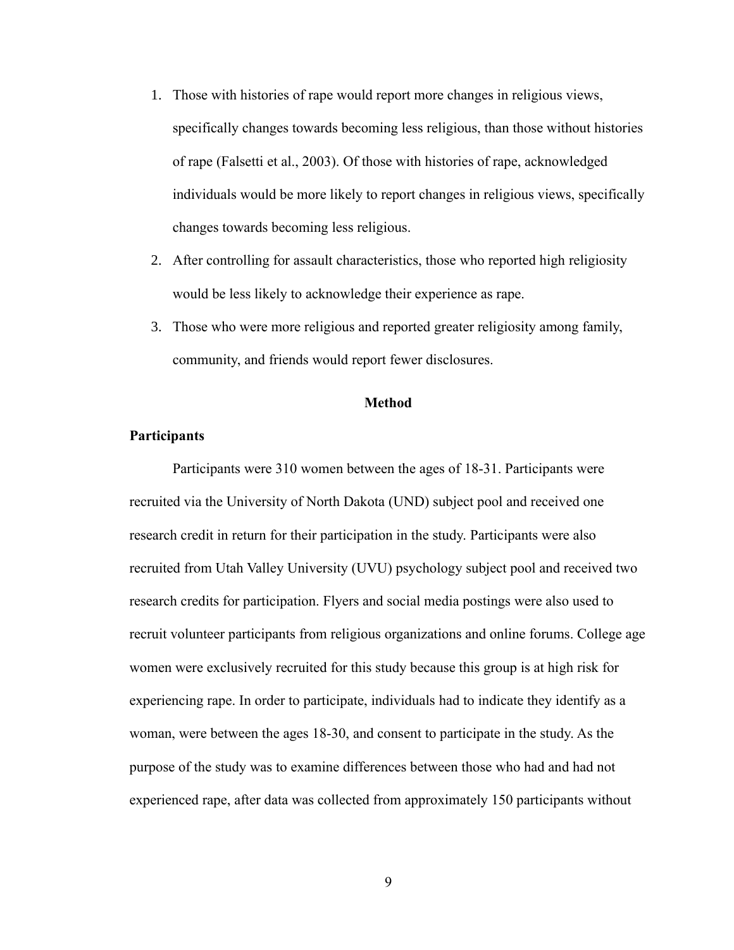- 1. Those with histories of rape would report more changes in religious views, specifically changes towards becoming less religious, than those without histories of rape (Falsetti et al., 2003). Of those with histories of rape, acknowledged individuals would be more likely to report changes in religious views, specifically changes towards becoming less religious.
- 2. After controlling for assault characteristics, those who reported high religiosity would be less likely to acknowledge their experience as rape.
- 3. Those who were more religious and reported greater religiosity among family, community, and friends would report fewer disclosures.

### **Method**

## <span id="page-21-1"></span><span id="page-21-0"></span>**Participants**

Participants were 310 women between the ages of 18-31. Participants were recruited via the University of North Dakota (UND) subject pool and received one research credit in return for their participation in the study. Participants were also recruited from Utah Valley University (UVU) psychology subject pool and received two research credits for participation. Flyers and social media postings were also used to recruit volunteer participants from religious organizations and online forums. College age women were exclusively recruited for this study because this group is at high risk for experiencing rape. In order to participate, individuals had to indicate they identify as a woman, were between the ages 18-30, and consent to participate in the study. As the purpose of the study was to examine differences between those who had and had not experienced rape, after data was collected from approximately 150 participants without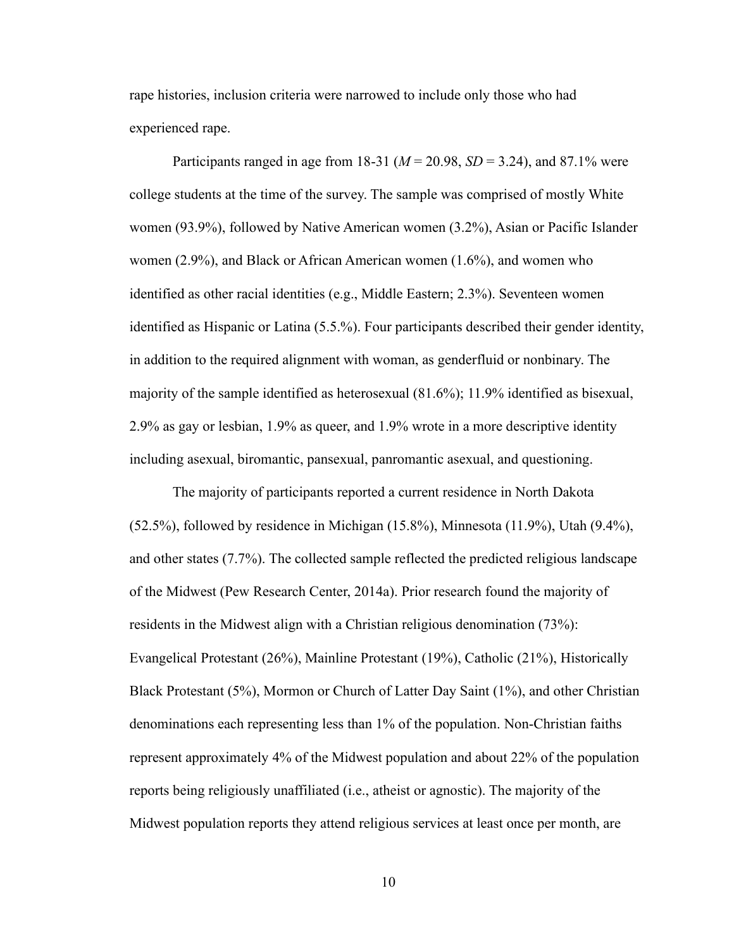rape histories, inclusion criteria were narrowed to include only those who had experienced rape.

Participants ranged in age from 18-31 ( $M = 20.98$ ,  $SD = 3.24$ ), and 87.1% were college students at the time of the survey. The sample was comprised of mostly White women (93.9%), followed by Native American women (3.2%), Asian or Pacific Islander women (2.9%), and Black or African American women (1.6%), and women who identified as other racial identities (e.g., Middle Eastern; 2.3%). Seventeen women identified as Hispanic or Latina (5.5.%). Four participants described their gender identity, in addition to the required alignment with woman, as genderfluid or nonbinary. The majority of the sample identified as heterosexual (81.6%); 11.9% identified as bisexual, 2.9% as gay or lesbian, 1.9% as queer, and 1.9% wrote in a more descriptive identity including asexual, biromantic, pansexual, panromantic asexual, and questioning.

The majority of participants reported a current residence in North Dakota (52.5%), followed by residence in Michigan (15.8%), Minnesota (11.9%), Utah (9.4%), and other states (7.7%). The collected sample reflected the predicted religious landscape of the Midwest (Pew Research Center, 2014a). Prior research found the majority of residents in the Midwest align with a Christian religious denomination (73%): Evangelical Protestant (26%), Mainline Protestant (19%), Catholic (21%), Historically Black Protestant (5%), Mormon or Church of Latter Day Saint (1%), and other Christian denominations each representing less than 1% of the population. Non-Christian faiths represent approximately 4% of the Midwest population and about 22% of the population reports being religiously unaffiliated (i.e., atheist or agnostic). The majority of the Midwest population reports they attend religious services at least once per month, are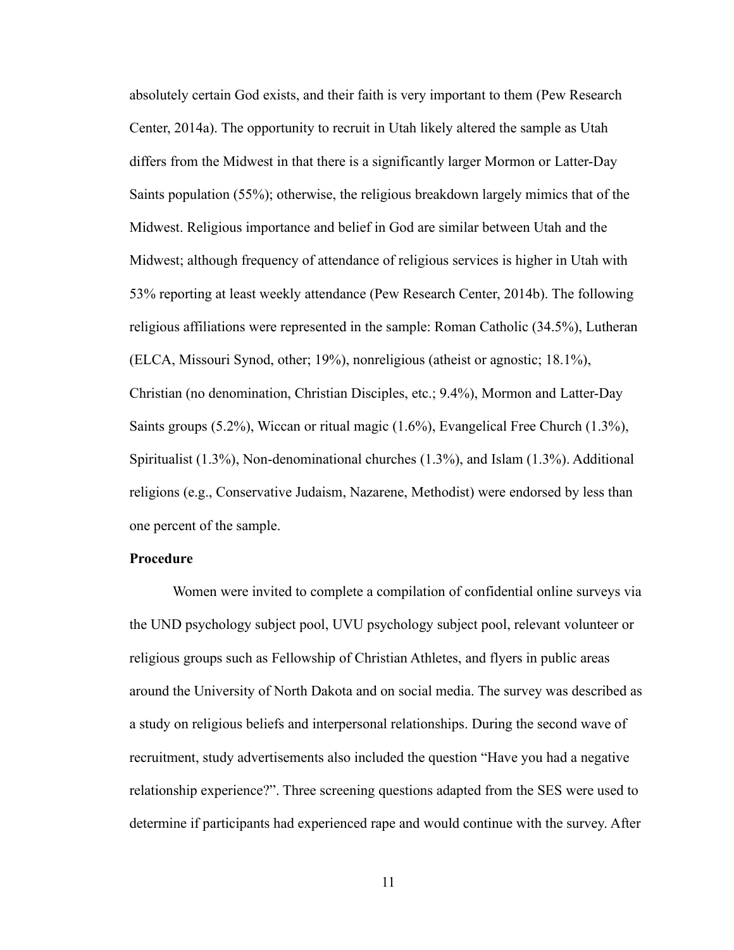absolutely certain God exists, and their faith is very important to them (Pew Research Center, 2014a). The opportunity to recruit in Utah likely altered the sample as Utah differs from the Midwest in that there is a significantly larger Mormon or Latter-Day Saints population (55%); otherwise, the religious breakdown largely mimics that of the Midwest. Religious importance and belief in God are similar between Utah and the Midwest; although frequency of attendance of religious services is higher in Utah with 53% reporting at least weekly attendance (Pew Research Center, 2014b). The following religious affiliations were represented in the sample: Roman Catholic (34.5%), Lutheran (ELCA, Missouri Synod, other; 19%), nonreligious (atheist or agnostic; 18.1%), Christian (no denomination, Christian Disciples, etc.; 9.4%), Mormon and Latter-Day Saints groups (5.2%), Wiccan or ritual magic (1.6%), Evangelical Free Church (1.3%), Spiritualist (1.3%), Non-denominational churches (1.3%), and Islam (1.3%). Additional religions (e.g., Conservative Judaism, Nazarene, Methodist) were endorsed by less than one percent of the sample.

## <span id="page-23-0"></span>**Procedure**

Women were invited to complete a compilation of confidential online surveys via the UND psychology subject pool, UVU psychology subject pool, relevant volunteer or religious groups such as Fellowship of Christian Athletes, and flyers in public areas around the University of North Dakota and on social media. The survey was described as a study on religious beliefs and interpersonal relationships. During the second wave of recruitment, study advertisements also included the question "Have you had a negative relationship experience?". Three screening questions adapted from the SES were used to determine if participants had experienced rape and would continue with the survey. After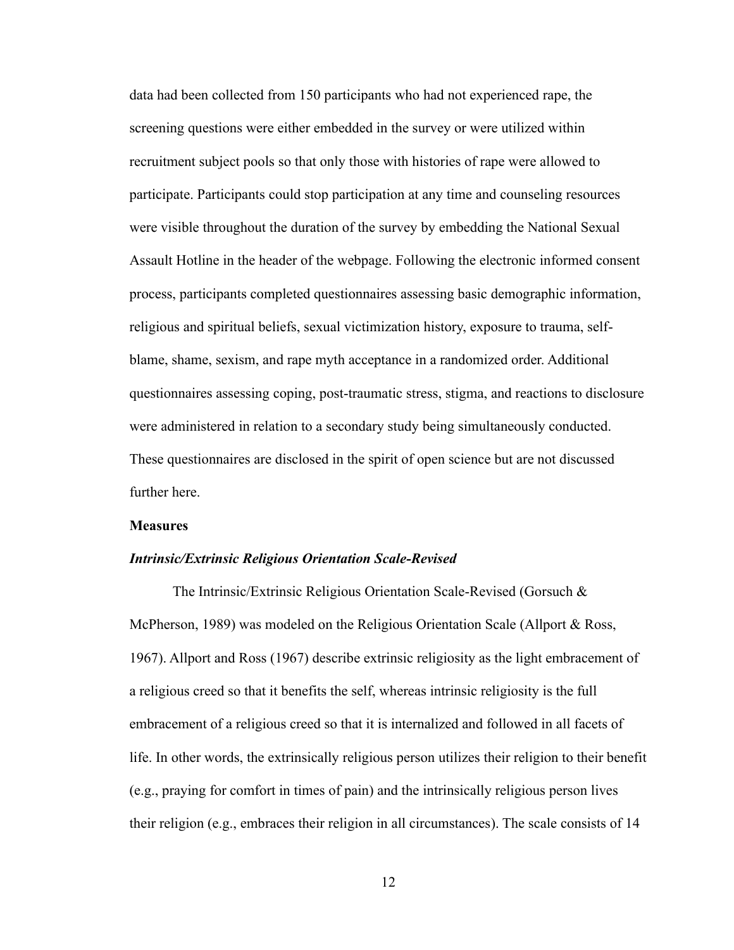data had been collected from 150 participants who had not experienced rape, the screening questions were either embedded in the survey or were utilized within recruitment subject pools so that only those with histories of rape were allowed to participate. Participants could stop participation at any time and counseling resources were visible throughout the duration of the survey by embedding the National Sexual Assault Hotline in the header of the webpage. Following the electronic informed consent process, participants completed questionnaires assessing basic demographic information, religious and spiritual beliefs, sexual victimization history, exposure to trauma, selfblame, shame, sexism, and rape myth acceptance in a randomized order. Additional questionnaires assessing coping, post-traumatic stress, stigma, and reactions to disclosure were administered in relation to a secondary study being simultaneously conducted. These questionnaires are disclosed in the spirit of open science but are not discussed further here.

#### <span id="page-24-0"></span>**Measures**

#### *Intrinsic/Extrinsic Religious Orientation Scale-Revised*

The Intrinsic/Extrinsic Religious Orientation Scale-Revised (Gorsuch & McPherson, 1989) was modeled on the Religious Orientation Scale (Allport & Ross, 1967). Allport and Ross (1967) describe extrinsic religiosity as the light embracement of a religious creed so that it benefits the self, whereas intrinsic religiosity is the full embracement of a religious creed so that it is internalized and followed in all facets of life. In other words, the extrinsically religious person utilizes their religion to their benefit (e.g., praying for comfort in times of pain) and the intrinsically religious person lives their religion (e.g., embraces their religion in all circumstances). The scale consists of 14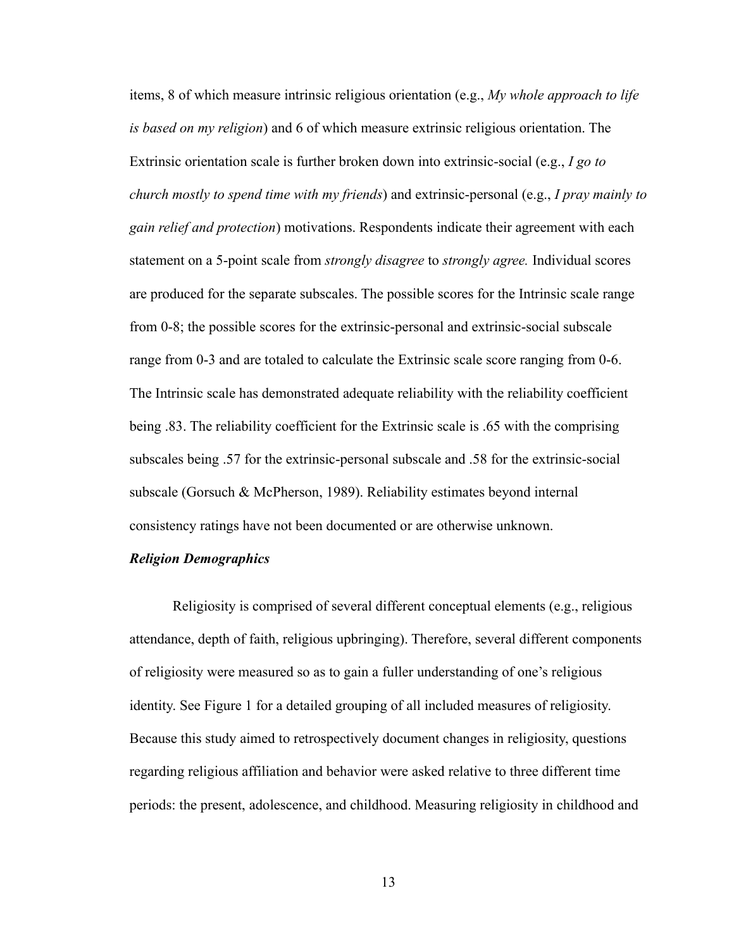items, 8 of which measure intrinsic religious orientation (e.g., *My whole approach to life is based on my religion*) and 6 of which measure extrinsic religious orientation. The Extrinsic orientation scale is further broken down into extrinsic-social (e.g., *I go to church mostly to spend time with my friends*) and extrinsic-personal (e.g., *I pray mainly to gain relief and protection*) motivations. Respondents indicate their agreement with each statement on a 5-point scale from *strongly disagree* to *strongly agree.* Individual scores are produced for the separate subscales. The possible scores for the Intrinsic scale range from 0-8; the possible scores for the extrinsic-personal and extrinsic-social subscale range from 0-3 and are totaled to calculate the Extrinsic scale score ranging from 0-6. The Intrinsic scale has demonstrated adequate reliability with the reliability coefficient being .83. The reliability coefficient for the Extrinsic scale is .65 with the comprising subscales being .57 for the extrinsic-personal subscale and .58 for the extrinsic-social subscale (Gorsuch & McPherson, 1989). Reliability estimates beyond internal consistency ratings have not been documented or are otherwise unknown.

## *Religion Demographics*

Religiosity is comprised of several different conceptual elements (e.g., religious attendance, depth of faith, religious upbringing). Therefore, several different components of religiosity were measured so as to gain a fuller understanding of one's religious identity. See Figure 1 for a detailed grouping of all included measures of religiosity. Because this study aimed to retrospectively document changes in religiosity, questions regarding religious affiliation and behavior were asked relative to three different time periods: the present, adolescence, and childhood. Measuring religiosity in childhood and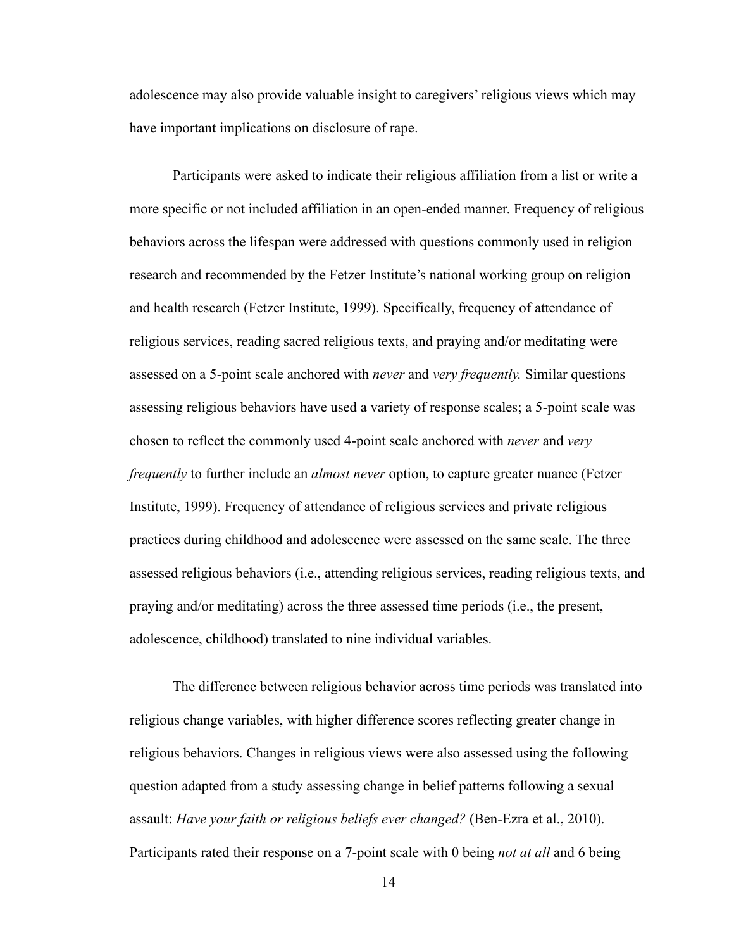adolescence may also provide valuable insight to caregivers' religious views which may have important implications on disclosure of rape.

Participants were asked to indicate their religious affiliation from a list or write a more specific or not included affiliation in an open-ended manner. Frequency of religious behaviors across the lifespan were addressed with questions commonly used in religion research and recommended by the Fetzer Institute's national working group on religion and health research (Fetzer Institute, 1999). Specifically, frequency of attendance of religious services, reading sacred religious texts, and praying and/or meditating were assessed on a 5-point scale anchored with *never* and *very frequently.* Similar questions assessing religious behaviors have used a variety of response scales; a 5-point scale was chosen to reflect the commonly used 4-point scale anchored with *never* and *very frequently* to further include an *almost never* option, to capture greater nuance (Fetzer Institute, 1999). Frequency of attendance of religious services and private religious practices during childhood and adolescence were assessed on the same scale. The three assessed religious behaviors (i.e., attending religious services, reading religious texts, and praying and/or meditating) across the three assessed time periods (i.e., the present, adolescence, childhood) translated to nine individual variables.

The difference between religious behavior across time periods was translated into religious change variables, with higher difference scores reflecting greater change in religious behaviors. Changes in religious views were also assessed using the following question adapted from a study assessing change in belief patterns following a sexual assault: *Have your faith or religious beliefs ever changed?* (Ben-Ezra et al., 2010). Participants rated their response on a 7-point scale with 0 being *not at all* and 6 being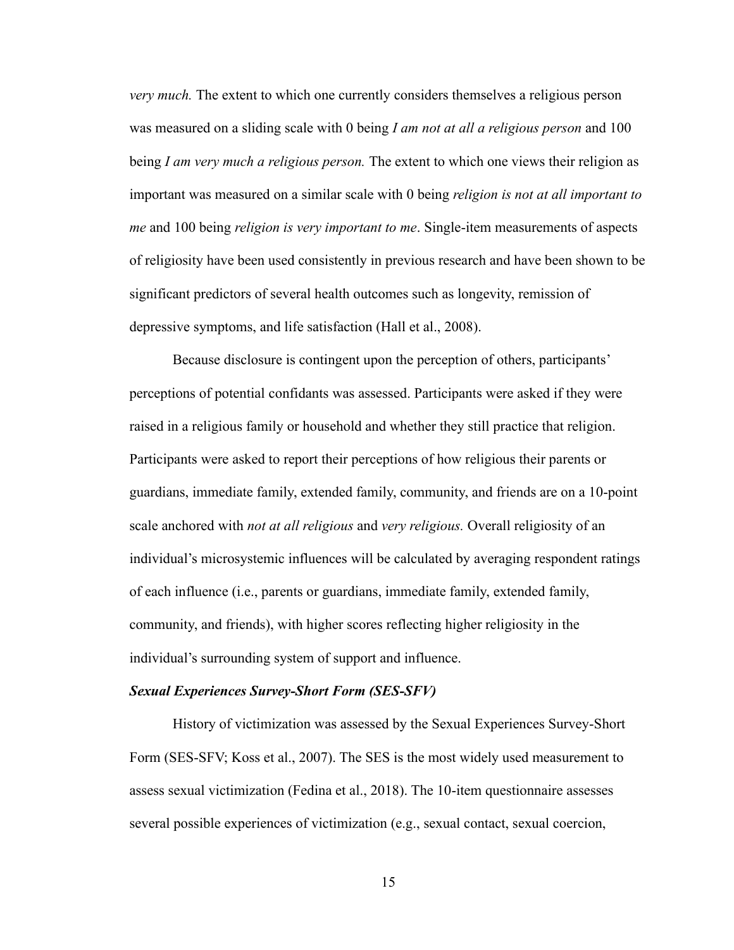*very much.* The extent to which one currently considers themselves a religious person was measured on a sliding scale with 0 being *I am not at all a religious person* and 100 being *I am very much a religious person.* The extent to which one views their religion as important was measured on a similar scale with 0 being *religion is not at all important to me* and 100 being *religion is very important to me*. Single-item measurements of aspects of religiosity have been used consistently in previous research and have been shown to be significant predictors of several health outcomes such as longevity, remission of depressive symptoms, and life satisfaction (Hall et al., 2008).

Because disclosure is contingent upon the perception of others, participants' perceptions of potential confidants was assessed. Participants were asked if they were raised in a religious family or household and whether they still practice that religion. Participants were asked to report their perceptions of how religious their parents or guardians, immediate family, extended family, community, and friends are on a 10-point scale anchored with *not at all religious* and *very religious.* Overall religiosity of an individual's microsystemic influences will be calculated by averaging respondent ratings of each influence (i.e., parents or guardians, immediate family, extended family, community, and friends), with higher scores reflecting higher religiosity in the individual's surrounding system of support and influence.

#### *Sexual Experiences Survey-Short Form (SES-SFV)*

History of victimization was assessed by the Sexual Experiences Survey-Short Form (SES-SFV; Koss et al., 2007). The SES is the most widely used measurement to assess sexual victimization (Fedina et al., 2018). The 10-item questionnaire assesses several possible experiences of victimization (e.g., sexual contact, sexual coercion,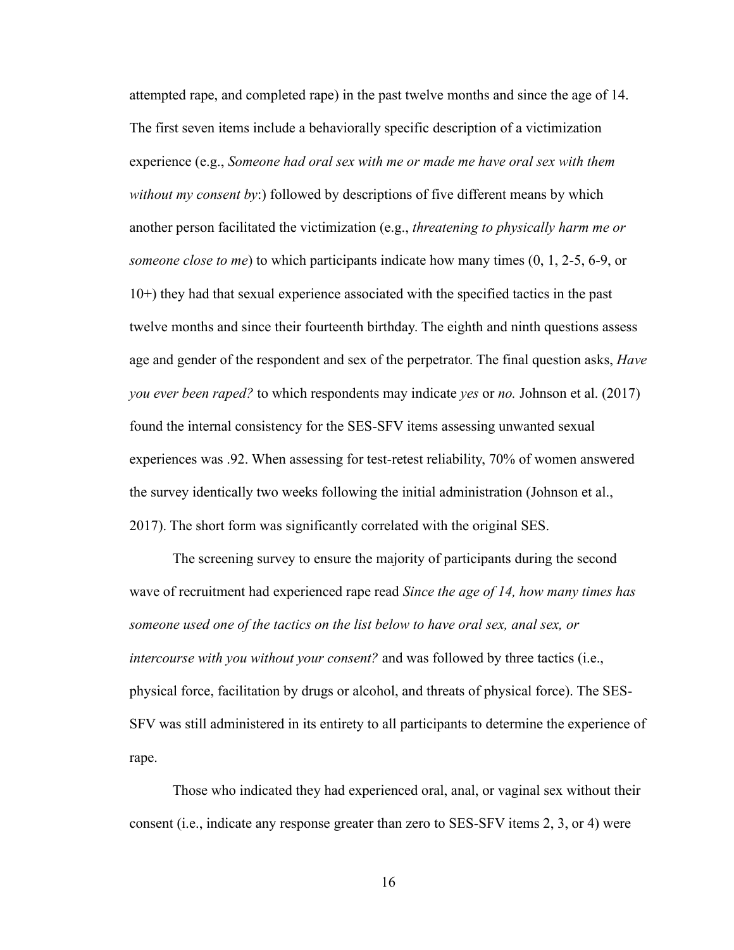attempted rape, and completed rape) in the past twelve months and since the age of 14. The first seven items include a behaviorally specific description of a victimization experience (e.g., *Someone had oral sex with me or made me have oral sex with them without my consent by*:) followed by descriptions of five different means by which another person facilitated the victimization (e.g., *threatening to physically harm me or someone close to me*) to which participants indicate how many times (0, 1, 2-5, 6-9, or 10+) they had that sexual experience associated with the specified tactics in the past twelve months and since their fourteenth birthday. The eighth and ninth questions assess age and gender of the respondent and sex of the perpetrator. The final question asks, *Have you ever been raped?* to which respondents may indicate *yes* or *no.* Johnson et al. (2017) found the internal consistency for the SES-SFV items assessing unwanted sexual experiences was .92. When assessing for test-retest reliability, 70% of women answered the survey identically two weeks following the initial administration (Johnson et al., 2017). The short form was significantly correlated with the original SES.

The screening survey to ensure the majority of participants during the second wave of recruitment had experienced rape read *Since the age of 14, how many times has someone used one of the tactics on the list below to have oral sex, anal sex, or intercourse with you without your consent?* and was followed by three tactics (i.e., physical force, facilitation by drugs or alcohol, and threats of physical force). The SES-SFV was still administered in its entirety to all participants to determine the experience of rape.

Those who indicated they had experienced oral, anal, or vaginal sex without their consent (i.e., indicate any response greater than zero to SES-SFV items 2, 3, or 4) were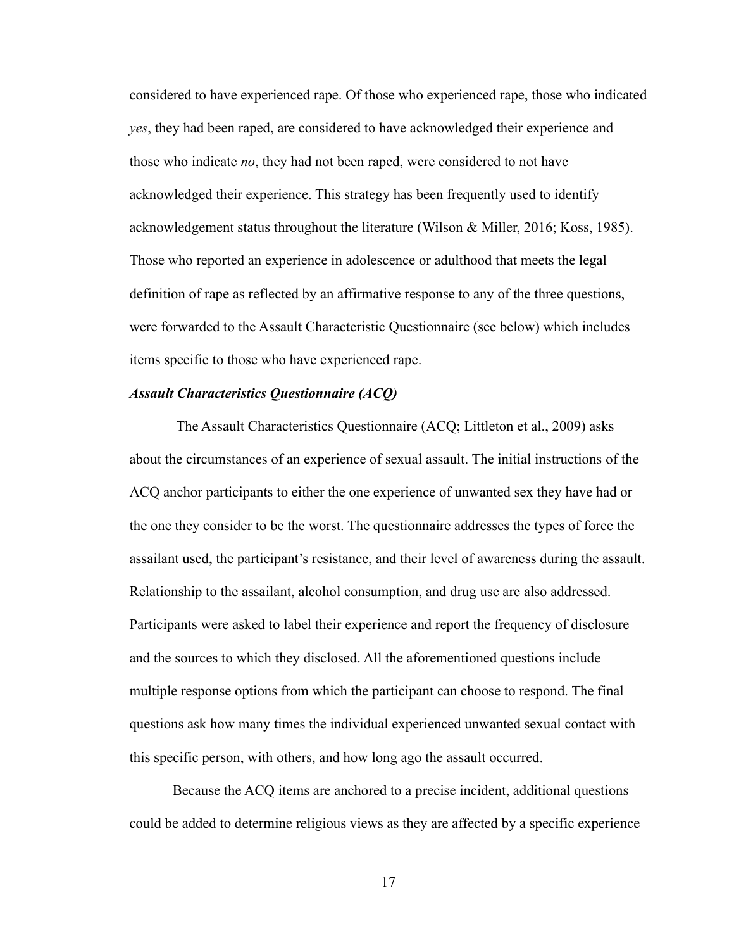considered to have experienced rape. Of those who experienced rape, those who indicated *yes*, they had been raped, are considered to have acknowledged their experience and those who indicate *no*, they had not been raped, were considered to not have acknowledged their experience. This strategy has been frequently used to identify acknowledgement status throughout the literature (Wilson & Miller, 2016; Koss, 1985). Those who reported an experience in adolescence or adulthood that meets the legal definition of rape as reflected by an affirmative response to any of the three questions, were forwarded to the Assault Characteristic Questionnaire (see below) which includes items specific to those who have experienced rape.

#### *Assault Characteristics Questionnaire (ACQ)*

The Assault Characteristics Questionnaire (ACQ; Littleton et al., 2009) asks about the circumstances of an experience of sexual assault. The initial instructions of the ACQ anchor participants to either the one experience of unwanted sex they have had or the one they consider to be the worst. The questionnaire addresses the types of force the assailant used, the participant's resistance, and their level of awareness during the assault. Relationship to the assailant, alcohol consumption, and drug use are also addressed. Participants were asked to label their experience and report the frequency of disclosure and the sources to which they disclosed. All the aforementioned questions include multiple response options from which the participant can choose to respond. The final questions ask how many times the individual experienced unwanted sexual contact with this specific person, with others, and how long ago the assault occurred.

Because the ACQ items are anchored to a precise incident, additional questions could be added to determine religious views as they are affected by a specific experience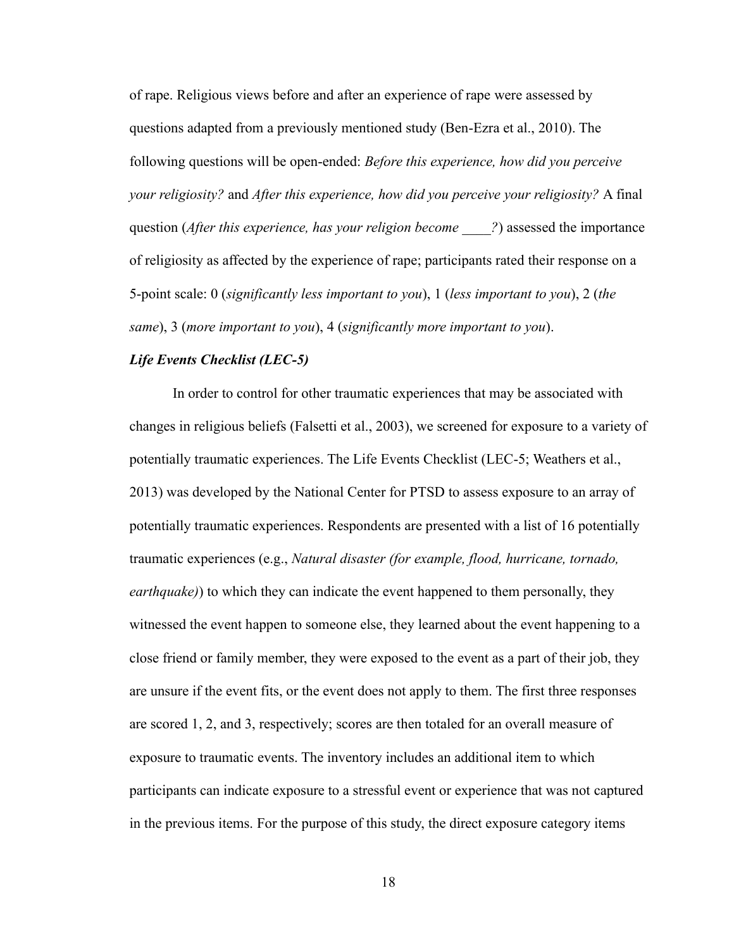of rape. Religious views before and after an experience of rape were assessed by questions adapted from a previously mentioned study (Ben-Ezra et al., 2010). The following questions will be open-ended: *Before this experience, how did you perceive your religiosity?* and *After this experience, how did you perceive your religiosity?* A final question (*After this experience, has your religion become* ?) assessed the importance of religiosity as affected by the experience of rape; participants rated their response on a 5-point scale: 0 (*significantly less important to you*), 1 (*less important to you*), 2 (*the same*), 3 (*more important to you*), 4 (*significantly more important to you*).

## *Life Events Checklist (LEC-5)*

In order to control for other traumatic experiences that may be associated with changes in religious beliefs (Falsetti et al., 2003), we screened for exposure to a variety of potentially traumatic experiences. The Life Events Checklist (LEC-5; Weathers et al., 2013) was developed by the National Center for PTSD to assess exposure to an array of potentially traumatic experiences. Respondents are presented with a list of 16 potentially traumatic experiences (e.g., *Natural disaster (for example, flood, hurricane, tornado, earthquake)*) to which they can indicate the event happened to them personally, they witnessed the event happen to someone else, they learned about the event happening to a close friend or family member, they were exposed to the event as a part of their job, they are unsure if the event fits, or the event does not apply to them. The first three responses are scored 1, 2, and 3, respectively; scores are then totaled for an overall measure of exposure to traumatic events. The inventory includes an additional item to which participants can indicate exposure to a stressful event or experience that was not captured in the previous items. For the purpose of this study, the direct exposure category items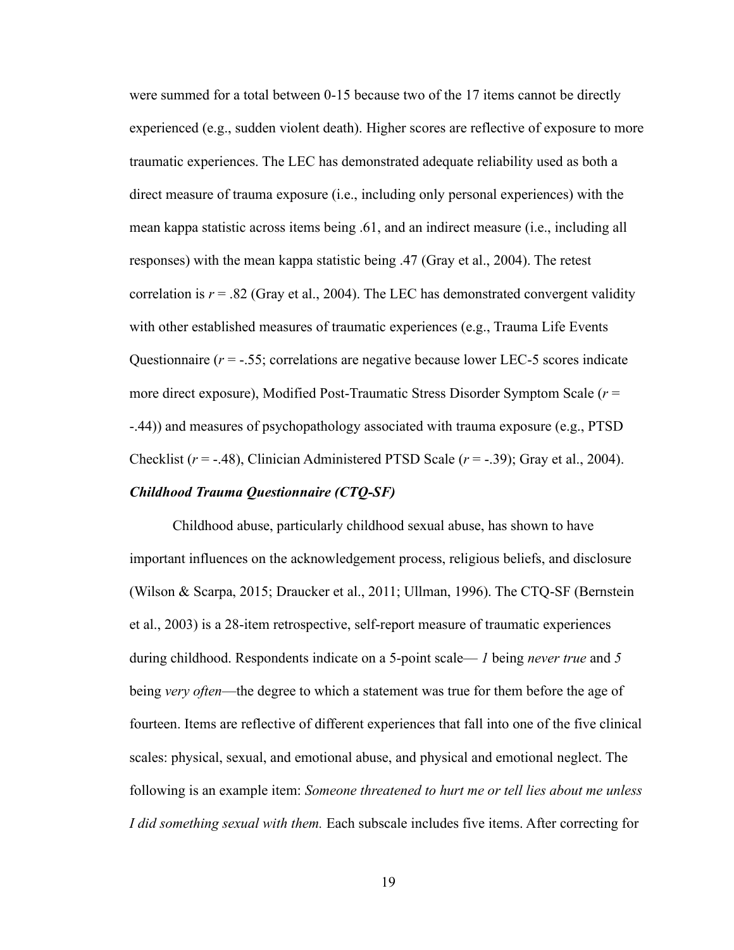were summed for a total between 0-15 because two of the 17 items cannot be directly experienced (e.g., sudden violent death). Higher scores are reflective of exposure to more traumatic experiences. The LEC has demonstrated adequate reliability used as both a direct measure of trauma exposure (i.e., including only personal experiences) with the mean kappa statistic across items being .61, and an indirect measure (i.e., including all responses) with the mean kappa statistic being .47 (Gray et al., 2004). The retest correlation is  $r = .82$  (Gray et al., 2004). The LEC has demonstrated convergent validity with other established measures of traumatic experiences (e.g., Trauma Life Events Questionnaire ( $r = -.55$ ; correlations are negative because lower LEC-5 scores indicate more direct exposure), Modified Post-Traumatic Stress Disorder Symptom Scale (*r* = -.44)) and measures of psychopathology associated with trauma exposure (e.g., PTSD Checklist (*r* = -.48), Clinician Administered PTSD Scale (*r* = -.39); Gray et al., 2004).

## *Childhood Trauma Questionnaire (CTQ-SF)*

Childhood abuse, particularly childhood sexual abuse, has shown to have important influences on the acknowledgement process, religious beliefs, and disclosure (Wilson & Scarpa, 2015; Draucker et al., 2011; Ullman, 1996). The CTQ-SF (Bernstein et al., 2003) is a 28-item retrospective, self-report measure of traumatic experiences during childhood. Respondents indicate on a 5-point scale— *1* being *never true* and *5* being *very often*—the degree to which a statement was true for them before the age of fourteen. Items are reflective of different experiences that fall into one of the five clinical scales: physical, sexual, and emotional abuse, and physical and emotional neglect. The following is an example item: *Someone threatened to hurt me or tell lies about me unless I did something sexual with them.* Each subscale includes five items. After correcting for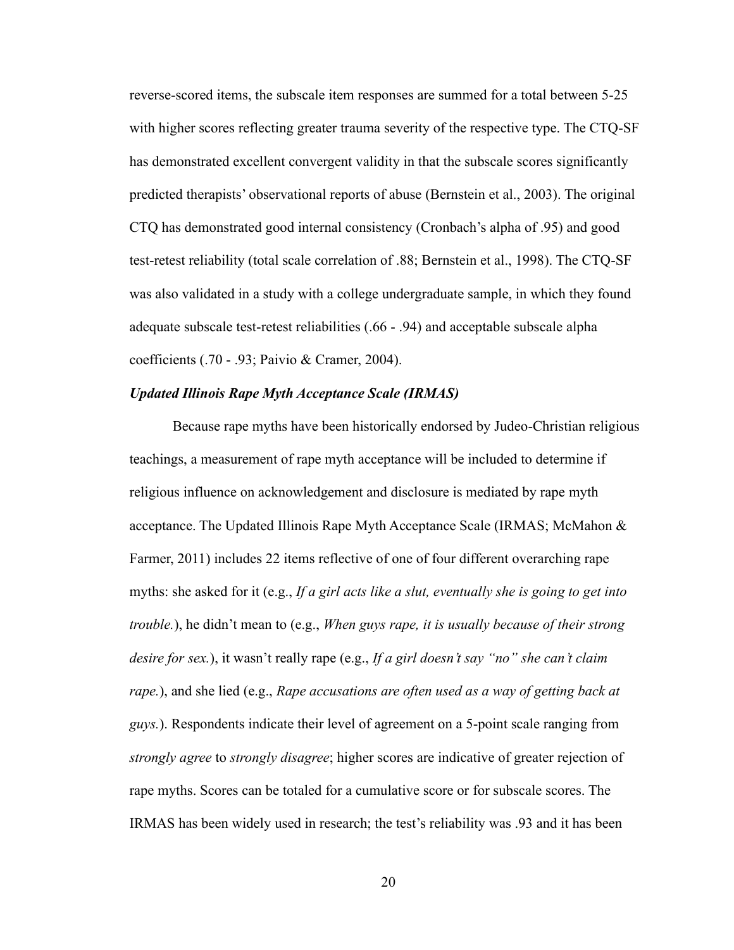reverse-scored items, the subscale item responses are summed for a total between 5-25 with higher scores reflecting greater trauma severity of the respective type. The CTQ-SF has demonstrated excellent convergent validity in that the subscale scores significantly predicted therapists' observational reports of abuse (Bernstein et al., 2003). The original CTQ has demonstrated good internal consistency (Cronbach's alpha of .95) and good test-retest reliability (total scale correlation of .88; Bernstein et al., 1998). The CTQ-SF was also validated in a study with a college undergraduate sample, in which they found adequate subscale test-retest reliabilities (.66 - .94) and acceptable subscale alpha coefficients (.70 - .93; Paivio & Cramer, 2004).

#### *Updated Illinois Rape Myth Acceptance Scale (IRMAS)*

Because rape myths have been historically endorsed by Judeo-Christian religious teachings, a measurement of rape myth acceptance will be included to determine if religious influence on acknowledgement and disclosure is mediated by rape myth acceptance. The Updated Illinois Rape Myth Acceptance Scale (IRMAS; McMahon & Farmer, 2011) includes 22 items reflective of one of four different overarching rape myths: she asked for it (e.g., *If a girl acts like a slut, eventually she is going to get into trouble.*), he didn't mean to (e.g., *When guys rape, it is usually because of their strong desire for sex.*), it wasn't really rape (e.g., *If a girl doesn't say "no" she can't claim rape.*), and she lied (e.g., *Rape accusations are often used as a way of getting back at guys.*). Respondents indicate their level of agreement on a 5-point scale ranging from *strongly agree* to *strongly disagree*; higher scores are indicative of greater rejection of rape myths. Scores can be totaled for a cumulative score or for subscale scores. The IRMAS has been widely used in research; the test's reliability was .93 and it has been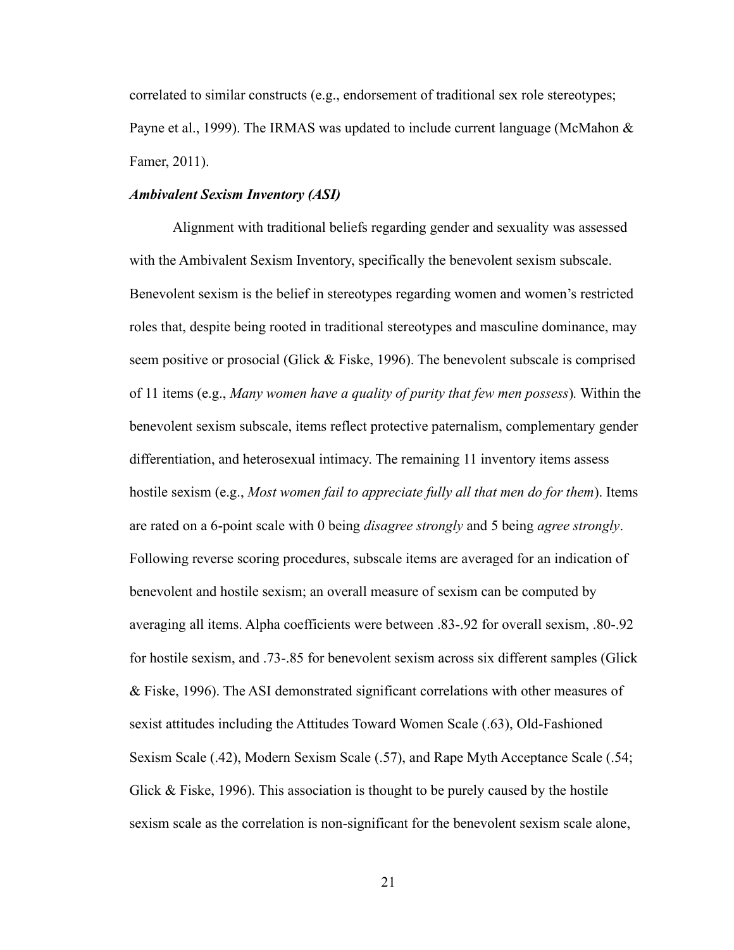correlated to similar constructs (e.g., endorsement of traditional sex role stereotypes; Payne et al., 1999). The IRMAS was updated to include current language (McMahon & Famer, 2011).

### *Ambivalent Sexism Inventory (ASI)*

Alignment with traditional beliefs regarding gender and sexuality was assessed with the Ambivalent Sexism Inventory, specifically the benevolent sexism subscale. Benevolent sexism is the belief in stereotypes regarding women and women's restricted roles that, despite being rooted in traditional stereotypes and masculine dominance, may seem positive or prosocial (Glick & Fiske, 1996). The benevolent subscale is comprised of 11 items (e.g., *Many women have a quality of purity that few men possess*)*.* Within the benevolent sexism subscale, items reflect protective paternalism, complementary gender differentiation, and heterosexual intimacy. The remaining 11 inventory items assess hostile sexism (e.g., *Most women fail to appreciate fully all that men do for them*). Items are rated on a 6-point scale with 0 being *disagree strongly* and 5 being *agree strongly*. Following reverse scoring procedures, subscale items are averaged for an indication of benevolent and hostile sexism; an overall measure of sexism can be computed by averaging all items. Alpha coefficients were between .83-.92 for overall sexism, .80-.92 for hostile sexism, and .73-.85 for benevolent sexism across six different samples (Glick & Fiske, 1996). The ASI demonstrated significant correlations with other measures of sexist attitudes including the Attitudes Toward Women Scale (.63), Old-Fashioned Sexism Scale (.42), Modern Sexism Scale (.57), and Rape Myth Acceptance Scale (.54; Glick & Fiske, 1996). This association is thought to be purely caused by the hostile sexism scale as the correlation is non-significant for the benevolent sexism scale alone,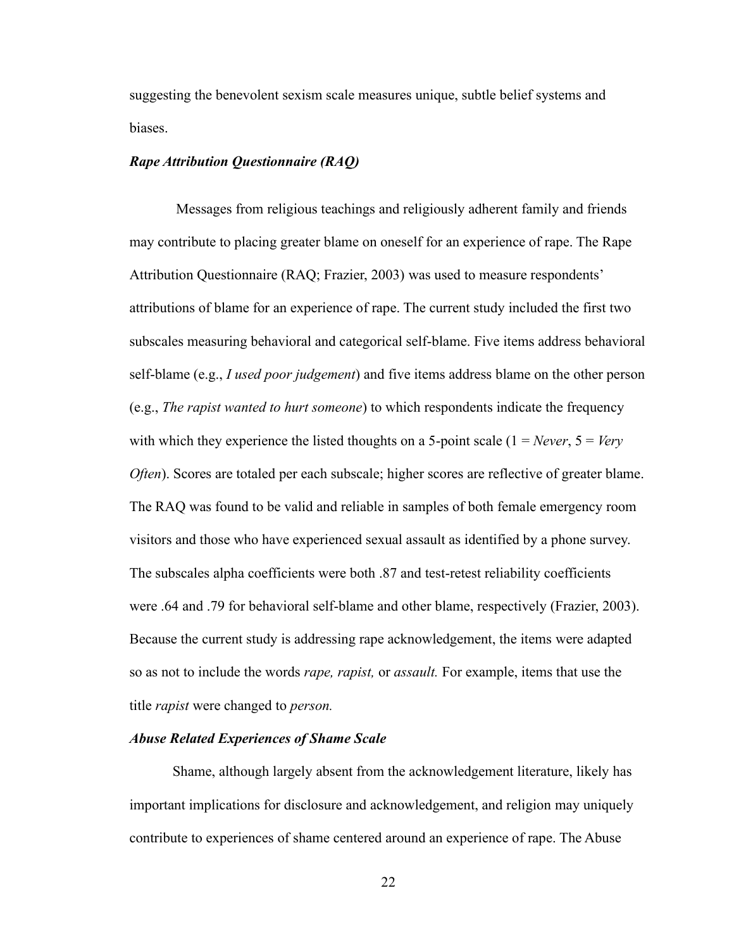suggesting the benevolent sexism scale measures unique, subtle belief systems and biases.

## *Rape Attribution Questionnaire (RAQ)*

Messages from religious teachings and religiously adherent family and friends may contribute to placing greater blame on oneself for an experience of rape. The Rape Attribution Questionnaire (RAQ; Frazier, 2003) was used to measure respondents' attributions of blame for an experience of rape. The current study included the first two subscales measuring behavioral and categorical self-blame. Five items address behavioral self-blame (e.g., *I used poor judgement*) and five items address blame on the other person (e.g., *The rapist wanted to hurt someone*) to which respondents indicate the frequency with which they experience the listed thoughts on a 5-point scale  $(1 = Never, 5 = Very)$ *Often*). Scores are totaled per each subscale; higher scores are reflective of greater blame. The RAQ was found to be valid and reliable in samples of both female emergency room visitors and those who have experienced sexual assault as identified by a phone survey. The subscales alpha coefficients were both .87 and test-retest reliability coefficients were .64 and .79 for behavioral self-blame and other blame, respectively (Frazier, 2003). Because the current study is addressing rape acknowledgement, the items were adapted so as not to include the words *rape, rapist,* or *assault.* For example, items that use the title *rapist* were changed to *person.* 

## *Abuse Related Experiences of Shame Scale*

Shame, although largely absent from the acknowledgement literature, likely has important implications for disclosure and acknowledgement, and religion may uniquely contribute to experiences of shame centered around an experience of rape. The Abuse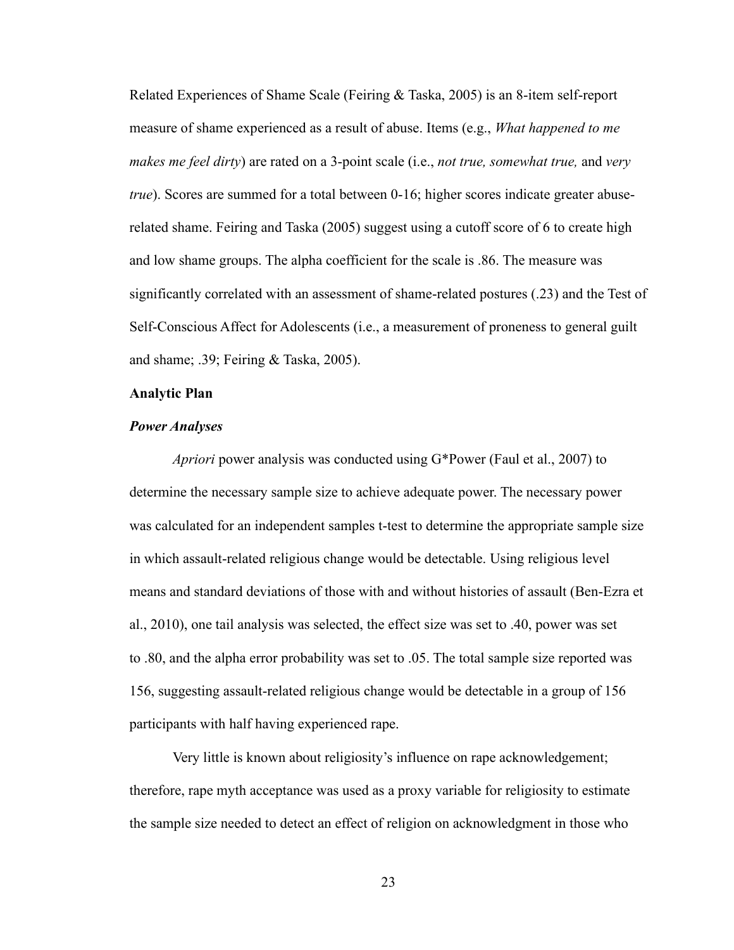Related Experiences of Shame Scale (Feiring & Taska, 2005) is an 8-item self-report measure of shame experienced as a result of abuse. Items (e.g., *What happened to me makes me feel dirty*) are rated on a 3-point scale (i.e., *not true, somewhat true,* and *very true*). Scores are summed for a total between 0-16; higher scores indicate greater abuserelated shame. Feiring and Taska (2005) suggest using a cutoff score of 6 to create high and low shame groups. The alpha coefficient for the scale is .86. The measure was significantly correlated with an assessment of shame-related postures (.23) and the Test of Self-Conscious Affect for Adolescents (i.e., a measurement of proneness to general guilt and shame; .39; Feiring & Taska, 2005).

#### <span id="page-35-0"></span>**Analytic Plan**

### *Power Analyses*

*Apriori* power analysis was conducted using G\*Power (Faul et al., 2007) to determine the necessary sample size to achieve adequate power. The necessary power was calculated for an independent samples t-test to determine the appropriate sample size in which assault-related religious change would be detectable. Using religious level means and standard deviations of those with and without histories of assault (Ben-Ezra et al., 2010), one tail analysis was selected, the effect size was set to .40, power was set to .80, and the alpha error probability was set to .05. The total sample size reported was 156, suggesting assault-related religious change would be detectable in a group of 156 participants with half having experienced rape.

Very little is known about religiosity's influence on rape acknowledgement; therefore, rape myth acceptance was used as a proxy variable for religiosity to estimate the sample size needed to detect an effect of religion on acknowledgment in those who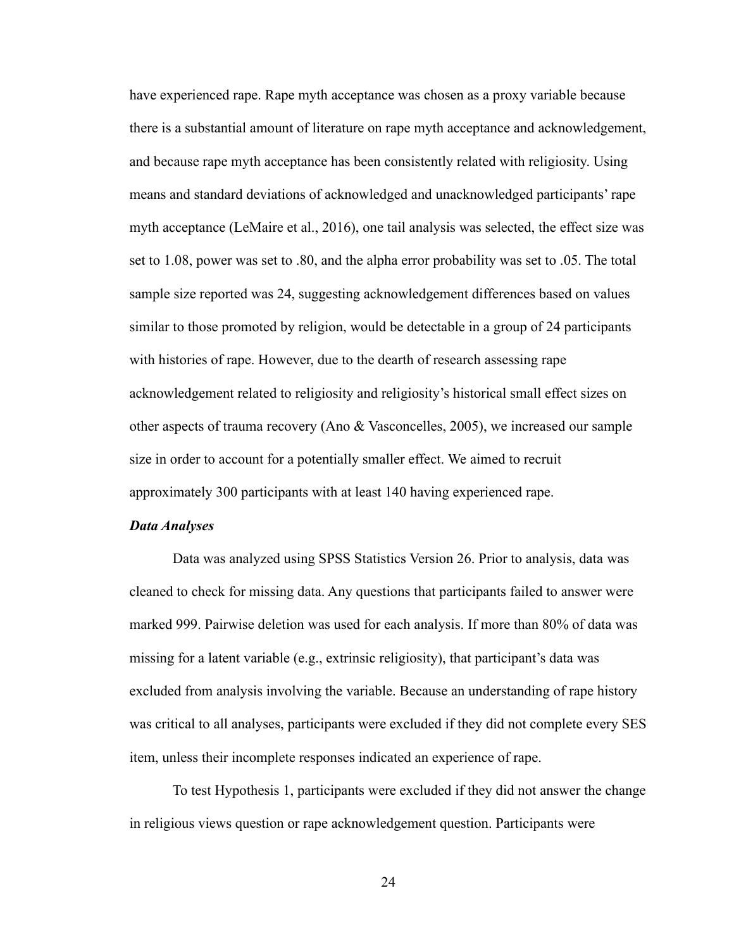have experienced rape. Rape myth acceptance was chosen as a proxy variable because there is a substantial amount of literature on rape myth acceptance and acknowledgement, and because rape myth acceptance has been consistently related with religiosity. Using means and standard deviations of acknowledged and unacknowledged participants' rape myth acceptance (LeMaire et al., 2016), one tail analysis was selected, the effect size was set to 1.08, power was set to .80, and the alpha error probability was set to .05. The total sample size reported was 24, suggesting acknowledgement differences based on values similar to those promoted by religion, would be detectable in a group of 24 participants with histories of rape. However, due to the dearth of research assessing rape acknowledgement related to religiosity and religiosity's historical small effect sizes on other aspects of trauma recovery (Ano & Vasconcelles, 2005), we increased our sample size in order to account for a potentially smaller effect. We aimed to recruit approximately 300 participants with at least 140 having experienced rape.

#### *Data Analyses*

Data was analyzed using SPSS Statistics Version 26. Prior to analysis, data was cleaned to check for missing data. Any questions that participants failed to answer were marked 999. Pairwise deletion was used for each analysis. If more than 80% of data was missing for a latent variable (e.g., extrinsic religiosity), that participant's data was excluded from analysis involving the variable. Because an understanding of rape history was critical to all analyses, participants were excluded if they did not complete every SES item, unless their incomplete responses indicated an experience of rape.

To test Hypothesis 1, participants were excluded if they did not answer the change in religious views question or rape acknowledgement question. Participants were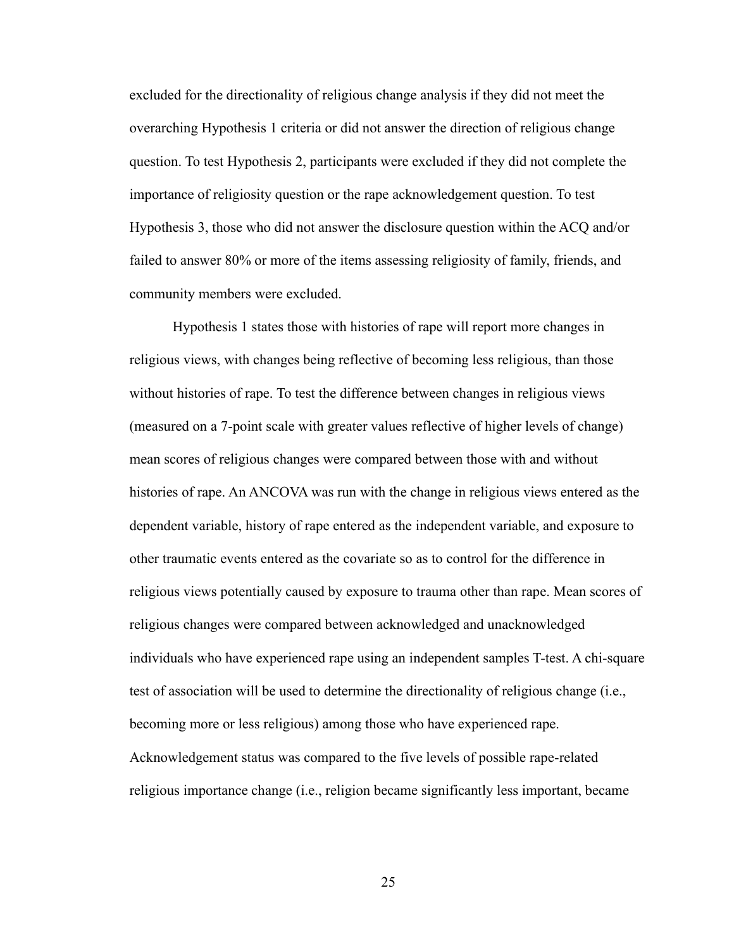excluded for the directionality of religious change analysis if they did not meet the overarching Hypothesis 1 criteria or did not answer the direction of religious change question. To test Hypothesis 2, participants were excluded if they did not complete the importance of religiosity question or the rape acknowledgement question. To test Hypothesis 3, those who did not answer the disclosure question within the ACQ and/or failed to answer 80% or more of the items assessing religiosity of family, friends, and community members were excluded.

Hypothesis 1 states those with histories of rape will report more changes in religious views, with changes being reflective of becoming less religious, than those without histories of rape. To test the difference between changes in religious views (measured on a 7-point scale with greater values reflective of higher levels of change) mean scores of religious changes were compared between those with and without histories of rape. An ANCOVA was run with the change in religious views entered as the dependent variable, history of rape entered as the independent variable, and exposure to other traumatic events entered as the covariate so as to control for the difference in religious views potentially caused by exposure to trauma other than rape. Mean scores of religious changes were compared between acknowledged and unacknowledged individuals who have experienced rape using an independent samples T-test. A chi-square test of association will be used to determine the directionality of religious change (i.e., becoming more or less religious) among those who have experienced rape. Acknowledgement status was compared to the five levels of possible rape-related religious importance change (i.e., religion became significantly less important, became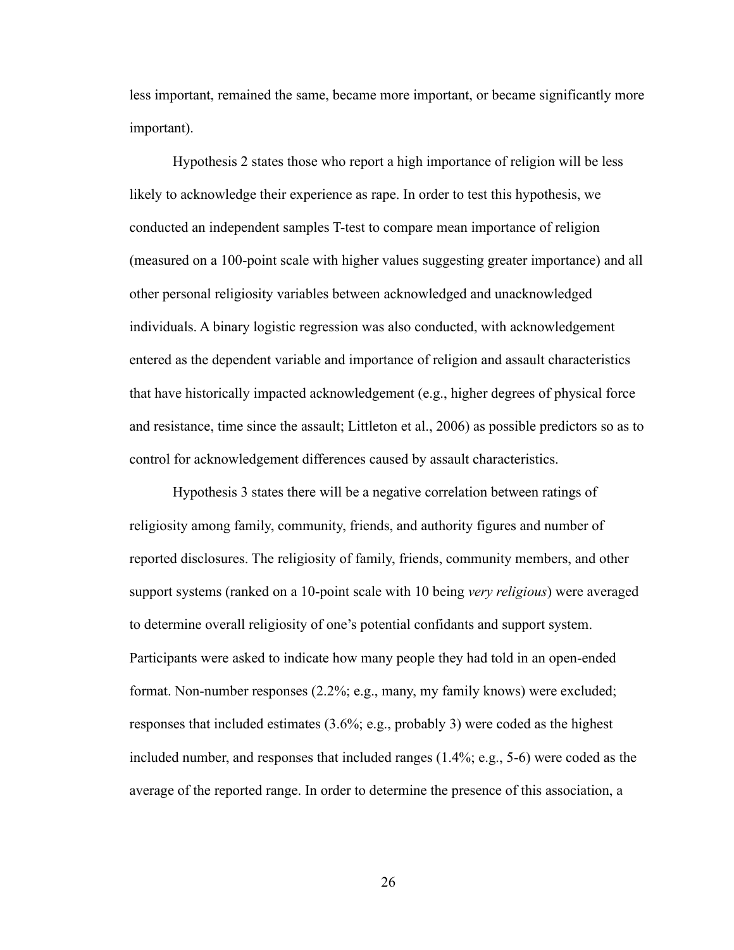less important, remained the same, became more important, or became significantly more important).

Hypothesis 2 states those who report a high importance of religion will be less likely to acknowledge their experience as rape. In order to test this hypothesis, we conducted an independent samples T-test to compare mean importance of religion (measured on a 100-point scale with higher values suggesting greater importance) and all other personal religiosity variables between acknowledged and unacknowledged individuals. A binary logistic regression was also conducted, with acknowledgement entered as the dependent variable and importance of religion and assault characteristics that have historically impacted acknowledgement (e.g., higher degrees of physical force and resistance, time since the assault; Littleton et al., 2006) as possible predictors so as to control for acknowledgement differences caused by assault characteristics.

Hypothesis 3 states there will be a negative correlation between ratings of religiosity among family, community, friends, and authority figures and number of reported disclosures. The religiosity of family, friends, community members, and other support systems (ranked on a 10-point scale with 10 being *very religious*) were averaged to determine overall religiosity of one's potential confidants and support system. Participants were asked to indicate how many people they had told in an open-ended format. Non-number responses (2.2%; e.g., many, my family knows) were excluded; responses that included estimates (3.6%; e.g., probably 3) were coded as the highest included number, and responses that included ranges (1.4%; e.g., 5-6) were coded as the average of the reported range. In order to determine the presence of this association, a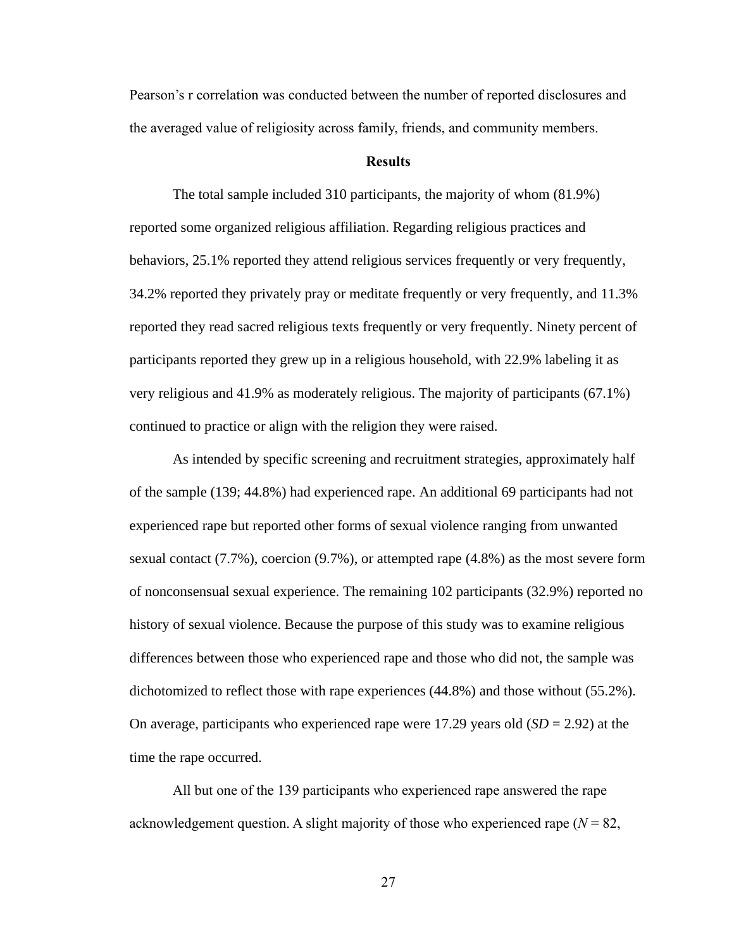Pearson's r correlation was conducted between the number of reported disclosures and the averaged value of religiosity across family, friends, and community members.

#### **Results**

The total sample included 310 participants, the majority of whom (81.9%) reported some organized religious affiliation. Regarding religious practices and behaviors, 25.1% reported they attend religious services frequently or very frequently, 34.2% reported they privately pray or meditate frequently or very frequently, and 11.3% reported they read sacred religious texts frequently or very frequently. Ninety percent of participants reported they grew up in a religious household, with 22.9% labeling it as very religious and 41.9% as moderately religious. The majority of participants (67.1%) continued to practice or align with the religion they were raised.

As intended by specific screening and recruitment strategies, approximately half of the sample (139; 44.8%) had experienced rape. An additional 69 participants had not experienced rape but reported other forms of sexual violence ranging from unwanted sexual contact (7.7%), coercion (9.7%), or attempted rape (4.8%) as the most severe form of nonconsensual sexual experience. The remaining 102 participants (32.9%) reported no history of sexual violence. Because the purpose of this study was to examine religious differences between those who experienced rape and those who did not, the sample was dichotomized to reflect those with rape experiences (44.8%) and those without (55.2%). On average, participants who experienced rape were 17.29 years old (*SD* = 2.92) at the time the rape occurred.

All but one of the 139 participants who experienced rape answered the rape acknowledgement question. A slight majority of those who experienced rape  $(N = 82,$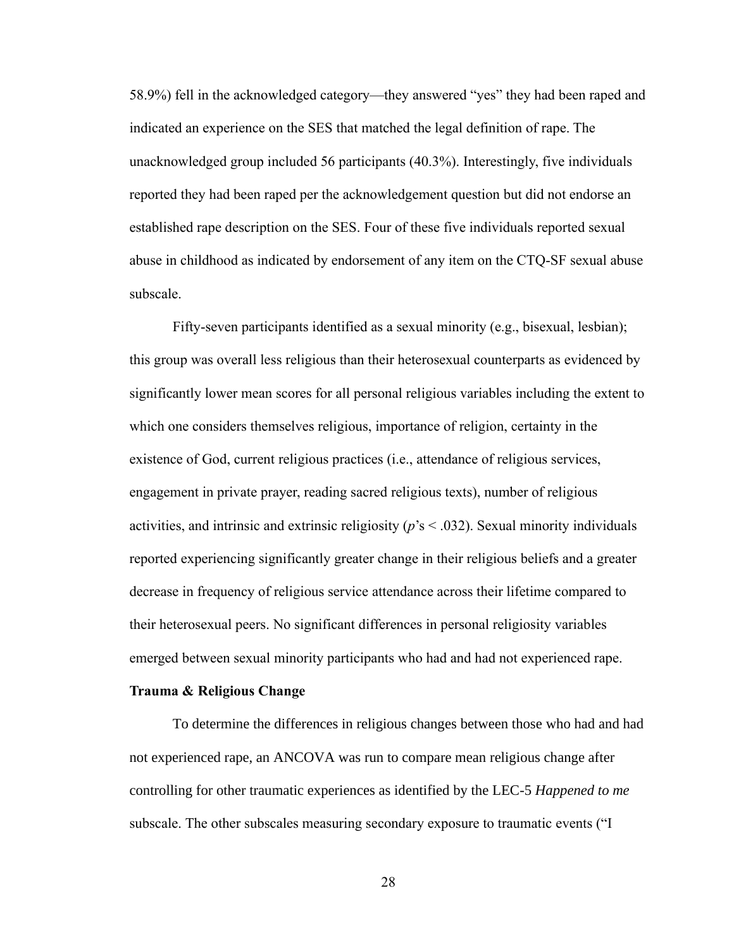58.9%) fell in the acknowledged category—they answered "yes" they had been raped and indicated an experience on the SES that matched the legal definition of rape. The unacknowledged group included 56 participants (40.3%). Interestingly, five individuals reported they had been raped per the acknowledgement question but did not endorse an established rape description on the SES. Four of these five individuals reported sexual abuse in childhood as indicated by endorsement of any item on the CTQ-SF sexual abuse subscale.

Fifty-seven participants identified as a sexual minority (e.g., bisexual, lesbian); this group was overall less religious than their heterosexual counterparts as evidenced by significantly lower mean scores for all personal religious variables including the extent to which one considers themselves religious, importance of religion, certainty in the existence of God, current religious practices (i.e., attendance of religious services, engagement in private prayer, reading sacred religious texts), number of religious activities, and intrinsic and extrinsic religiosity (*p*'s < .032). Sexual minority individuals reported experiencing significantly greater change in their religious beliefs and a greater decrease in frequency of religious service attendance across their lifetime compared to their heterosexual peers. No significant differences in personal religiosity variables emerged between sexual minority participants who had and had not experienced rape.

#### **Trauma & Religious Change**

To determine the differences in religious changes between those who had and had not experienced rape, an ANCOVA was run to compare mean religious change after controlling for other traumatic experiences as identified by the LEC-5 *Happened to me* subscale. The other subscales measuring secondary exposure to traumatic events ("I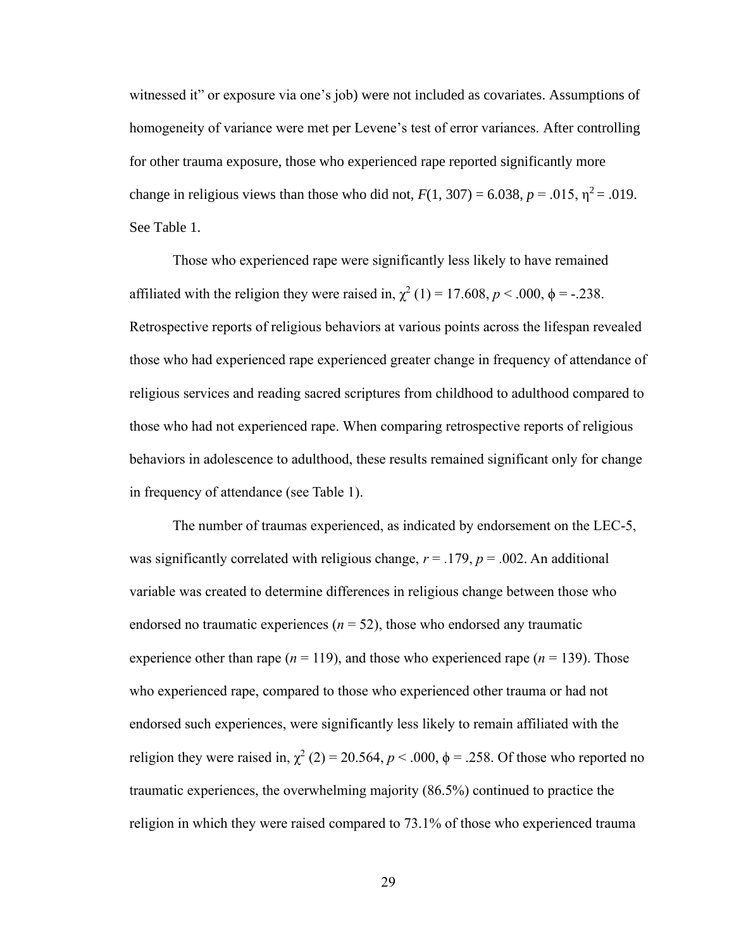witnessed it" or exposure via one's job) were not included as covariates. Assumptions of homogeneity of variance were met per Levene's test of error variances. After controlling for other trauma exposure, those who experienced rape reported significantly more change in religious views than those who did not,  $F(1, 307) = 6.038$ ,  $p = .015$ ,  $\eta^2 = .019$ . See Table 1.

Those who experienced rape were significantly less likely to have remained affiliated with the religion they were raised in,  $\chi^2$  (1) = 17.608, *p* < .000,  $\phi$  = -.238. Retrospective reports of religious behaviors at various points across the lifespan revealed those who had experienced rape experienced greater change in frequency of attendance of religious services and reading sacred scriptures from childhood to adulthood compared to those who had not experienced rape. When comparing retrospective reports of religious behaviors in adolescence to adulthood, these results remained significant only for change in frequency of attendance (see Table 1).

The number of traumas experienced, as indicated by endorsement on the LEC-5, was significantly correlated with religious change,  $r = .179$ ,  $p = .002$ . An additional variable was created to determine differences in religious change between those who endorsed no traumatic experiences ( $n = 52$ ), those who endorsed any traumatic experience other than rape ( $n = 119$ ), and those who experienced rape ( $n = 139$ ). Those who experienced rape, compared to those who experienced other trauma or had not endorsed such experiences, were significantly less likely to remain affiliated with the religion they were raised in,  $\chi^2$  (2) = 20.564,  $p < .000$ ,  $\phi = .258$ . Of those who reported no traumatic experiences, the overwhelming majority (86.5%) continued to practice the religion in which they were raised compared to 73.1% of those who experienced trauma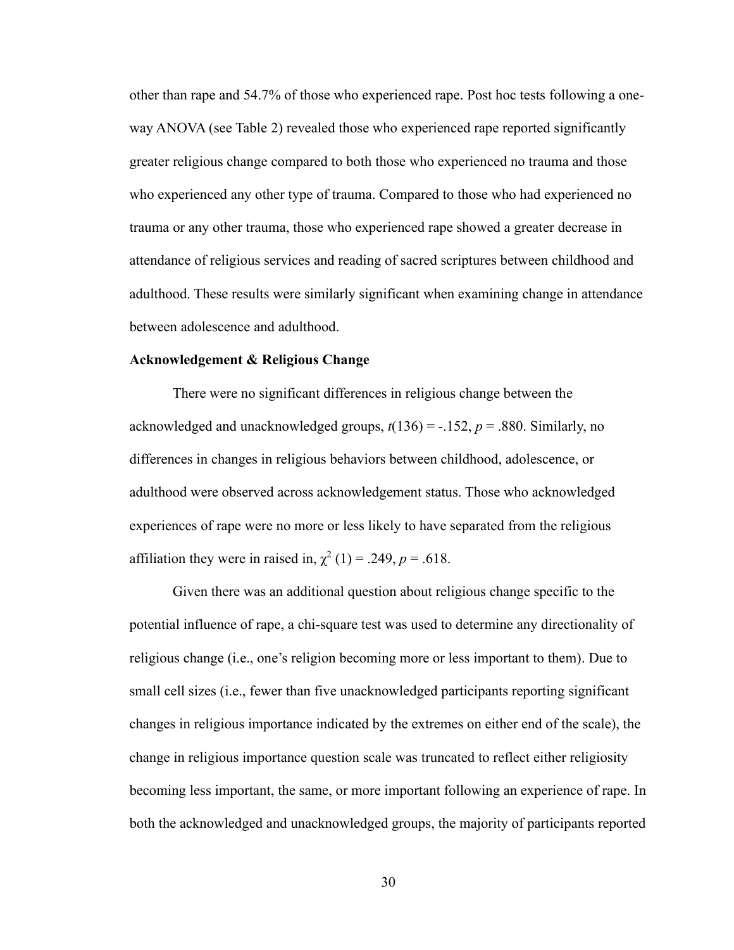other than rape and 54.7% of those who experienced rape. Post hoc tests following a oneway ANOVA (see Table 2) revealed those who experienced rape reported significantly greater religious change compared to both those who experienced no trauma and those who experienced any other type of trauma. Compared to those who had experienced no trauma or any other trauma, those who experienced rape showed a greater decrease in attendance of religious services and reading of sacred scriptures between childhood and adulthood. These results were similarly significant when examining change in attendance between adolescence and adulthood.

#### **Acknowledgement & Religious Change**

There were no significant differences in religious change between the acknowledged and unacknowledged groups, *t*(136) = -.152, *p* = .880. Similarly, no differences in changes in religious behaviors between childhood, adolescence, or adulthood were observed across acknowledgement status. Those who acknowledged experiences of rape were no more or less likely to have separated from the religious affiliation they were in raised in,  $\chi^2$  (1) = .249, p = .618.

Given there was an additional question about religious change specific to the potential influence of rape, a chi-square test was used to determine any directionality of religious change (i.e., one's religion becoming more or less important to them). Due to small cell sizes (i.e., fewer than five unacknowledged participants reporting significant changes in religious importance indicated by the extremes on either end of the scale), the change in religious importance question scale was truncated to reflect either religiosity becoming less important, the same, or more important following an experience of rape. In both the acknowledged and unacknowledged groups, the majority of participants reported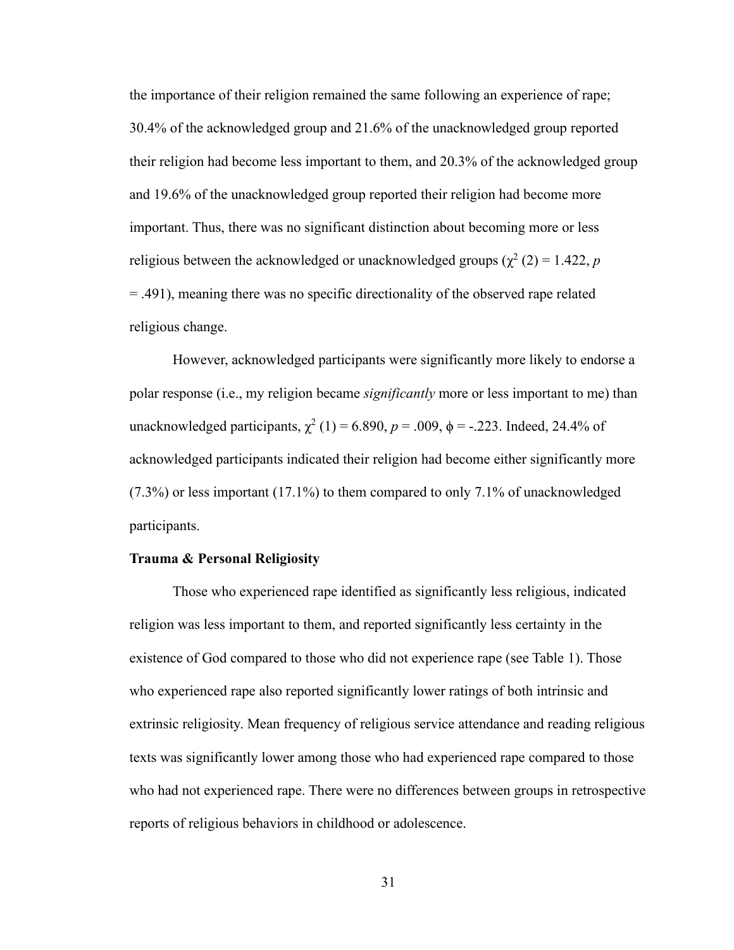the importance of their religion remained the same following an experience of rape; 30.4% of the acknowledged group and 21.6% of the unacknowledged group reported their religion had become less important to them, and 20.3% of the acknowledged group and 19.6% of the unacknowledged group reported their religion had become more important. Thus, there was no significant distinction about becoming more or less religious between the acknowledged or unacknowledged groups  $(\chi^2(2) = 1.422, p$ = .491), meaning there was no specific directionality of the observed rape related religious change.

However, acknowledged participants were significantly more likely to endorse a polar response (i.e., my religion became *significantly* more or less important to me) than unacknowledged participants,  $\chi^2$  (1) = 6.890, *p* = .009, φ = -.223. Indeed, 24.4% of acknowledged participants indicated their religion had become either significantly more (7.3%) or less important (17.1%) to them compared to only 7.1% of unacknowledged participants.

#### **Trauma & Personal Religiosity**

Those who experienced rape identified as significantly less religious, indicated religion was less important to them, and reported significantly less certainty in the existence of God compared to those who did not experience rape (see Table 1). Those who experienced rape also reported significantly lower ratings of both intrinsic and extrinsic religiosity. Mean frequency of religious service attendance and reading religious texts was significantly lower among those who had experienced rape compared to those who had not experienced rape. There were no differences between groups in retrospective reports of religious behaviors in childhood or adolescence.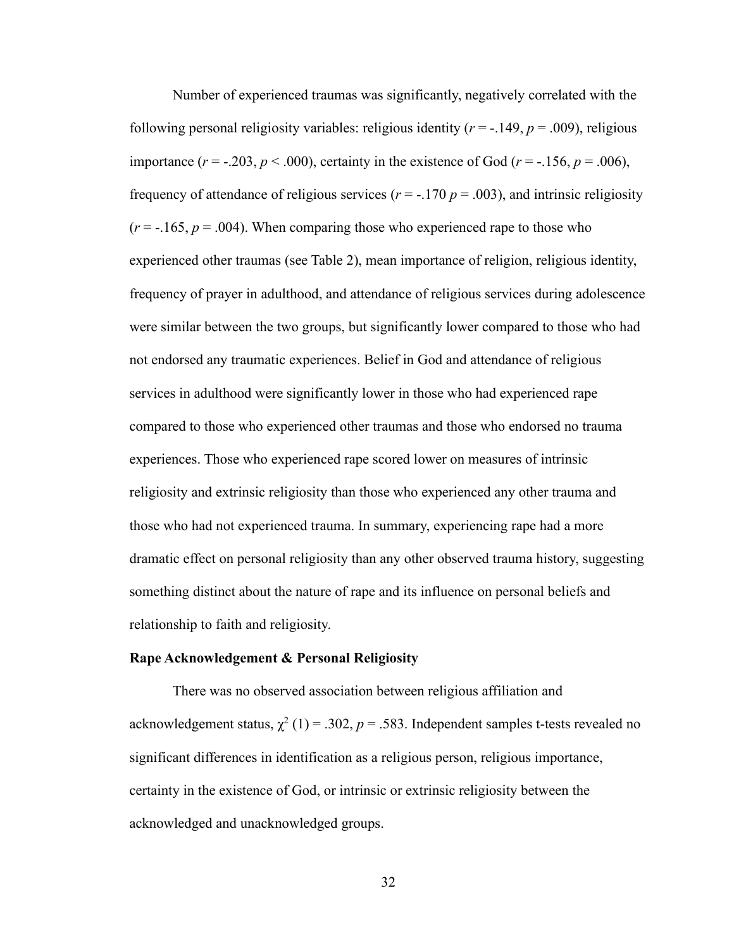Number of experienced traumas was significantly, negatively correlated with the following personal religiosity variables: religious identity  $(r = -149, p = .009)$ , religious importance  $(r = -.203, p < .000)$ , certainty in the existence of God  $(r = -.156, p = .006)$ , frequency of attendance of religious services ( $r = -170$   $p = .003$ ), and intrinsic religiosity  $(r = -165, p = .004)$ . When comparing those who experienced rape to those who experienced other traumas (see Table 2), mean importance of religion, religious identity, frequency of prayer in adulthood, and attendance of religious services during adolescence were similar between the two groups, but significantly lower compared to those who had not endorsed any traumatic experiences. Belief in God and attendance of religious services in adulthood were significantly lower in those who had experienced rape compared to those who experienced other traumas and those who endorsed no trauma experiences. Those who experienced rape scored lower on measures of intrinsic religiosity and extrinsic religiosity than those who experienced any other trauma and those who had not experienced trauma. In summary, experiencing rape had a more dramatic effect on personal religiosity than any other observed trauma history, suggesting something distinct about the nature of rape and its influence on personal beliefs and relationship to faith and religiosity.

#### **Rape Acknowledgement & Personal Religiosity**

There was no observed association between religious affiliation and acknowledgement status,  $\chi^2$  (1) = .302, *p* = .583. Independent samples t-tests revealed no significant differences in identification as a religious person, religious importance, certainty in the existence of God, or intrinsic or extrinsic religiosity between the acknowledged and unacknowledged groups.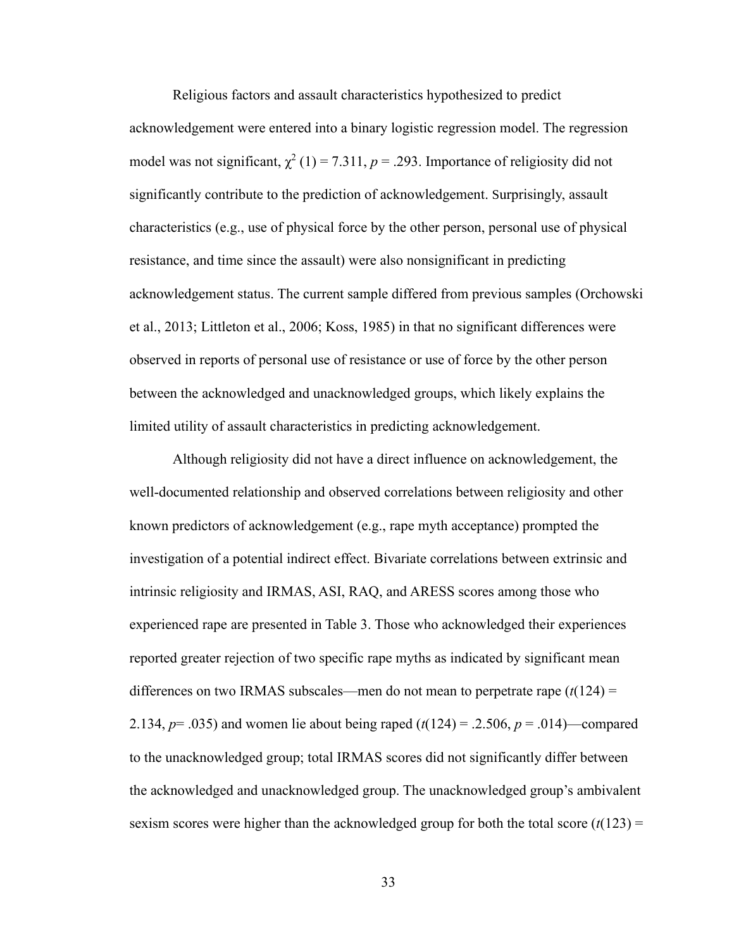Religious factors and assault characteristics hypothesized to predict acknowledgement were entered into a binary logistic regression model. The regression model was not significant,  $\chi^2$  (1) = 7.311, p = .293. Importance of religiosity did not significantly contribute to the prediction of acknowledgement. Surprisingly, assault characteristics (e.g., use of physical force by the other person, personal use of physical resistance, and time since the assault) were also nonsignificant in predicting acknowledgement status. The current sample differed from previous samples (Orchowski et al., 2013; Littleton et al., 2006; Koss, 1985) in that no significant differences were observed in reports of personal use of resistance or use of force by the other person between the acknowledged and unacknowledged groups, which likely explains the limited utility of assault characteristics in predicting acknowledgement.

Although religiosity did not have a direct influence on acknowledgement, the well-documented relationship and observed correlations between religiosity and other known predictors of acknowledgement (e.g., rape myth acceptance) prompted the investigation of a potential indirect effect. Bivariate correlations between extrinsic and intrinsic religiosity and IRMAS, ASI, RAQ, and ARESS scores among those who experienced rape are presented in Table 3. Those who acknowledged their experiences reported greater rejection of two specific rape myths as indicated by significant mean differences on two IRMAS subscales—men do not mean to perpetrate rape (*t*(124) = 2.134, *p*= .035) and women lie about being raped (*t*(124) = .2.506, *p* = .014)—compared to the unacknowledged group; total IRMAS scores did not significantly differ between the acknowledged and unacknowledged group. The unacknowledged group's ambivalent sexism scores were higher than the acknowledged group for both the total score  $(t(123) =$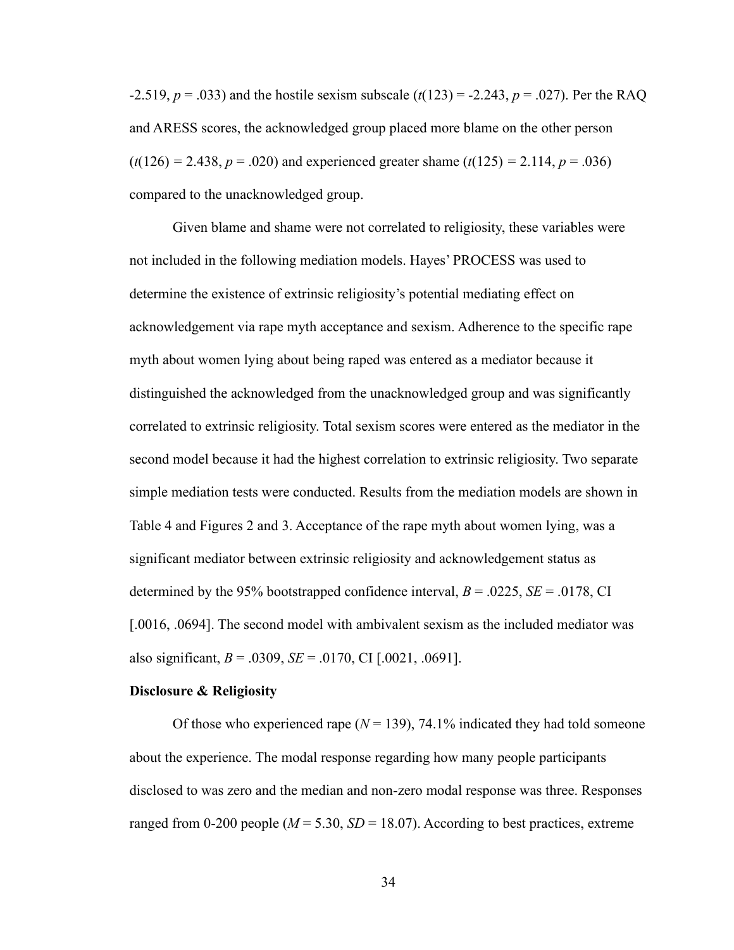-2.519, *p* = .033) and the hostile sexism subscale (*t*(123) = -2.243, *p* = .027). Per the RAQ and ARESS scores, the acknowledged group placed more blame on the other person  $(t(126) = 2.438, p = .020)$  and experienced greater shame  $(t(125) = 2.114, p = .036)$ compared to the unacknowledged group.

Given blame and shame were not correlated to religiosity, these variables were not included in the following mediation models. Hayes' PROCESS was used to determine the existence of extrinsic religiosity's potential mediating effect on acknowledgement via rape myth acceptance and sexism. Adherence to the specific rape myth about women lying about being raped was entered as a mediator because it distinguished the acknowledged from the unacknowledged group and was significantly correlated to extrinsic religiosity. Total sexism scores were entered as the mediator in the second model because it had the highest correlation to extrinsic religiosity. Two separate simple mediation tests were conducted. Results from the mediation models are shown in Table 4 and Figures 2 and 3. Acceptance of the rape myth about women lying, was a significant mediator between extrinsic religiosity and acknowledgement status as determined by the 95% bootstrapped confidence interval, *B* = .0225, *SE* = .0178, CI [.0016, .0694]. The second model with ambivalent sexism as the included mediator was also significant,  $B = .0309$ ,  $SE = .0170$ , CI [.0021, .0691].

#### **Disclosure & Religiosity**

Of those who experienced rape  $(N = 139)$ , 74.1% indicated they had told someone about the experience. The modal response regarding how many people participants disclosed to was zero and the median and non-zero modal response was three. Responses ranged from 0-200 people ( $M = 5.30$ ,  $SD = 18.07$ ). According to best practices, extreme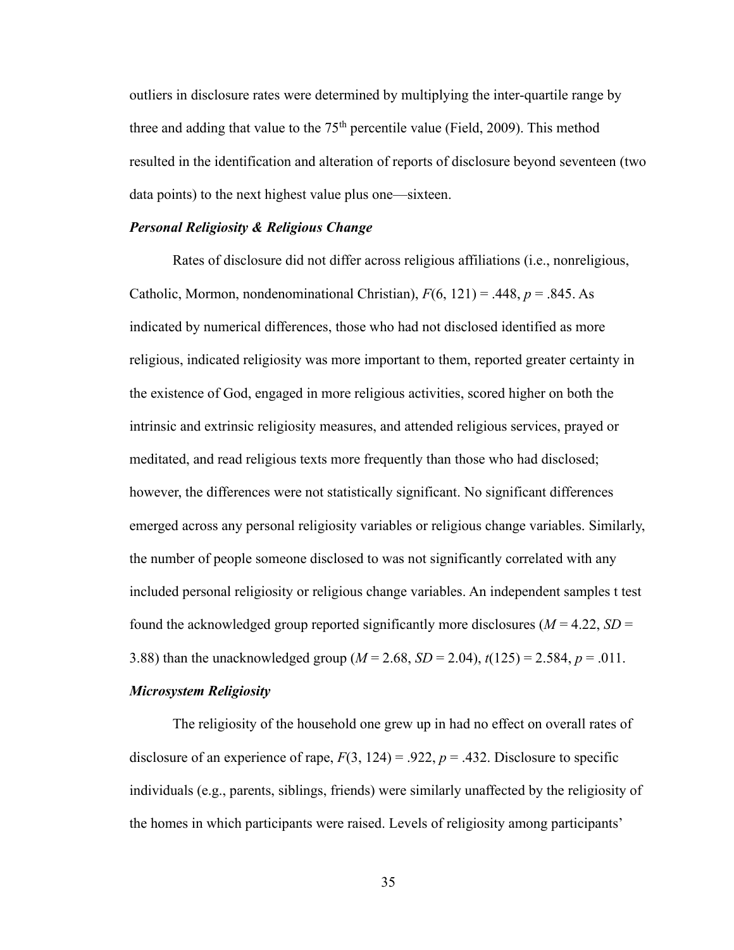outliers in disclosure rates were determined by multiplying the inter-quartile range by three and adding that value to the  $75<sup>th</sup>$  percentile value (Field, 2009). This method resulted in the identification and alteration of reports of disclosure beyond seventeen (two data points) to the next highest value plus one—sixteen.

#### *Personal Religiosity & Religious Change*

Rates of disclosure did not differ across religious affiliations (i.e., nonreligious, Catholic, Mormon, nondenominational Christian),  $F(6, 121) = .448$ ,  $p = .845$ . As indicated by numerical differences, those who had not disclosed identified as more religious, indicated religiosity was more important to them, reported greater certainty in the existence of God, engaged in more religious activities, scored higher on both the intrinsic and extrinsic religiosity measures, and attended religious services, prayed or meditated, and read religious texts more frequently than those who had disclosed; however, the differences were not statistically significant. No significant differences emerged across any personal religiosity variables or religious change variables. Similarly, the number of people someone disclosed to was not significantly correlated with any included personal religiosity or religious change variables. An independent samples t test found the acknowledged group reported significantly more disclosures ( $M = 4.22$ ,  $SD =$ 3.88) than the unacknowledged group (*M* = 2.68, *SD* = 2.04), *t*(125) = 2.584, *p* = .011.

#### *Microsystem Religiosity*

The religiosity of the household one grew up in had no effect on overall rates of disclosure of an experience of rape,  $F(3, 124) = .922$ ,  $p = .432$ . Disclosure to specific individuals (e.g., parents, siblings, friends) were similarly unaffected by the religiosity of the homes in which participants were raised. Levels of religiosity among participants'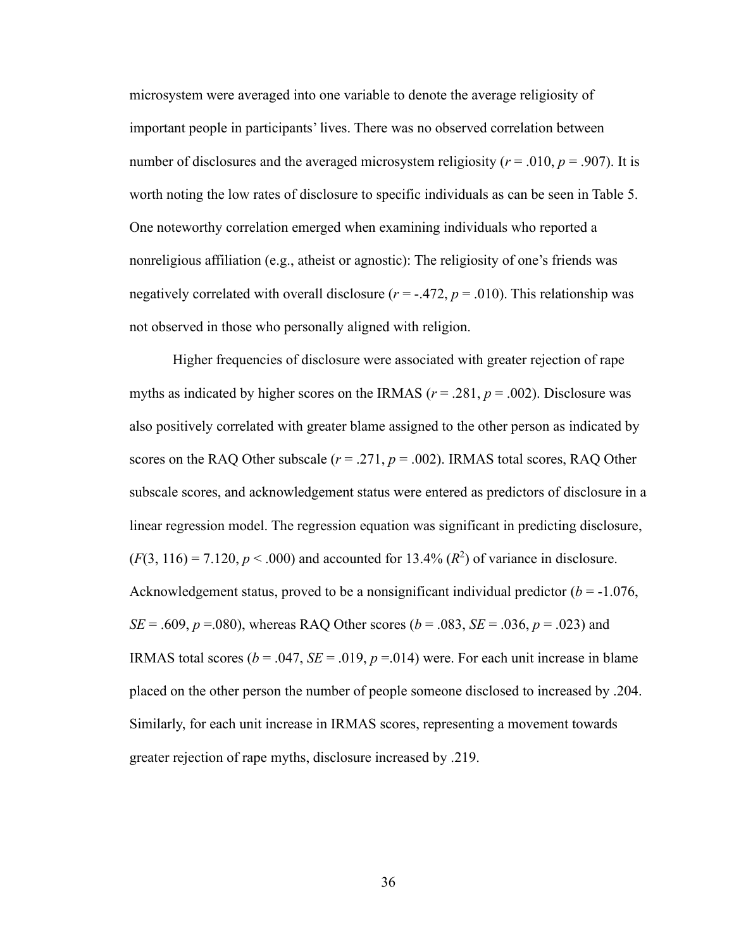microsystem were averaged into one variable to denote the average religiosity of important people in participants' lives. There was no observed correlation between number of disclosures and the averaged microsystem religiosity ( $r = .010$ ,  $p = .907$ ). It is worth noting the low rates of disclosure to specific individuals as can be seen in Table 5. One noteworthy correlation emerged when examining individuals who reported a nonreligious affiliation (e.g., atheist or agnostic): The religiosity of one's friends was negatively correlated with overall disclosure  $(r = .472, p = .010)$ . This relationship was not observed in those who personally aligned with religion.

Higher frequencies of disclosure were associated with greater rejection of rape myths as indicated by higher scores on the IRMAS ( $r = .281$ ,  $p = .002$ ). Disclosure was also positively correlated with greater blame assigned to the other person as indicated by scores on the RAQ Other subscale  $(r = .271, p = .002)$ . IRMAS total scores, RAQ Other subscale scores, and acknowledgement status were entered as predictors of disclosure in a linear regression model. The regression equation was significant in predicting disclosure,  $(F(3, 116) = 7.120, p < .000)$  and accounted for 13.4%  $(R^2)$  of variance in disclosure. Acknowledgement status, proved to be a nonsignificant individual predictor  $(b = -1.076)$ , *SE* = .609, *p* =.080), whereas RAQ Other scores (*b* = .083, *SE* = .036, *p* = .023) and IRMAS total scores ( $b = .047$ ,  $SE = .019$ ,  $p = .014$ ) were. For each unit increase in blame placed on the other person the number of people someone disclosed to increased by .204. Similarly, for each unit increase in IRMAS scores, representing a movement towards greater rejection of rape myths, disclosure increased by .219.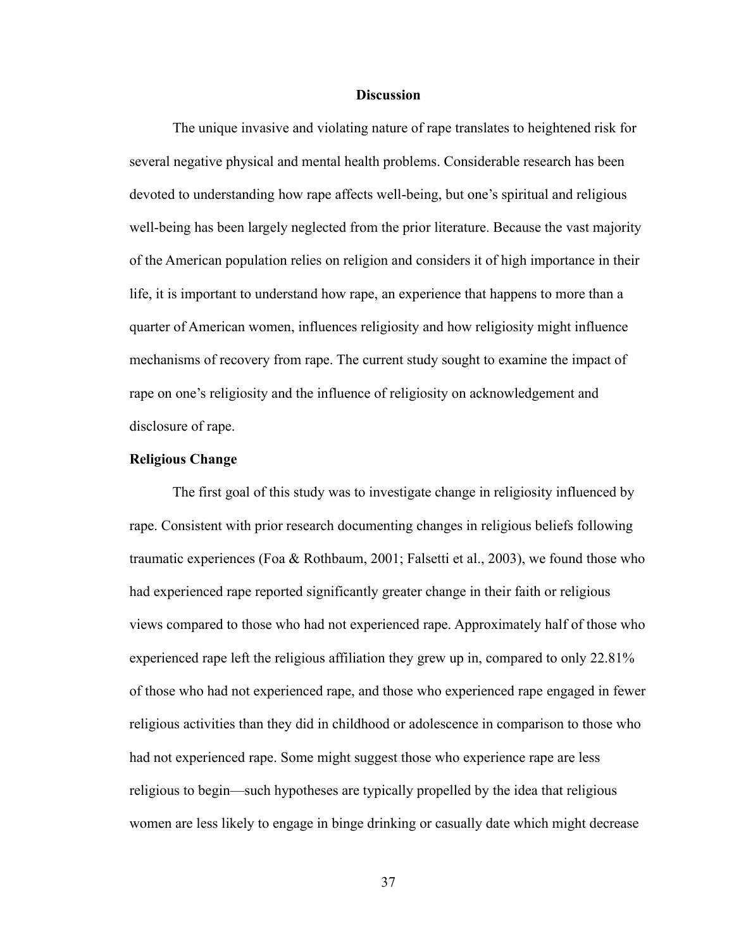#### **Discussion**

The unique invasive and violating nature of rape translates to heightened risk for several negative physical and mental health problems. Considerable research has been devoted to understanding how rape affects well-being, but one's spiritual and religious well-being has been largely neglected from the prior literature. Because the vast majority of the American population relies on religion and considers it of high importance in their life, it is important to understand how rape, an experience that happens to more than a quarter of American women, influences religiosity and how religiosity might influence mechanisms of recovery from rape. The current study sought to examine the impact of rape on one's religiosity and the influence of religiosity on acknowledgement and disclosure of rape.

#### **Religious Change**

The first goal of this study was to investigate change in religiosity influenced by rape. Consistent with prior research documenting changes in religious beliefs following traumatic experiences (Foa & Rothbaum, 2001; Falsetti et al., 2003), we found those who had experienced rape reported significantly greater change in their faith or religious views compared to those who had not experienced rape. Approximately half of those who experienced rape left the religious affiliation they grew up in, compared to only 22.81% of those who had not experienced rape, and those who experienced rape engaged in fewer religious activities than they did in childhood or adolescence in comparison to those who had not experienced rape. Some might suggest those who experience rape are less religious to begin—such hypotheses are typically propelled by the idea that religious women are less likely to engage in binge drinking or casually date which might decrease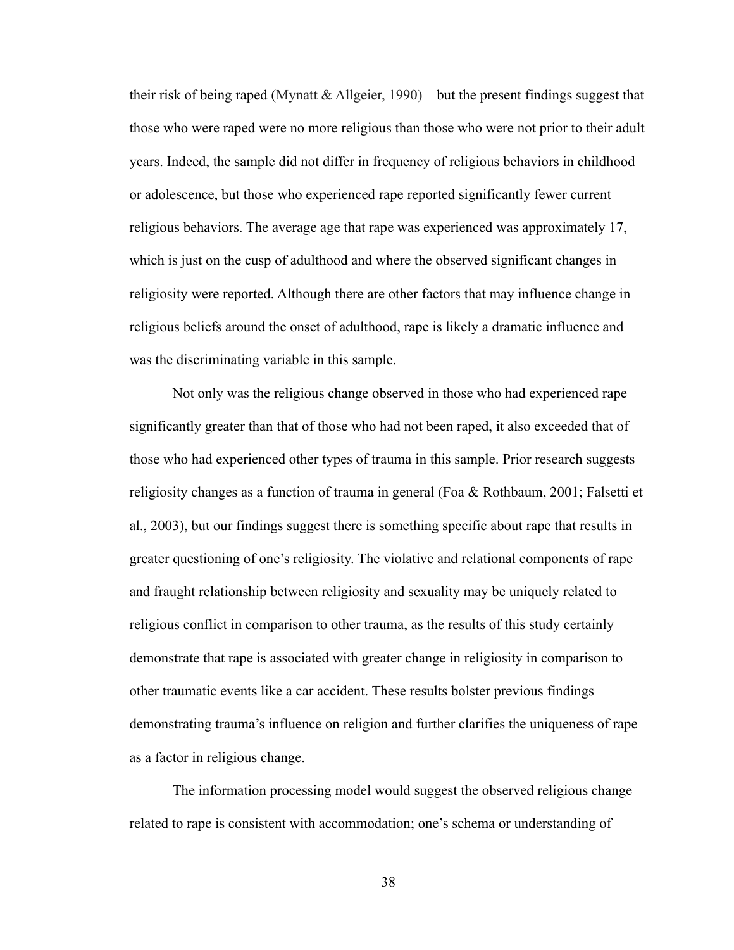their risk of being raped (Mynatt & Allgeier, 1990)—but the present findings suggest that those who were raped were no more religious than those who were not prior to their adult years. Indeed, the sample did not differ in frequency of religious behaviors in childhood or adolescence, but those who experienced rape reported significantly fewer current religious behaviors. The average age that rape was experienced was approximately 17, which is just on the cusp of adulthood and where the observed significant changes in religiosity were reported. Although there are other factors that may influence change in religious beliefs around the onset of adulthood, rape is likely a dramatic influence and was the discriminating variable in this sample.

Not only was the religious change observed in those who had experienced rape significantly greater than that of those who had not been raped, it also exceeded that of those who had experienced other types of trauma in this sample. Prior research suggests religiosity changes as a function of trauma in general (Foa & Rothbaum, 2001; Falsetti et al., 2003), but our findings suggest there is something specific about rape that results in greater questioning of one's religiosity. The violative and relational components of rape and fraught relationship between religiosity and sexuality may be uniquely related to religious conflict in comparison to other trauma, as the results of this study certainly demonstrate that rape is associated with greater change in religiosity in comparison to other traumatic events like a car accident. These results bolster previous findings demonstrating trauma's influence on religion and further clarifies the uniqueness of rape as a factor in religious change.

The information processing model would suggest the observed religious change related to rape is consistent with accommodation; one's schema or understanding of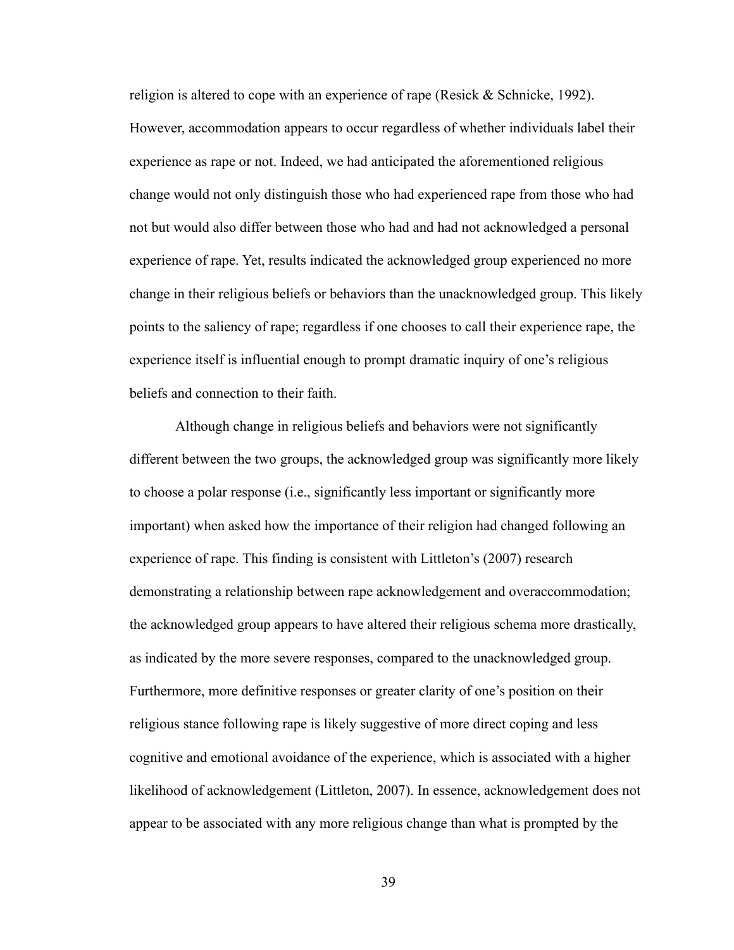religion is altered to cope with an experience of rape (Resick & Schnicke, 1992). However, accommodation appears to occur regardless of whether individuals label their experience as rape or not. Indeed, we had anticipated the aforementioned religious change would not only distinguish those who had experienced rape from those who had not but would also differ between those who had and had not acknowledged a personal experience of rape. Yet, results indicated the acknowledged group experienced no more change in their religious beliefs or behaviors than the unacknowledged group. This likely points to the saliency of rape; regardless if one chooses to call their experience rape, the experience itself is influential enough to prompt dramatic inquiry of one's religious beliefs and connection to their faith.

Although change in religious beliefs and behaviors were not significantly different between the two groups, the acknowledged group was significantly more likely to choose a polar response (i.e., significantly less important or significantly more important) when asked how the importance of their religion had changed following an experience of rape. This finding is consistent with Littleton's (2007) research demonstrating a relationship between rape acknowledgement and overaccommodation; the acknowledged group appears to have altered their religious schema more drastically, as indicated by the more severe responses, compared to the unacknowledged group. Furthermore, more definitive responses or greater clarity of one's position on their religious stance following rape is likely suggestive of more direct coping and less cognitive and emotional avoidance of the experience, which is associated with a higher likelihood of acknowledgement (Littleton, 2007). In essence, acknowledgement does not appear to be associated with any more religious change than what is prompted by the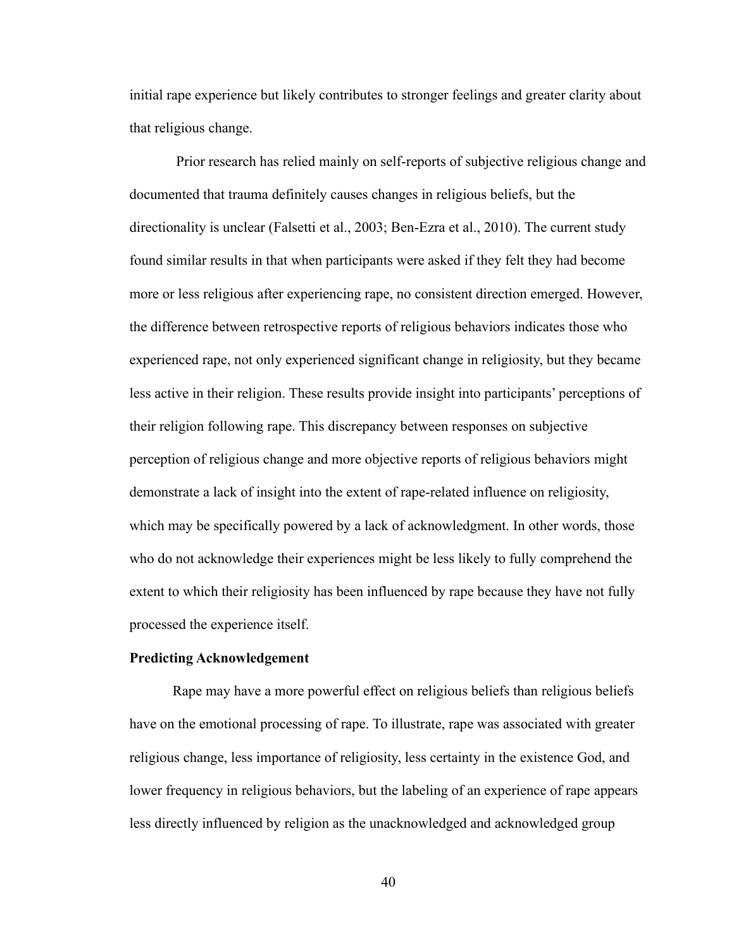initial rape experience but likely contributes to stronger feelings and greater clarity about that religious change.

Prior research has relied mainly on self-reports of subjective religious change and documented that trauma definitely causes changes in religious beliefs, but the directionality is unclear (Falsetti et al., 2003; Ben-Ezra et al., 2010). The current study found similar results in that when participants were asked if they felt they had become more or less religious after experiencing rape, no consistent direction emerged. However, the difference between retrospective reports of religious behaviors indicates those who experienced rape, not only experienced significant change in religiosity, but they became less active in their religion. These results provide insight into participants' perceptions of their religion following rape. This discrepancy between responses on subjective perception of religious change and more objective reports of religious behaviors might demonstrate a lack of insight into the extent of rape-related influence on religiosity, which may be specifically powered by a lack of acknowledgment. In other words, those who do not acknowledge their experiences might be less likely to fully comprehend the extent to which their religiosity has been influenced by rape because they have not fully processed the experience itself.

#### **Predicting Acknowledgement**

Rape may have a more powerful effect on religious beliefs than religious beliefs have on the emotional processing of rape. To illustrate, rape was associated with greater religious change, less importance of religiosity, less certainty in the existence God, and lower frequency in religious behaviors, but the labeling of an experience of rape appears less directly influenced by religion as the unacknowledged and acknowledged group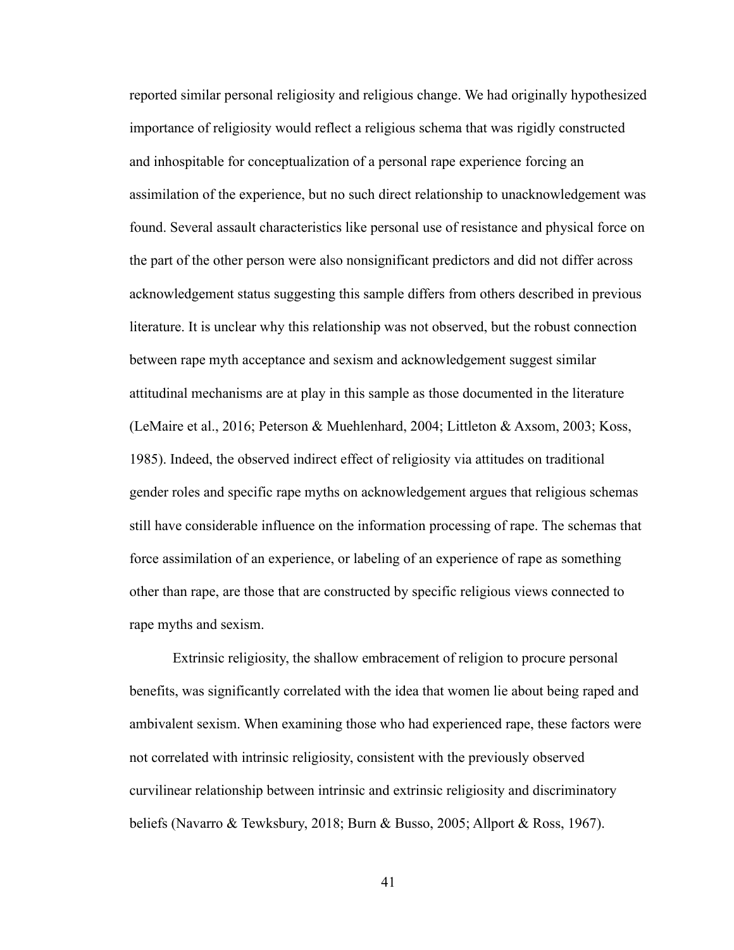reported similar personal religiosity and religious change. We had originally hypothesized importance of religiosity would reflect a religious schema that was rigidly constructed and inhospitable for conceptualization of a personal rape experience forcing an assimilation of the experience, but no such direct relationship to unacknowledgement was found. Several assault characteristics like personal use of resistance and physical force on the part of the other person were also nonsignificant predictors and did not differ across acknowledgement status suggesting this sample differs from others described in previous literature. It is unclear why this relationship was not observed, but the robust connection between rape myth acceptance and sexism and acknowledgement suggest similar attitudinal mechanisms are at play in this sample as those documented in the literature (LeMaire et al., 2016; Peterson & Muehlenhard, 2004; Littleton & Axsom, 2003; Koss, 1985). Indeed, the observed indirect effect of religiosity via attitudes on traditional gender roles and specific rape myths on acknowledgement argues that religious schemas still have considerable influence on the information processing of rape. The schemas that force assimilation of an experience, or labeling of an experience of rape as something other than rape, are those that are constructed by specific religious views connected to rape myths and sexism.

Extrinsic religiosity, the shallow embracement of religion to procure personal benefits, was significantly correlated with the idea that women lie about being raped and ambivalent sexism. When examining those who had experienced rape, these factors were not correlated with intrinsic religiosity, consistent with the previously observed curvilinear relationship between intrinsic and extrinsic religiosity and discriminatory beliefs (Navarro & Tewksbury, 2018; Burn & Busso, 2005; Allport & Ross, 1967).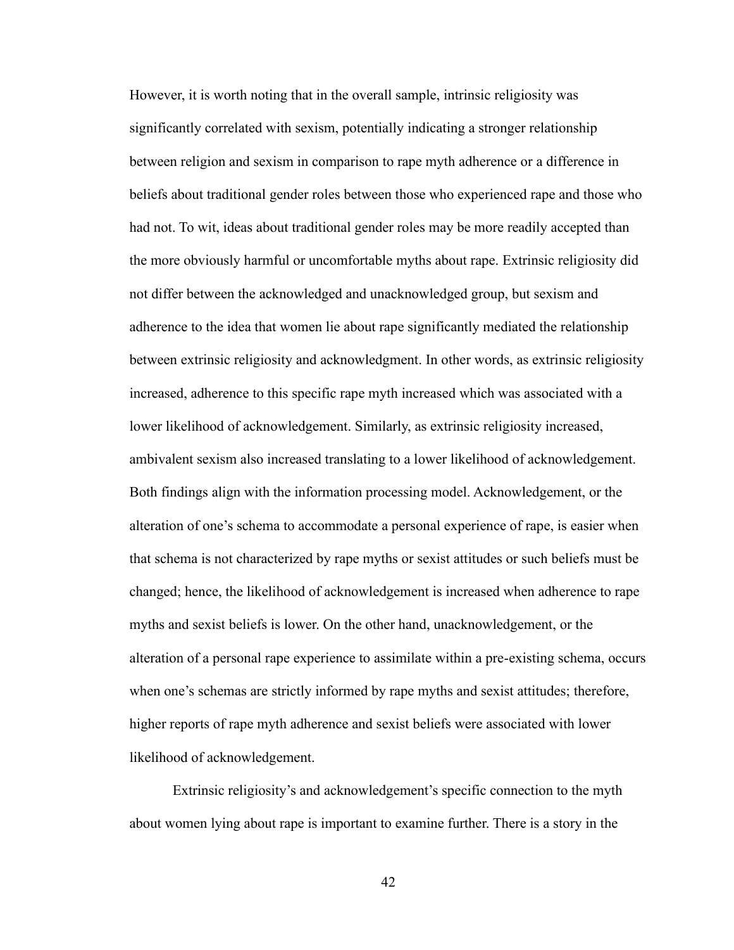However, it is worth noting that in the overall sample, intrinsic religiosity was significantly correlated with sexism, potentially indicating a stronger relationship between religion and sexism in comparison to rape myth adherence or a difference in beliefs about traditional gender roles between those who experienced rape and those who had not. To wit, ideas about traditional gender roles may be more readily accepted than the more obviously harmful or uncomfortable myths about rape. Extrinsic religiosity did not differ between the acknowledged and unacknowledged group, but sexism and adherence to the idea that women lie about rape significantly mediated the relationship between extrinsic religiosity and acknowledgment. In other words, as extrinsic religiosity increased, adherence to this specific rape myth increased which was associated with a lower likelihood of acknowledgement. Similarly, as extrinsic religiosity increased, ambivalent sexism also increased translating to a lower likelihood of acknowledgement. Both findings align with the information processing model. Acknowledgement, or the alteration of one's schema to accommodate a personal experience of rape, is easier when that schema is not characterized by rape myths or sexist attitudes or such beliefs must be changed; hence, the likelihood of acknowledgement is increased when adherence to rape myths and sexist beliefs is lower. On the other hand, unacknowledgement, or the alteration of a personal rape experience to assimilate within a pre-existing schema, occurs when one's schemas are strictly informed by rape myths and sexist attitudes; therefore, higher reports of rape myth adherence and sexist beliefs were associated with lower likelihood of acknowledgement.

Extrinsic religiosity's and acknowledgement's specific connection to the myth about women lying about rape is important to examine further. There is a story in the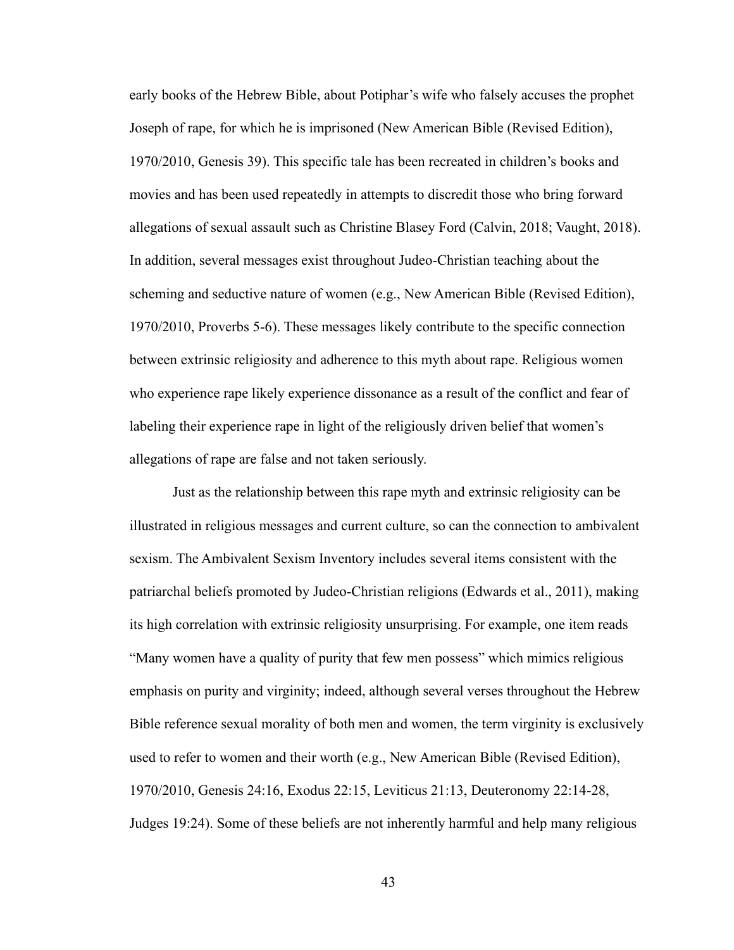early books of the Hebrew Bible, about Potiphar's wife who falsely accuses the prophet Joseph of rape, for which he is imprisoned (New American Bible (Revised Edition), 1970/2010, Genesis 39). This specific tale has been recreated in children's books and movies and has been used repeatedly in attempts to discredit those who bring forward allegations of sexual assault such as Christine Blasey Ford (Calvin, 2018; Vaught, 2018). In addition, several messages exist throughout Judeo-Christian teaching about the scheming and seductive nature of women (e.g., New American Bible (Revised Edition), 1970/2010, Proverbs 5-6). These messages likely contribute to the specific connection between extrinsic religiosity and adherence to this myth about rape. Religious women who experience rape likely experience dissonance as a result of the conflict and fear of labeling their experience rape in light of the religiously driven belief that women's allegations of rape are false and not taken seriously.

Just as the relationship between this rape myth and extrinsic religiosity can be illustrated in religious messages and current culture, so can the connection to ambivalent sexism. The Ambivalent Sexism Inventory includes several items consistent with the patriarchal beliefs promoted by Judeo-Christian religions (Edwards et al., 2011), making its high correlation with extrinsic religiosity unsurprising. For example, one item reads "Many women have a quality of purity that few men possess" which mimics religious emphasis on purity and virginity; indeed, although several verses throughout the Hebrew Bible reference sexual morality of both men and women, the term virginity is exclusively used to refer to women and their worth (e.g., New American Bible (Revised Edition), 1970/2010, Genesis 24:16, Exodus 22:15, Leviticus 21:13, Deuteronomy 22:14-28, Judges 19:24). Some of these beliefs are not inherently harmful and help many religious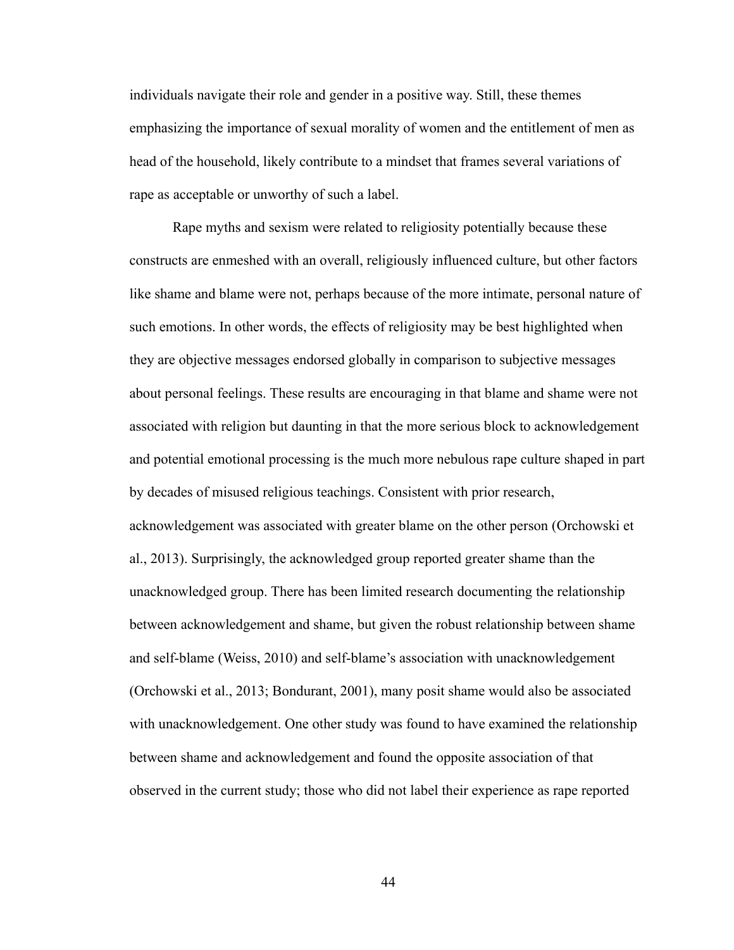individuals navigate their role and gender in a positive way. Still, these themes emphasizing the importance of sexual morality of women and the entitlement of men as head of the household, likely contribute to a mindset that frames several variations of rape as acceptable or unworthy of such a label.

Rape myths and sexism were related to religiosity potentially because these constructs are enmeshed with an overall, religiously influenced culture, but other factors like shame and blame were not, perhaps because of the more intimate, personal nature of such emotions. In other words, the effects of religiosity may be best highlighted when they are objective messages endorsed globally in comparison to subjective messages about personal feelings. These results are encouraging in that blame and shame were not associated with religion but daunting in that the more serious block to acknowledgement and potential emotional processing is the much more nebulous rape culture shaped in part by decades of misused religious teachings. Consistent with prior research, acknowledgement was associated with greater blame on the other person (Orchowski et al., 2013). Surprisingly, the acknowledged group reported greater shame than the unacknowledged group. There has been limited research documenting the relationship between acknowledgement and shame, but given the robust relationship between shame and self-blame (Weiss, 2010) and self-blame's association with unacknowledgement (Orchowski et al., 2013; Bondurant, 2001), many posit shame would also be associated with unacknowledgement. One other study was found to have examined the relationship between shame and acknowledgement and found the opposite association of that observed in the current study; those who did not label their experience as rape reported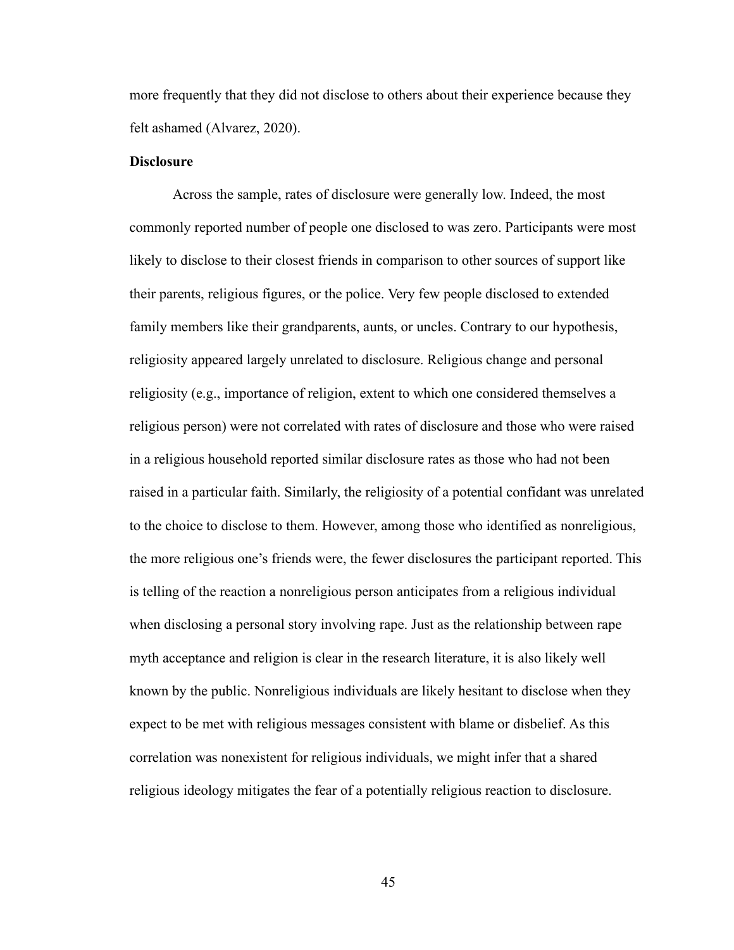more frequently that they did not disclose to others about their experience because they felt ashamed (Alvarez, 2020).

#### **Disclosure**

Across the sample, rates of disclosure were generally low. Indeed, the most commonly reported number of people one disclosed to was zero. Participants were most likely to disclose to their closest friends in comparison to other sources of support like their parents, religious figures, or the police. Very few people disclosed to extended family members like their grandparents, aunts, or uncles. Contrary to our hypothesis, religiosity appeared largely unrelated to disclosure. Religious change and personal religiosity (e.g., importance of religion, extent to which one considered themselves a religious person) were not correlated with rates of disclosure and those who were raised in a religious household reported similar disclosure rates as those who had not been raised in a particular faith. Similarly, the religiosity of a potential confidant was unrelated to the choice to disclose to them. However, among those who identified as nonreligious, the more religious one's friends were, the fewer disclosures the participant reported. This is telling of the reaction a nonreligious person anticipates from a religious individual when disclosing a personal story involving rape. Just as the relationship between rape myth acceptance and religion is clear in the research literature, it is also likely well known by the public. Nonreligious individuals are likely hesitant to disclose when they expect to be met with religious messages consistent with blame or disbelief. As this correlation was nonexistent for religious individuals, we might infer that a shared religious ideology mitigates the fear of a potentially religious reaction to disclosure.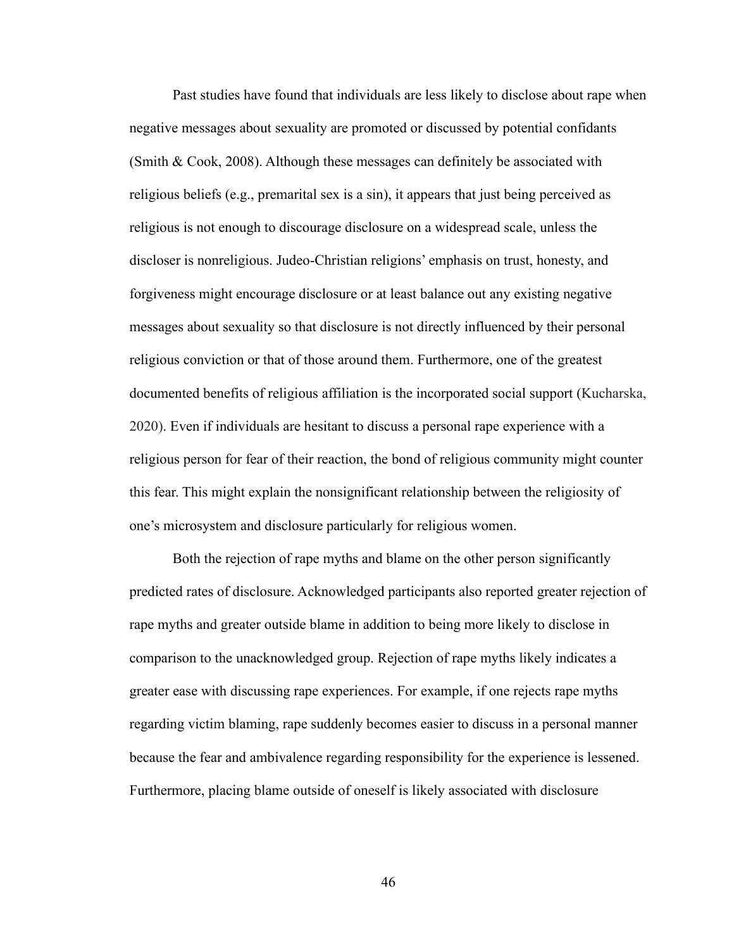Past studies have found that individuals are less likely to disclose about rape when negative messages about sexuality are promoted or discussed by potential confidants (Smith & Cook, 2008). Although these messages can definitely be associated with religious beliefs (e.g., premarital sex is a sin), it appears that just being perceived as religious is not enough to discourage disclosure on a widespread scale, unless the discloser is nonreligious. Judeo-Christian religions' emphasis on trust, honesty, and forgiveness might encourage disclosure or at least balance out any existing negative messages about sexuality so that disclosure is not directly influenced by their personal religious conviction or that of those around them. Furthermore, one of the greatest documented benefits of religious affiliation is the incorporated social support (Kucharska, 2020). Even if individuals are hesitant to discuss a personal rape experience with a religious person for fear of their reaction, the bond of religious community might counter this fear. This might explain the nonsignificant relationship between the religiosity of one's microsystem and disclosure particularly for religious women.

Both the rejection of rape myths and blame on the other person significantly predicted rates of disclosure. Acknowledged participants also reported greater rejection of rape myths and greater outside blame in addition to being more likely to disclose in comparison to the unacknowledged group. Rejection of rape myths likely indicates a greater ease with discussing rape experiences. For example, if one rejects rape myths regarding victim blaming, rape suddenly becomes easier to discuss in a personal manner because the fear and ambivalence regarding responsibility for the experience is lessened. Furthermore, placing blame outside of oneself is likely associated with disclosure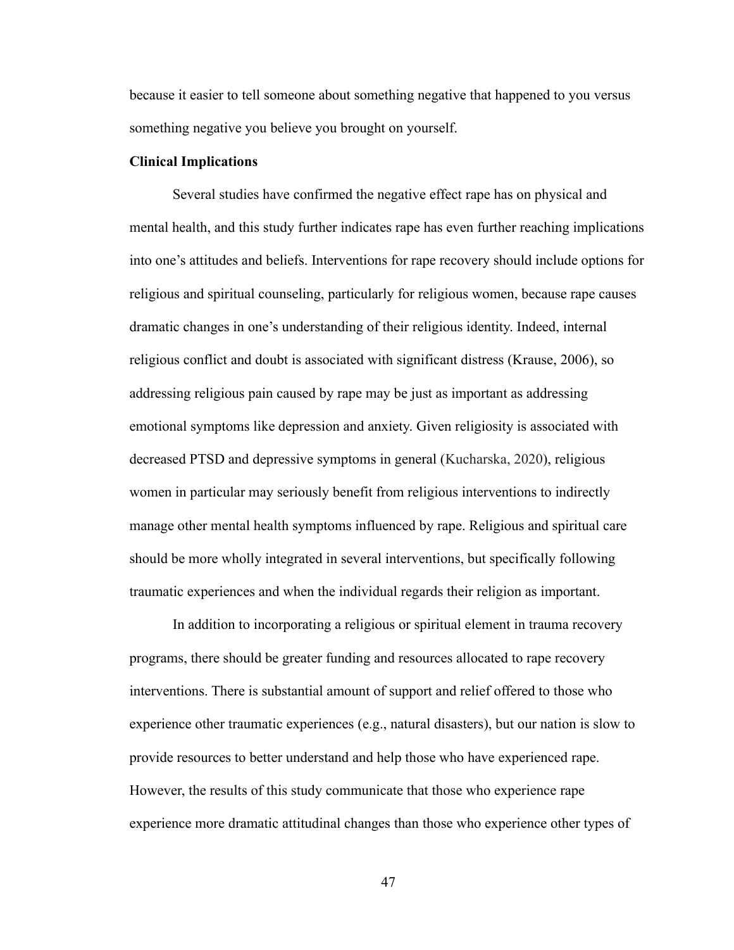because it easier to tell someone about something negative that happened to you versus something negative you believe you brought on yourself.

#### **Clinical Implications**

Several studies have confirmed the negative effect rape has on physical and mental health, and this study further indicates rape has even further reaching implications into one's attitudes and beliefs. Interventions for rape recovery should include options for religious and spiritual counseling, particularly for religious women, because rape causes dramatic changes in one's understanding of their religious identity. Indeed, internal religious conflict and doubt is associated with significant distress (Krause, 2006), so addressing religious pain caused by rape may be just as important as addressing emotional symptoms like depression and anxiety. Given religiosity is associated with decreased PTSD and depressive symptoms in general (Kucharska, 2020), religious women in particular may seriously benefit from religious interventions to indirectly manage other mental health symptoms influenced by rape. Religious and spiritual care should be more wholly integrated in several interventions, but specifically following traumatic experiences and when the individual regards their religion as important.

In addition to incorporating a religious or spiritual element in trauma recovery programs, there should be greater funding and resources allocated to rape recovery interventions. There is substantial amount of support and relief offered to those who experience other traumatic experiences (e.g., natural disasters), but our nation is slow to provide resources to better understand and help those who have experienced rape. However, the results of this study communicate that those who experience rape experience more dramatic attitudinal changes than those who experience other types of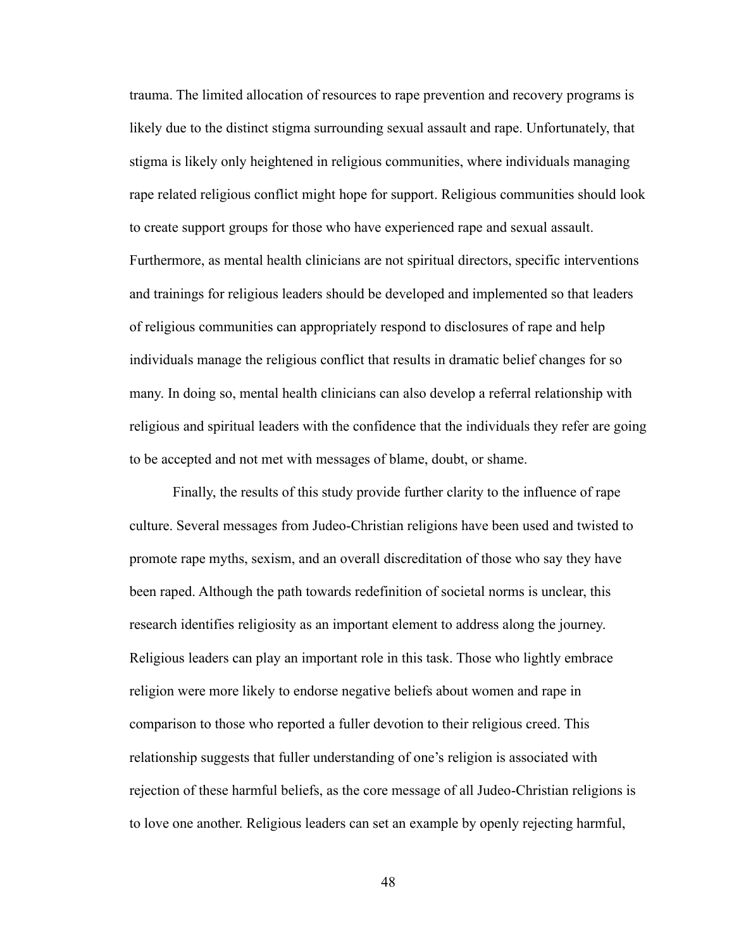trauma. The limited allocation of resources to rape prevention and recovery programs is likely due to the distinct stigma surrounding sexual assault and rape. Unfortunately, that stigma is likely only heightened in religious communities, where individuals managing rape related religious conflict might hope for support. Religious communities should look to create support groups for those who have experienced rape and sexual assault. Furthermore, as mental health clinicians are not spiritual directors, specific interventions and trainings for religious leaders should be developed and implemented so that leaders of religious communities can appropriately respond to disclosures of rape and help individuals manage the religious conflict that results in dramatic belief changes for so many. In doing so, mental health clinicians can also develop a referral relationship with religious and spiritual leaders with the confidence that the individuals they refer are going to be accepted and not met with messages of blame, doubt, or shame.

Finally, the results of this study provide further clarity to the influence of rape culture. Several messages from Judeo-Christian religions have been used and twisted to promote rape myths, sexism, and an overall discreditation of those who say they have been raped. Although the path towards redefinition of societal norms is unclear, this research identifies religiosity as an important element to address along the journey. Religious leaders can play an important role in this task. Those who lightly embrace religion were more likely to endorse negative beliefs about women and rape in comparison to those who reported a fuller devotion to their religious creed. This relationship suggests that fuller understanding of one's religion is associated with rejection of these harmful beliefs, as the core message of all Judeo-Christian religions is to love one another. Religious leaders can set an example by openly rejecting harmful,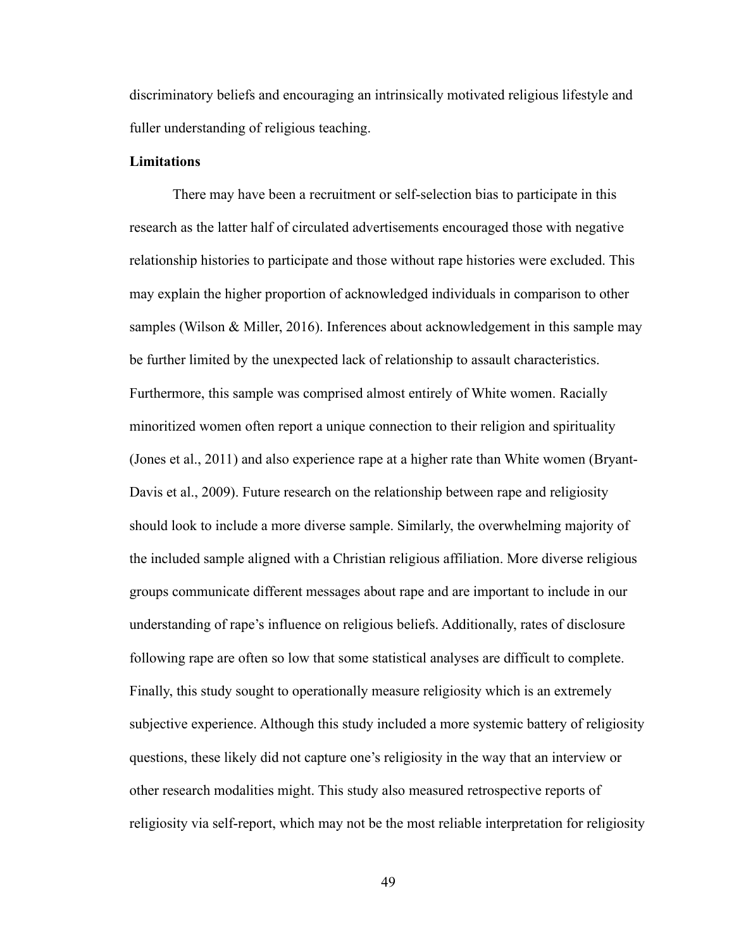discriminatory beliefs and encouraging an intrinsically motivated religious lifestyle and fuller understanding of religious teaching.

#### **Limitations**

There may have been a recruitment or self-selection bias to participate in this research as the latter half of circulated advertisements encouraged those with negative relationship histories to participate and those without rape histories were excluded. This may explain the higher proportion of acknowledged individuals in comparison to other samples (Wilson & Miller, 2016). Inferences about acknowledgement in this sample may be further limited by the unexpected lack of relationship to assault characteristics. Furthermore, this sample was comprised almost entirely of White women. Racially minoritized women often report a unique connection to their religion and spirituality (Jones et al., 2011) and also experience rape at a higher rate than White women (Bryant-Davis et al., 2009). Future research on the relationship between rape and religiosity should look to include a more diverse sample. Similarly, the overwhelming majority of the included sample aligned with a Christian religious affiliation. More diverse religious groups communicate different messages about rape and are important to include in our understanding of rape's influence on religious beliefs. Additionally, rates of disclosure following rape are often so low that some statistical analyses are difficult to complete. Finally, this study sought to operationally measure religiosity which is an extremely subjective experience. Although this study included a more systemic battery of religiosity questions, these likely did not capture one's religiosity in the way that an interview or other research modalities might. This study also measured retrospective reports of religiosity via self-report, which may not be the most reliable interpretation for religiosity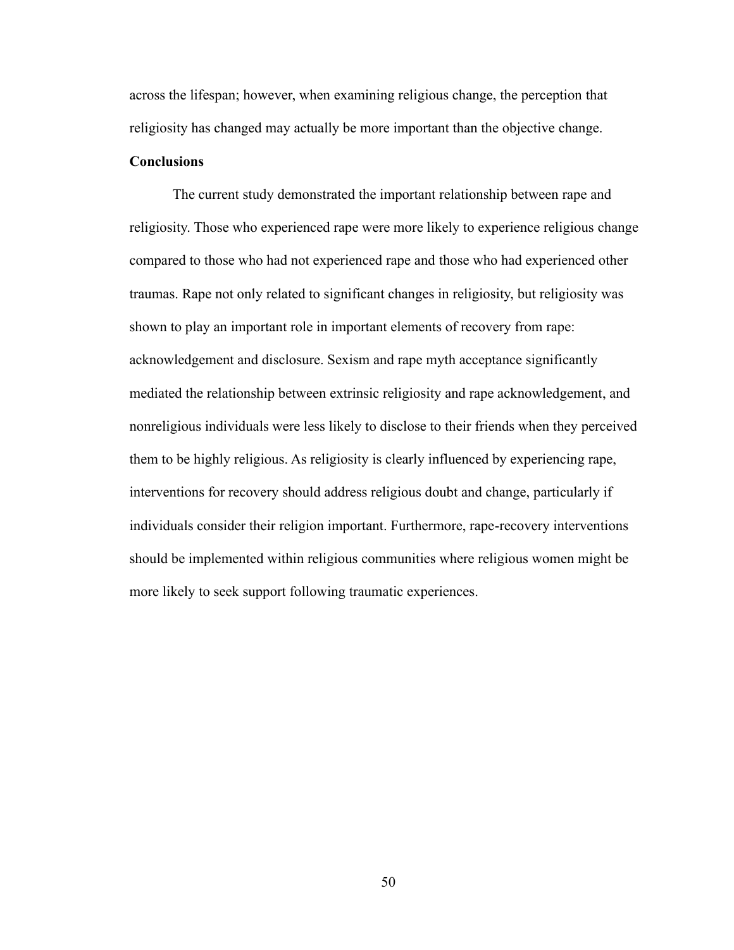across the lifespan; however, when examining religious change, the perception that religiosity has changed may actually be more important than the objective change.

#### **Conclusions**

The current study demonstrated the important relationship between rape and religiosity. Those who experienced rape were more likely to experience religious change compared to those who had not experienced rape and those who had experienced other traumas. Rape not only related to significant changes in religiosity, but religiosity was shown to play an important role in important elements of recovery from rape: acknowledgement and disclosure. Sexism and rape myth acceptance significantly mediated the relationship between extrinsic religiosity and rape acknowledgement, and nonreligious individuals were less likely to disclose to their friends when they perceived them to be highly religious. As religiosity is clearly influenced by experiencing rape, interventions for recovery should address religious doubt and change, particularly if individuals consider their religion important. Furthermore, rape-recovery interventions should be implemented within religious communities where religious women might be more likely to seek support following traumatic experiences.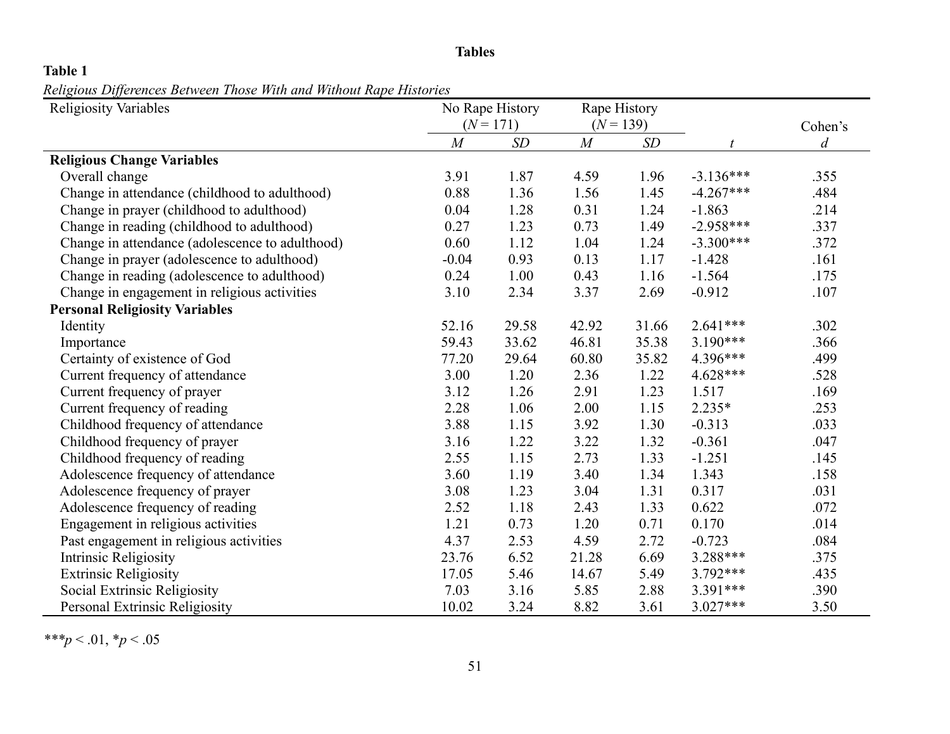### **Tables**

# **Table 1**

*Religious Differences Between Those With and Without Rape Histories* 

| <b>Religiosity Variables</b>                    |                | No Rape History |       | Rape History |             |                |
|-------------------------------------------------|----------------|-----------------|-------|--------------|-------------|----------------|
|                                                 |                | $(N = 171)$     |       | $(N = 139)$  |             | Cohen's        |
|                                                 | $\overline{M}$ | SD              | M     | SD           |             | $\overline{d}$ |
| <b>Religious Change Variables</b>               |                |                 |       |              |             |                |
| Overall change                                  | 3.91           | 1.87            | 4.59  | 1.96         | $-3.136***$ | .355           |
| Change in attendance (childhood to adulthood)   | 0.88           | 1.36            | 1.56  | 1.45         | $-4.267***$ | .484           |
| Change in prayer (childhood to adulthood)       | 0.04           | 1.28            | 0.31  | 1.24         | $-1.863$    | .214           |
| Change in reading (childhood to adulthood)      | 0.27           | 1.23            | 0.73  | 1.49         | $-2.958***$ | .337           |
| Change in attendance (adolescence to adulthood) | 0.60           | 1.12            | 1.04  | 1.24         | $-3.300***$ | .372           |
| Change in prayer (adolescence to adulthood)     | $-0.04$        | 0.93            | 0.13  | 1.17         | $-1.428$    | .161           |
| Change in reading (adolescence to adulthood)    | 0.24           | 1.00            | 0.43  | 1.16         | $-1.564$    | .175           |
| Change in engagement in religious activities    | 3.10           | 2.34            | 3.37  | 2.69         | $-0.912$    | .107           |
| <b>Personal Religiosity Variables</b>           |                |                 |       |              |             |                |
| Identity                                        | 52.16          | 29.58           | 42.92 | 31.66        | $2.641***$  | .302           |
| Importance                                      | 59.43          | 33.62           | 46.81 | 35.38        | $3.190***$  | .366           |
| Certainty of existence of God                   | 77.20          | 29.64           | 60.80 | 35.82        | 4.396***    | .499           |
| Current frequency of attendance                 | 3.00           | 1.20            | 2.36  | 1.22         | $4.628***$  | .528           |
| Current frequency of prayer                     | 3.12           | 1.26            | 2.91  | 1.23         | 1.517       | .169           |
| Current frequency of reading                    | 2.28           | 1.06            | 2.00  | 1.15         | $2.235*$    | .253           |
| Childhood frequency of attendance               | 3.88           | 1.15            | 3.92  | 1.30         | $-0.313$    | .033           |
| Childhood frequency of prayer                   | 3.16           | 1.22            | 3.22  | 1.32         | $-0.361$    | .047           |
| Childhood frequency of reading                  | 2.55           | 1.15            | 2.73  | 1.33         | $-1.251$    | .145           |
| Adolescence frequency of attendance             | 3.60           | 1.19            | 3.40  | 1.34         | 1.343       | .158           |
| Adolescence frequency of prayer                 | 3.08           | 1.23            | 3.04  | 1.31         | 0.317       | .031           |
| Adolescence frequency of reading                | 2.52           | 1.18            | 2.43  | 1.33         | 0.622       | .072           |
| Engagement in religious activities              | 1.21           | 0.73            | 1.20  | 0.71         | 0.170       | .014           |
| Past engagement in religious activities         | 4.37           | 2.53            | 4.59  | 2.72         | $-0.723$    | .084           |
| Intrinsic Religiosity                           | 23.76          | 6.52            | 21.28 | 6.69         | 3.288***    | .375           |
| <b>Extrinsic Religiosity</b>                    | 17.05          | 5.46            | 14.67 | 5.49         | $3.792***$  | .435           |
| Social Extrinsic Religiosity                    | 7.03           | 3.16            | 5.85  | 2.88         | 3.391***    | .390           |
| Personal Extrinsic Religiosity                  | 10.02          | 3.24            | 8.82  | 3.61         | $3.027***$  | 3.50           |

*\*\*\*p* < .01, \**p* < .05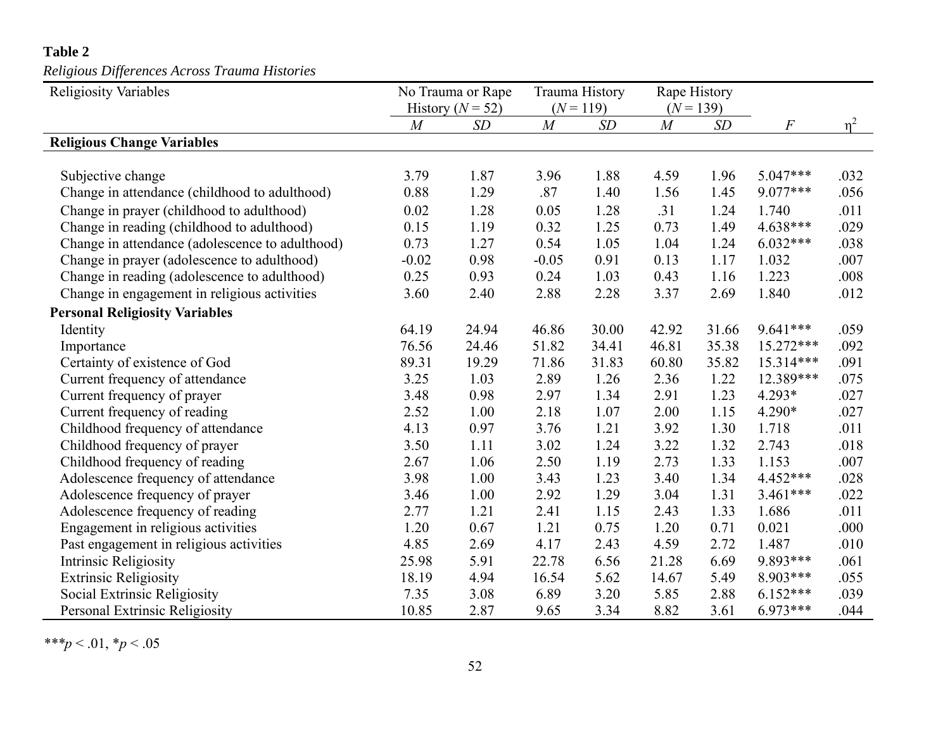# **Table 2**

*Religious Differences Across Trauma Histories*

| <b>Religiosity Variables</b>                    | No Trauma or Rape    |       |         | Trauma History |       | Rape History |                  |          |
|-------------------------------------------------|----------------------|-------|---------|----------------|-------|--------------|------------------|----------|
|                                                 | History ( $N = 52$ ) |       |         | $(N = 119)$    |       | $(N = 139)$  |                  |          |
|                                                 | $\overline{M}$       | SD    | M       | SD             | M     | SD           | $\boldsymbol{F}$ | $\eta^2$ |
| <b>Religious Change Variables</b>               |                      |       |         |                |       |              |                  |          |
|                                                 |                      |       |         |                |       |              |                  |          |
| Subjective change                               | 3.79                 | 1.87  | 3.96    | 1.88           | 4.59  | 1.96         | $5.047***$       | .032     |
| Change in attendance (childhood to adulthood)   | 0.88                 | 1.29  | .87     | 1.40           | 1.56  | 1.45         | $9.077***$       | .056     |
| Change in prayer (childhood to adulthood)       | 0.02                 | 1.28  | 0.05    | 1.28           | .31   | 1.24         | 1.740            | .011     |
| Change in reading (childhood to adulthood)      | 0.15                 | 1.19  | 0.32    | 1.25           | 0.73  | 1.49         | $4.638***$       | .029     |
| Change in attendance (adolescence to adulthood) | 0.73                 | 1.27  | 0.54    | 1.05           | 1.04  | 1.24         | $6.032***$       | .038     |
| Change in prayer (adolescence to adulthood)     | $-0.02$              | 0.98  | $-0.05$ | 0.91           | 0.13  | 1.17         | 1.032            | .007     |
| Change in reading (adolescence to adulthood)    | 0.25                 | 0.93  | 0.24    | 1.03           | 0.43  | 1.16         | 1.223            | .008     |
| Change in engagement in religious activities    | 3.60                 | 2.40  | 2.88    | 2.28           | 3.37  | 2.69         | 1.840            | .012     |
| <b>Personal Religiosity Variables</b>           |                      |       |         |                |       |              |                  |          |
| Identity                                        | 64.19                | 24.94 | 46.86   | 30.00          | 42.92 | 31.66        | $9.641***$       | .059     |
| Importance                                      | 76.56                | 24.46 | 51.82   | 34.41          | 46.81 | 35.38        | 15.272***        | .092     |
| Certainty of existence of God                   | 89.31                | 19.29 | 71.86   | 31.83          | 60.80 | 35.82        | 15.314***        | .091     |
| Current frequency of attendance                 | 3.25                 | 1.03  | 2.89    | 1.26           | 2.36  | 1.22         | 12.389***        | .075     |
| Current frequency of prayer                     | 3.48                 | 0.98  | 2.97    | 1.34           | 2.91  | 1.23         | $4.293*$         | .027     |
| Current frequency of reading                    | 2.52                 | 1.00  | 2.18    | 1.07           | 2.00  | 1.15         | $4.290*$         | .027     |
| Childhood frequency of attendance               | 4.13                 | 0.97  | 3.76    | 1.21           | 3.92  | 1.30         | 1.718            | .011     |
| Childhood frequency of prayer                   | 3.50                 | 1.11  | 3.02    | 1.24           | 3.22  | 1.32         | 2.743            | .018     |
| Childhood frequency of reading                  | 2.67                 | 1.06  | 2.50    | 1.19           | 2.73  | 1.33         | 1.153            | .007     |
| Adolescence frequency of attendance             | 3.98                 | 1.00  | 3.43    | 1.23           | 3.40  | 1.34         | $4.452***$       | .028     |
| Adolescence frequency of prayer                 | 3.46                 | 1.00  | 2.92    | 1.29           | 3.04  | 1.31         | $3.461***$       | .022     |
| Adolescence frequency of reading                | 2.77                 | 1.21  | 2.41    | 1.15           | 2.43  | 1.33         | 1.686            | .011     |
| Engagement in religious activities              | 1.20                 | 0.67  | 1.21    | 0.75           | 1.20  | 0.71         | 0.021            | .000     |
| Past engagement in religious activities         | 4.85                 | 2.69  | 4.17    | 2.43           | 4.59  | 2.72         | 1.487            | .010     |
| Intrinsic Religiosity                           | 25.98                | 5.91  | 22.78   | 6.56           | 21.28 | 6.69         | 9.893***         | .061     |
| <b>Extrinsic Religiosity</b>                    | 18.19                | 4.94  | 16.54   | 5.62           | 14.67 | 5.49         | 8.903***         | .055     |
| Social Extrinsic Religiosity                    | 7.35                 | 3.08  | 6.89    | 3.20           | 5.85  | 2.88         | $6.152***$       | .039     |
| Personal Extrinsic Religiosity                  | 10.85                | 2.87  | 9.65    | 3.34           | 8.82  | 3.61         | $6.973***$       | .044     |

*\*\*\*p* < .01, \**p* < .05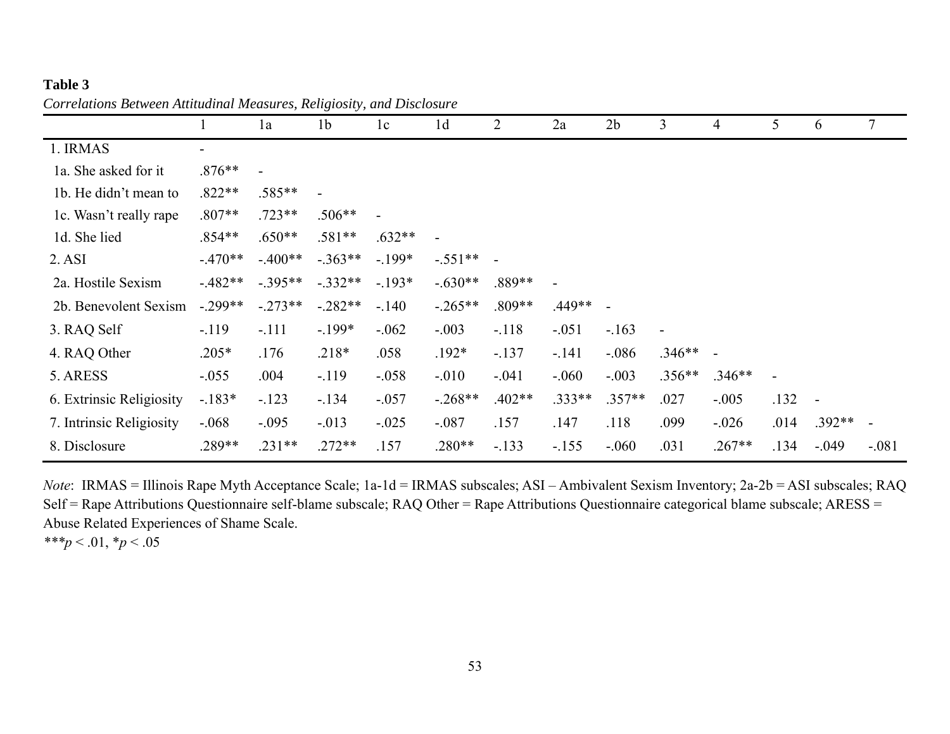### **Table 3**

|                          |           | 1a        | 1 <sub>b</sub> | 1c       | 1 <sub>d</sub> | 2        | 2a       | 2 <sub>b</sub> | 3        | 4        | 5    | 6                        | $\tau$  |
|--------------------------|-----------|-----------|----------------|----------|----------------|----------|----------|----------------|----------|----------|------|--------------------------|---------|
| 1. IRMAS                 | -         |           |                |          |                |          |          |                |          |          |      |                          |         |
| 1a. She asked for it     | $.876**$  |           |                |          |                |          |          |                |          |          |      |                          |         |
| 1b. He didn't mean to    | $.822**$  | $.585**$  |                |          |                |          |          |                |          |          |      |                          |         |
| 1c. Wasn't really rape   | $.807**$  | $.723**$  | $.506**$       |          |                |          |          |                |          |          |      |                          |         |
| 1d. She lied             | $.854**$  | $.650**$  | $.581**$       | $.632**$ | $\overline{a}$ |          |          |                |          |          |      |                          |         |
| 2. ASI                   | $-.470**$ | $-.400**$ | $-.363**$      | $-.199*$ | $-.551**$      |          |          |                |          |          |      |                          |         |
| 2a. Hostile Sexism       | $-.482**$ | $-.395**$ | $-.332**$      | $-.193*$ | $-.630**$      | $.889**$ |          |                |          |          |      |                          |         |
| 2b. Benevolent Sexism    | $-.299**$ | $-.273**$ | $-.282**$      | $-.140$  | $-.265**$      | $.809**$ | .449**   | $\blacksquare$ |          |          |      |                          |         |
| 3. RAQ Self              | $-119$    | $-.111$   | $-.199*$       | $-.062$  | $-.003$        | $-.118$  | $-.051$  | $-163$         |          |          |      |                          |         |
| 4. RAQ Other             | $.205*$   | .176      | $.218*$        | .058     | $.192*$        | $-.137$  | $-.141$  | $-.086$        | $.346**$ | $\sim$   |      |                          |         |
| 5. ARESS                 | $-.055$   | .004      | $-.119$        | $-.058$  | $-.010$        | $-0.041$ | $-0.060$ | $-.003$        | $.356**$ | $.346**$ |      |                          |         |
| 6. Extrinsic Religiosity | $-183*$   | $-.123$   | $-134$         | $-.057$  | $-.268**$      | $.402**$ | $.333**$ | $.357**$       | .027     | $-.005$  | .132 | $\overline{\phantom{a}}$ |         |
| 7. Intrinsic Religiosity | $-.068$   | $-.095$   | $-0.013$       | $-.025$  | $-.087$        | .157     | .147     | .118           | .099     | $-.026$  | .014 | $.392**$                 |         |
| 8. Disclosure            | .289**    | $.231**$  | $.272**$       | .157     | $.280**$       | $-.133$  | $-155$   | $-.060$        | .031     | $.267**$ | .134 | $-.049$                  | $-.081$ |

*Correlations Between Attitudinal Measures, Religiosity, and Disclosure*

*Note*: IRMAS = Illinois Rape Myth Acceptance Scale; 1a-1d = IRMAS subscales; ASI – Ambivalent Sexism Inventory; 2a-2b = ASI subscales; RAQ Self = Rape Attributions Questionnaire self-blame subscale; RAQ Other = Rape Attributions Questionnaire categorical blame subscale; ARESS = Abuse Related Experiences of Shame Scale.

*\*\*\*p* < .01, \**p* < .05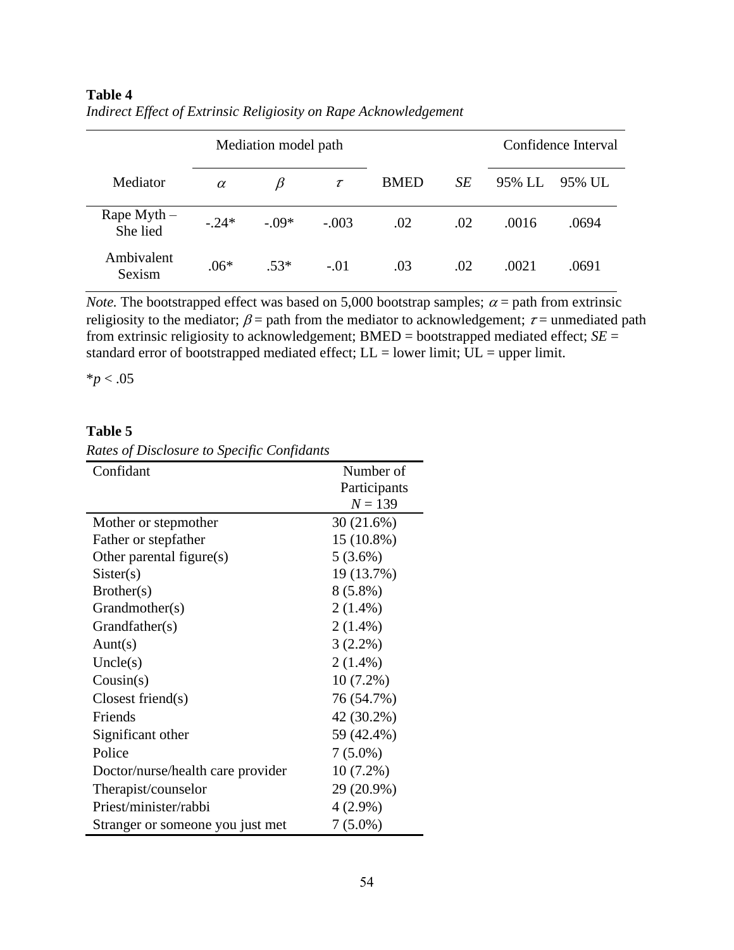|                           |          | Mediation model path |         |             |     |        | Confidence Interval |  |
|---------------------------|----------|----------------------|---------|-------------|-----|--------|---------------------|--|
| Mediator                  | $\alpha$ | B                    | $\tau$  | <b>BMED</b> | SE  | 95% LL | 95% UL              |  |
| Rape Myth $-$<br>She lied | $-.24*$  | $-.09*$              | $-.003$ | .02         | .02 | .0016  | .0694               |  |
| Ambivalent<br>Sexism      | $.06*$   | $.53*$               | $-.01$  | .03         | .02 | .0021  | .0691               |  |

# **Table 4** *Indirect Effect of Extrinsic Religiosity on Rape Acknowledgement*

*Note.* The bootstrapped effect was based on 5,000 bootstrap samples;  $\alpha$  = path from extrinsic religiosity to the mediator;  $\beta$  = path from the mediator to acknowledgement;  $\tau$  = unmediated path from extrinsic religiosity to acknowledgement;  $BMED =$  bootstrapped mediated effect;  $SE =$ standard error of bootstrapped mediated effect; LL = lower limit; UL = upper limit.

\**p* < .05

### **Table 5**

| Rates of Disclosure to Specific Confidants |  |  |
|--------------------------------------------|--|--|
|--------------------------------------------|--|--|

| Confidant                         | Number of<br>Participants<br>$N = 139$ |
|-----------------------------------|----------------------------------------|
| Mother or stepmother              | 30(21.6%)                              |
| Father or stepfather              | 15 (10.8%)                             |
| Other parental figure(s)          | $5(3.6\%)$                             |
| Sister(s)                         | 19 (13.7%)                             |
| Brother(s)                        | $8(5.8\%)$                             |
| Grandmother(s)                    | $2(1.4\%)$                             |
| Grandfather(s)                    | $2(1.4\%)$                             |
| Aunt(s)                           | $3(2.2\%)$                             |
| Uncle(s)                          | $2(1.4\%)$                             |
| Cousin(s)                         | $10(7.2\%)$                            |
| $\text{Closes friend(s)}$         | 76 (54.7%)                             |
| Friends                           | 42 (30.2%)                             |
| Significant other                 | 59 (42.4%)                             |
| Police                            | $7(5.0\%)$                             |
| Doctor/nurse/health care provider | $10(7.2\%)$                            |
| Therapist/counselor               | 29 (20.9%)                             |
| Priest/minister/rabbi             | $4(2.9\%)$                             |
| Stranger or someone you just met  | $7(5.0\%)$                             |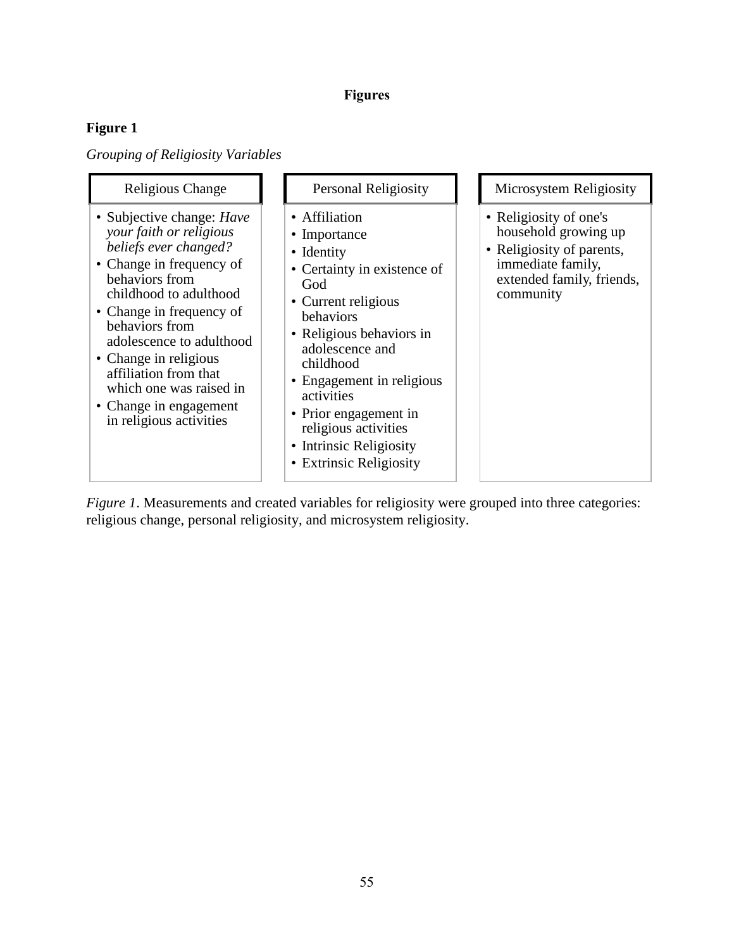# **Figures**

# **Figure 1**

*Grouping of Religiosity Variables*

| Religious Change                                                                                                                                                                                                                                                                                                                                                         | Personal Religiosity                                                                                                                                                                                                                                                                                                                                  | Microsystem Religiosity                                                                                                                    |
|--------------------------------------------------------------------------------------------------------------------------------------------------------------------------------------------------------------------------------------------------------------------------------------------------------------------------------------------------------------------------|-------------------------------------------------------------------------------------------------------------------------------------------------------------------------------------------------------------------------------------------------------------------------------------------------------------------------------------------------------|--------------------------------------------------------------------------------------------------------------------------------------------|
| • Subjective change: <i>Have</i><br>your faith or religious<br>beliefs ever changed?<br>• Change in frequency of<br>behaviors from<br>childhood to adulthood<br>• Change in frequency of<br>behaviors from<br>adolescence to adulthood<br>• Change in religious<br>affiliation from that<br>which one was raised in<br>• Change in engagement<br>in religious activities | • Affiliation<br>• Importance<br>• Identity<br>• Certainty in existence of<br>God<br>• Current religious<br>behaviors<br>• Religious behaviors in<br>adolescence and<br>childhood<br>• Engagement in religious<br>activities<br>• Prior engagement in<br>religious activities<br>• Intrinsic Religiosity<br><b>Extrinsic Religiosity</b><br>$\bullet$ | • Religiosity of one's<br>household growing up<br>• Religiosity of parents,<br>immediate family,<br>extended family, friends,<br>community |

*Figure 1*. Measurements and created variables for religiosity were grouped into three categories: religious change, personal religiosity, and microsystem religiosity.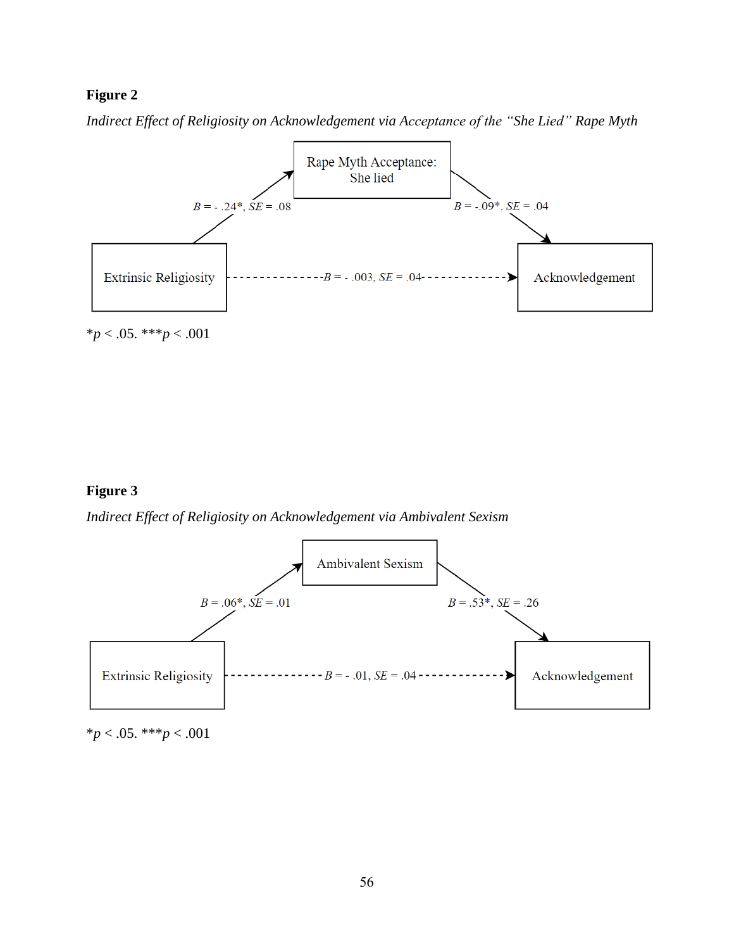## **Figure 2**

*Indirect Effect of Religiosity on Acknowledgement via Acceptance of the "She Lied" Rape Myth*



\**p* < .05. \*\*\**p* < .001

### **Figure 3**

*Indirect Effect of Religiosity on Acknowledgement via Ambivalent Sexism*



\**p* < .05. \*\*\**p* < .001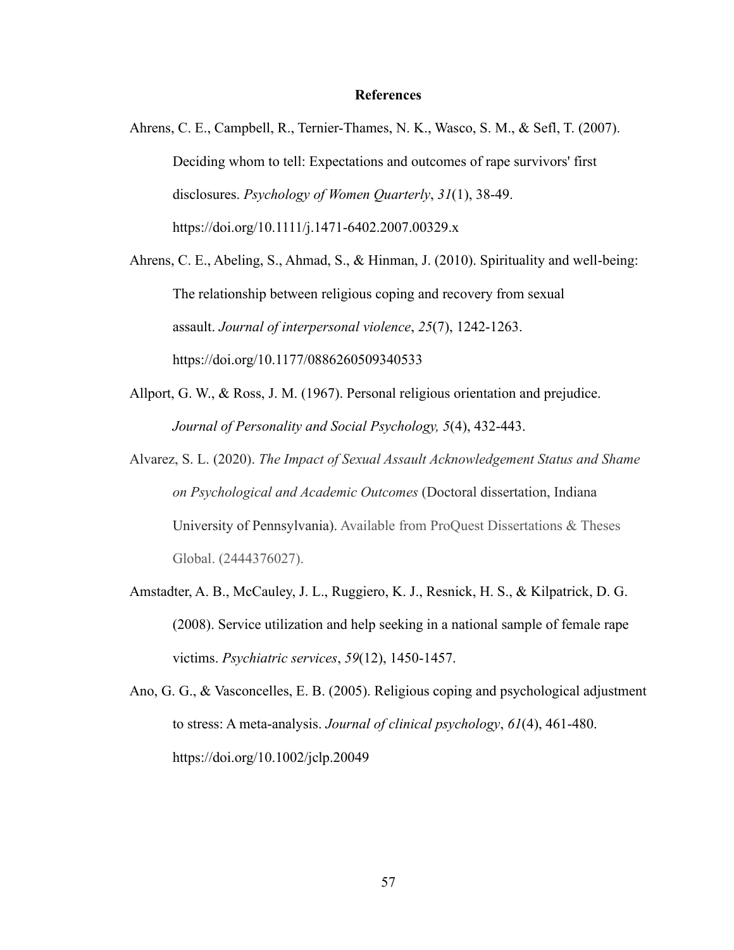#### **References**

Ahrens, C. E., Campbell, R., Ternier-Thames, N. K., Wasco, S. M., & Sefl, T. (2007). Deciding whom to tell: Expectations and outcomes of rape survivors' first disclosures. *Psychology of Women Quarterly*, *31*(1), 38-49. https://doi.org/10.1111/j.1471-6402.2007.00329.x

Ahrens, C. E., Abeling, S., Ahmad, S., & Hinman, J. (2010). Spirituality and well-being: The relationship between religious coping and recovery from sexual assault. *Journal of interpersonal violence*, *25*(7), 1242-1263. https://doi.org/10.1177/0886260509340533

- Allport, G. W., & Ross, J. M. (1967). Personal religious orientation and prejudice. *Journal of Personality and Social Psychology, 5*(4), 432-443.
- Alvarez, S. L. (2020). *The Impact of Sexual Assault Acknowledgement Status and Shame on Psychological and Academic Outcomes* (Doctoral dissertation, Indiana University of Pennsylvania). Available from ProQuest Dissertations & Theses Global. (2444376027).
- Amstadter, A. B., McCauley, J. L., Ruggiero, K. J., Resnick, H. S., & Kilpatrick, D. G. (2008). Service utilization and help seeking in a national sample of female rape victims. *Psychiatric services*, *59*(12), 1450-1457.
- Ano, G. G., & Vasconcelles, E. B. (2005). Religious coping and psychological adjustment to stress: A meta‐analysis. *Journal of clinical psychology*, *61*(4), 461-480. https://doi.org/10.1002/jclp.20049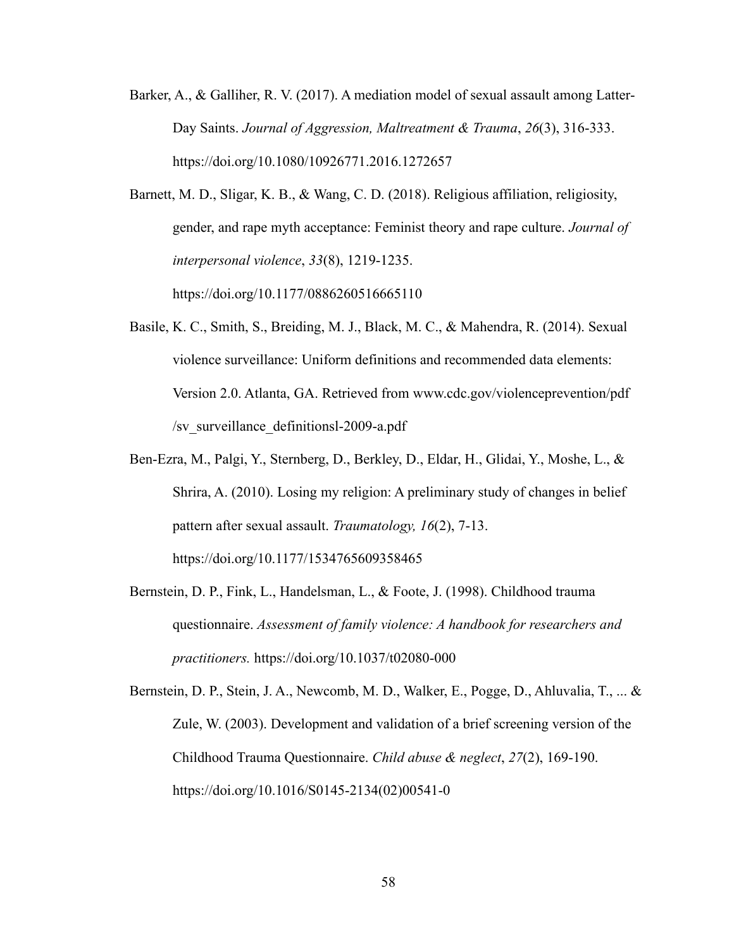- Barker, A., & Galliher, R. V. (2017). A mediation model of sexual assault among Latter-Day Saints. *Journal of Aggression, Maltreatment & Trauma*, *26*(3), 316-333. https://doi.org/10.1080/10926771.2016.1272657
- Barnett, M. D., Sligar, K. B., & Wang, C. D. (2018). Religious affiliation, religiosity, gender, and rape myth acceptance: Feminist theory and rape culture. *Journal of interpersonal violence*, *33*(8), 1219-1235. https://doi.org/10.1177/0886260516665110
- Basile, K. C., Smith, S., Breiding, M. J., Black, M. C., & Mahendra, R. (2014). Sexual violence surveillance: Uniform definitions and recommended data elements: Version 2.0. Atlanta, GA. Retrieved from www.cdc.gov/violenceprevention/pdf /sv\_surveillance\_definitionsl-2009-a.pdf
- Ben-Ezra, M., Palgi, Y., Sternberg, D., Berkley, D., Eldar, H., Glidai, Y., Moshe, L., & Shrira, A. (2010). Losing my religion: A preliminary study of changes in belief pattern after sexual assault. *Traumatology, 16*(2), 7-13. https://doi.org/10.1177/1534765609358465
- Bernstein, D. P., Fink, L., Handelsman, L., & Foote, J. (1998). Childhood trauma questionnaire. *Assessment of family violence: A handbook for researchers and practitioners.* https://doi.org/10.1037/t02080-000

Bernstein, D. P., Stein, J. A., Newcomb, M. D., Walker, E., Pogge, D., Ahluvalia, T., ... & Zule, W. (2003). Development and validation of a brief screening version of the Childhood Trauma Questionnaire. *Child abuse & neglect*, *27*(2), 169-190. https://doi.org/10.1016/S0145-2134(02)00541-0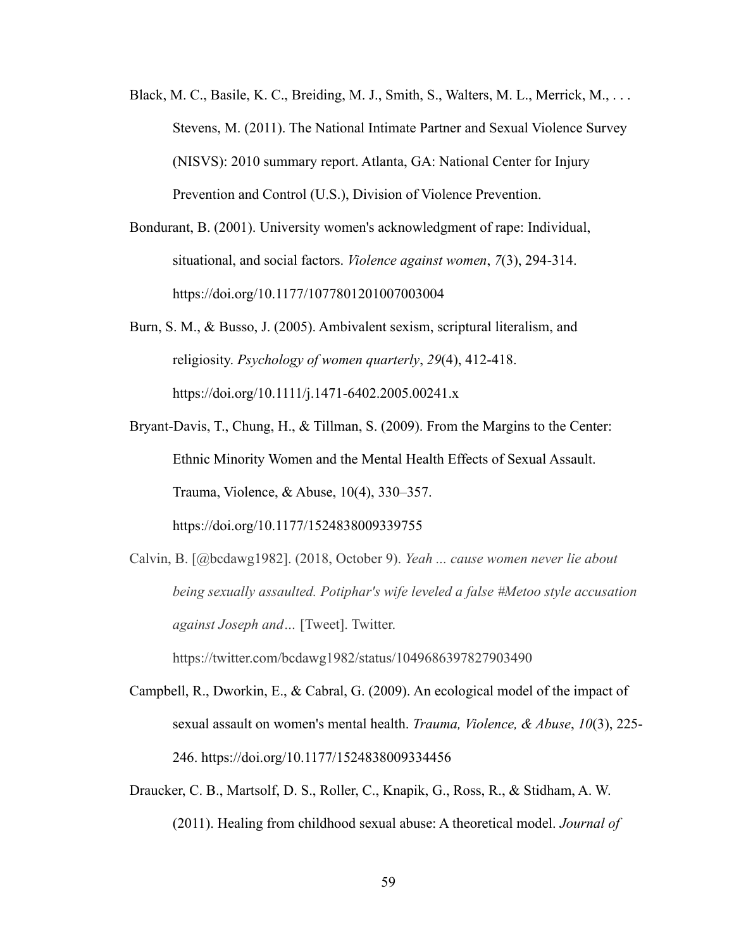- Black, M. C., Basile, K. C., Breiding, M. J., Smith, S., Walters, M. L., Merrick, M., . . . Stevens, M. (2011). The National Intimate Partner and Sexual Violence Survey (NISVS): 2010 summary report. Atlanta, GA: National Center for Injury Prevention and Control (U.S.), Division of Violence Prevention.
- Bondurant, B. (2001). University women's acknowledgment of rape: Individual, situational, and social factors. *Violence against women*, *7*(3), 294-314. https://doi.org/10.1177/1077801201007003004
- Burn, S. M., & Busso, J. (2005). Ambivalent sexism, scriptural literalism, and religiosity. *Psychology of women quarterly*, *29*(4), 412-418. https://doi.org/10.1111/j.1471-6402.2005.00241.x
- Bryant-Davis, T., Chung, H., & Tillman, S. (2009). From the Margins to the Center: Ethnic Minority Women and the Mental Health Effects of Sexual Assault. Trauma, Violence, & Abuse, 10(4), 330–357. https://doi.org/10.1177/1524838009339755
- Calvin, B. [@bcdawg1982]. (2018, October 9). *Yeah ... cause women never lie about being sexually assaulted. Potiphar's wife leveled a false #Metoo style accusation against Joseph and…* [Tweet]. Twitter.

https://twitter.com/bcdawg1982/status/1049686397827903490

- Campbell, R., Dworkin, E., & Cabral, G. (2009). An ecological model of the impact of sexual assault on women's mental health. *Trauma, Violence, & Abuse*, *10*(3), 225- 246. https://doi.org/10.1177/1524838009334456
- Draucker, C. B., Martsolf, D. S., Roller, C., Knapik, G., Ross, R., & Stidham, A. W. (2011). Healing from childhood sexual abuse: A theoretical model. *Journal of*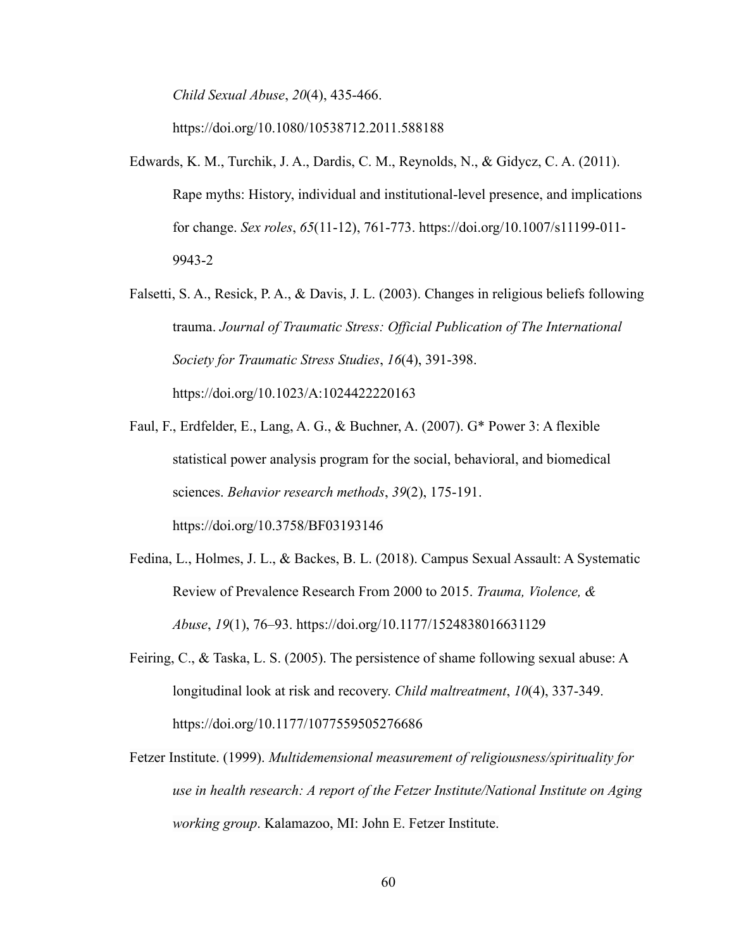*Child Sexual Abuse*, *20*(4), 435-466.

https://doi.org/10.1080/10538712.2011.588188

- Edwards, K. M., Turchik, J. A., Dardis, C. M., Reynolds, N., & Gidycz, C. A. (2011). Rape myths: History, individual and institutional-level presence, and implications for change. *Sex roles*, *65*(11-12), 761-773. https://doi.org/10.1007/s11199-011- 9943-2
- Falsetti, S. A., Resick, P. A., & Davis, J. L. (2003). Changes in religious beliefs following trauma. *Journal of Traumatic Stress: Official Publication of The International Society for Traumatic Stress Studies*, *16*(4), 391-398. https://doi.org/10.1023/A:1024422220163
- Faul, F., Erdfelder, E., Lang, A. G., & Buchner, A. (2007). G\* Power 3: A flexible statistical power analysis program for the social, behavioral, and biomedical sciences. *Behavior research methods*, *39*(2), 175-191. https://doi.org/10.3758/BF03193146
- Fedina, L., Holmes, J. L., & Backes, B. L. (2018). Campus Sexual Assault: A Systematic Review of Prevalence Research From 2000 to 2015. *Trauma, Violence, & Abuse*, *19*(1), 76–93. https://doi.org/10.1177/1524838016631129
- Feiring, C., & Taska, L. S. (2005). The persistence of shame following sexual abuse: A longitudinal look at risk and recovery. *Child maltreatment*, *10*(4), 337-349. https://doi.org/10.1177/1077559505276686
- Fetzer Institute. (1999). *Multidemensional measurement of religiousness/spirituality for use in health research: A report of the Fetzer Institute/National Institute on Aging working group*. Kalamazoo, MI: John E. Fetzer Institute.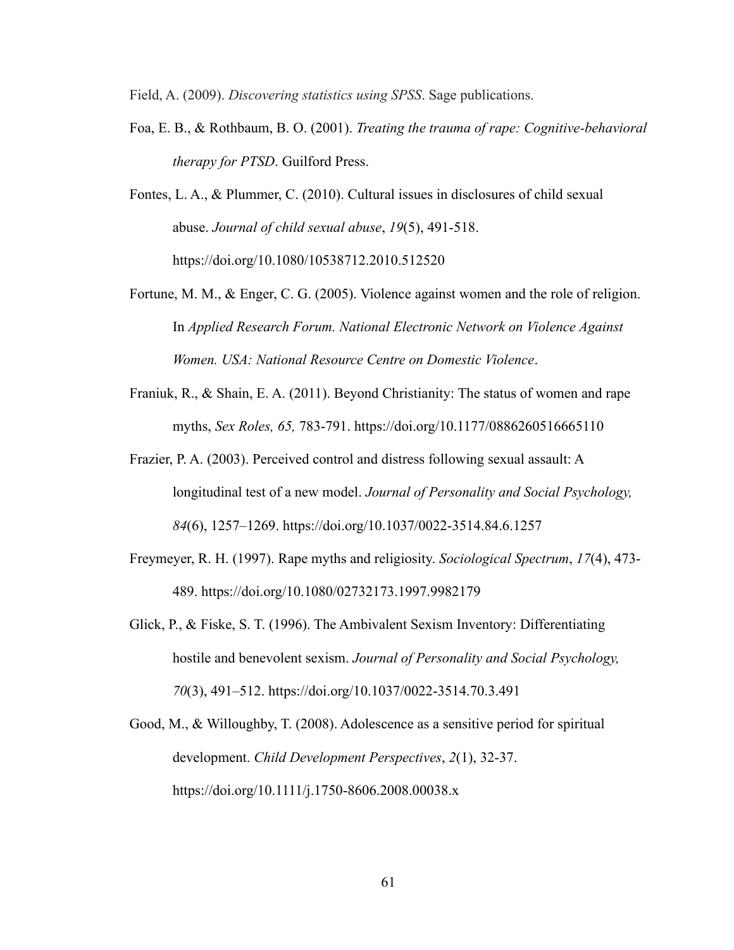Field, A. (2009). *Discovering statistics using SPSS*. Sage publications.

- Foa, E. B., & Rothbaum, B. O. (2001). *Treating the trauma of rape: Cognitive-behavioral therapy for PTSD*. Guilford Press.
- Fontes, L. A., & Plummer, C. (2010). Cultural issues in disclosures of child sexual abuse. *Journal of child sexual abuse*, *19*(5), 491-518. https://doi.org/10.1080/10538712.2010.512520
- Fortune, M. M., & Enger, C. G. (2005). Violence against women and the role of religion. In *Applied Research Forum. National Electronic Network on Violence Against Women. USA: National Resource Centre on Domestic Violence*.
- Franiuk, R., & Shain, E. A. (2011). Beyond Christianity: The status of women and rape myths, *Sex Roles, 65,* 783-791. https://doi.org/10.1177/0886260516665110
- Frazier, P. A. (2003). Perceived control and distress following sexual assault: A longitudinal test of a new model. *Journal of Personality and Social Psychology, 84*(6), 1257–1269. https://doi.org/10.1037/0022-3514.84.6.1257
- Freymeyer, R. H. (1997). Rape myths and religiosity. *Sociological Spectrum*, *17*(4), 473- 489. https://doi.org/10.1080/02732173.1997.9982179
- Glick, P., & Fiske, S. T. (1996). The Ambivalent Sexism Inventory: Differentiating hostile and benevolent sexism. *Journal of Personality and Social Psychology, 70*(3), 491–512. https://doi.org/10.1037/0022-3514.70.3.491
- Good, M., & Willoughby, T. (2008). Adolescence as a sensitive period for spiritual development. *Child Development Perspectives*, *2*(1), 32-37. https://doi.org/10.1111/j.1750-8606.2008.00038.x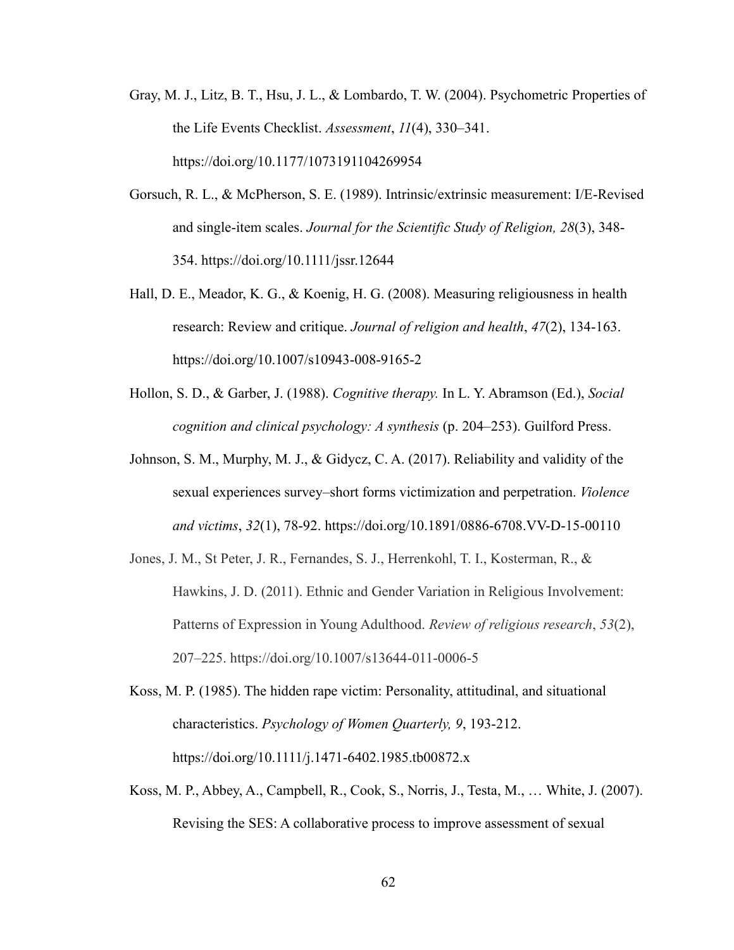- Gray, M. J., Litz, B. T., Hsu, J. L., & Lombardo, T. W. (2004). Psychometric Properties of the Life Events Checklist. *Assessment*, *11*(4), 330–341. https://doi.org/10.1177/1073191104269954
- Gorsuch, R. L., & McPherson, S. E. (1989). Intrinsic/extrinsic measurement: I/E-Revised and single-item scales. *Journal for the Scientific Study of Religion, 28*(3), 348- 354. https://doi.org/10.1111/jssr.12644
- Hall, D. E., Meador, K. G., & Koenig, H. G. (2008). Measuring religiousness in health research: Review and critique. *Journal of religion and health*, *47*(2), 134-163. https://doi.org/10.1007/s10943-008-9165-2
- Hollon, S. D., & Garber, J. (1988). *Cognitive therapy.* In L. Y. Abramson (Ed.), *Social cognition and clinical psychology: A synthesis* (p. 204–253). Guilford Press.
- Johnson, S. M., Murphy, M. J., & Gidycz, C. A. (2017). Reliability and validity of the sexual experiences survey–short forms victimization and perpetration. *Violence and victims*, *32*(1), 78-92. https://doi.org/10.1891/0886-6708.VV-D-15-00110
- Jones, J. M., St Peter, J. R., Fernandes, S. J., Herrenkohl, T. I., Kosterman, R., & Hawkins, J. D. (2011). Ethnic and Gender Variation in Religious Involvement: Patterns of Expression in Young Adulthood. *Review of religious research*, *53*(2), 207–225. https://doi.org/10.1007/s13644-011-0006-5
- Koss, M. P. (1985). The hidden rape victim: Personality, attitudinal, and situational characteristics. *Psychology of Women Quarterly, 9*, 193-212. https://doi.org/10.1111/j.1471-6402.1985.tb00872.x
- Koss, M. P., Abbey, A., Campbell, R., Cook, S., Norris, J., Testa, M., … White, J. (2007). Revising the SES: A collaborative process to improve assessment of sexual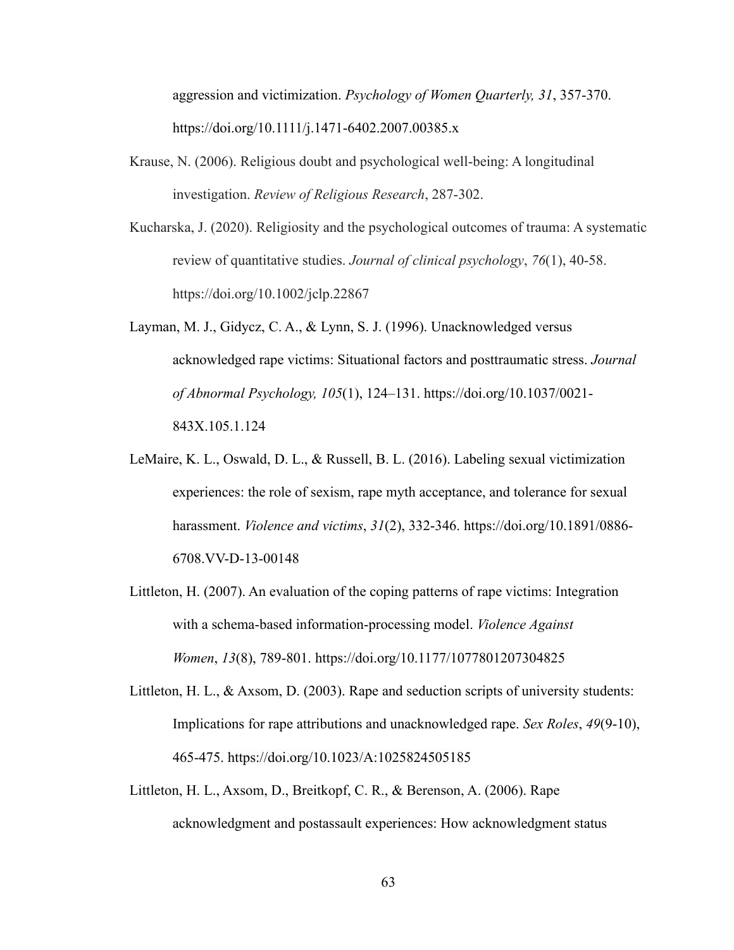aggression and victimization. *Psychology of Women Quarterly, 31*, 357-370. https://doi.org/10.1111/j.1471-6402.2007.00385.x

- Krause, N. (2006). Religious doubt and psychological well-being: A longitudinal investigation. *Review of Religious Research*, 287-302.
- Kucharska, J. (2020). Religiosity and the psychological outcomes of trauma: A systematic review of quantitative studies. *Journal of clinical psychology*, *76*(1), 40-58. https://doi.org/10.1002/jclp.22867
- Layman, M. J., Gidycz, C. A., & Lynn, S. J. (1996). Unacknowledged versus acknowledged rape victims: Situational factors and posttraumatic stress. *Journal of Abnormal Psychology, 105*(1), 124–131. https://doi.org/10.1037/0021- 843X.105.1.124
- LeMaire, K. L., Oswald, D. L., & Russell, B. L. (2016). Labeling sexual victimization experiences: the role of sexism, rape myth acceptance, and tolerance for sexual harassment. *Violence and victims*, *31*(2), 332-346. https://doi.org/10.1891/0886- 6708.VV-D-13-00148
- Littleton, H. (2007). An evaluation of the coping patterns of rape victims: Integration with a schema-based information-processing model. *Violence Against Women*, *13*(8), 789-801. https://doi.org/10.1177/1077801207304825
- Littleton, H. L., & Axsom, D. (2003). Rape and seduction scripts of university students: Implications for rape attributions and unacknowledged rape. *Sex Roles*, *49*(9-10), 465-475. https://doi.org/10.1023/A:1025824505185
- Littleton, H. L., Axsom, D., Breitkopf, C. R., & Berenson, A. (2006). Rape acknowledgment and postassault experiences: How acknowledgment status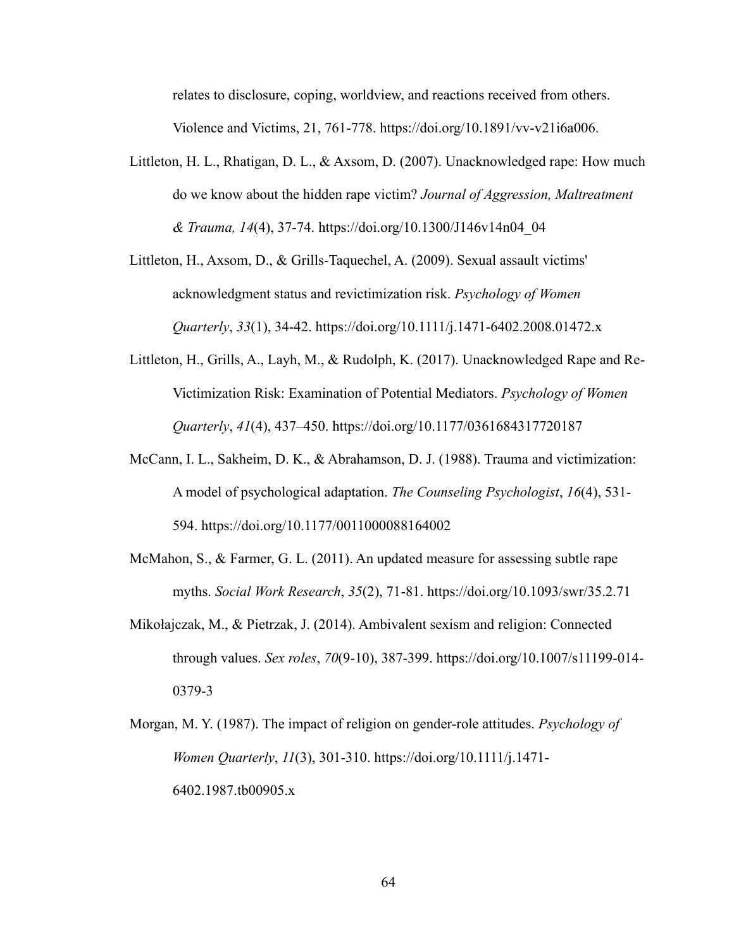relates to disclosure, coping, worldview, and reactions received from others. Violence and Victims, 21, 761-778. https://doi.org/10.1891/vv-v21i6a006.

- Littleton, H. L., Rhatigan, D. L., & Axsom, D. (2007). Unacknowledged rape: How much do we know about the hidden rape victim? *Journal of Aggression, Maltreatment & Trauma, 14*(4), 37-74. https://doi.org/10.1300/J146v14n04\_04
- Littleton, H., Axsom, D., & Grills-Taquechel, A. (2009). Sexual assault victims' acknowledgment status and revictimization risk. *Psychology of Women Quarterly*, *33*(1), 34-42. https://doi.org/10.1111/j.1471-6402.2008.01472.x
- Littleton, H., Grills, A., Layh, M., & Rudolph, K. (2017). Unacknowledged Rape and Re-Victimization Risk: Examination of Potential Mediators. *Psychology of Women Quarterly*, *41*(4), 437–450. https://doi.org/10.1177/0361684317720187
- McCann, I. L., Sakheim, D. K., & Abrahamson, D. J. (1988). Trauma and victimization: A model of psychological adaptation. *The Counseling Psychologist*, *16*(4), 531- 594. https://doi.org/10.1177/0011000088164002
- McMahon, S., & Farmer, G. L. (2011). An updated measure for assessing subtle rape myths. *Social Work Research*, *35*(2), 71-81. https://doi.org/10.1093/swr/35.2.71
- Mikołajczak, M., & Pietrzak, J. (2014). Ambivalent sexism and religion: Connected through values. *Sex roles*, *70*(9-10), 387-399. https://doi.org/10.1007/s11199-014- 0379-3
- Morgan, M. Y. (1987). The impact of religion on gender-role attitudes. *Psychology of Women Quarterly*, *11*(3), 301-310. https://doi.org/10.1111/j.1471- 6402.1987.tb00905.x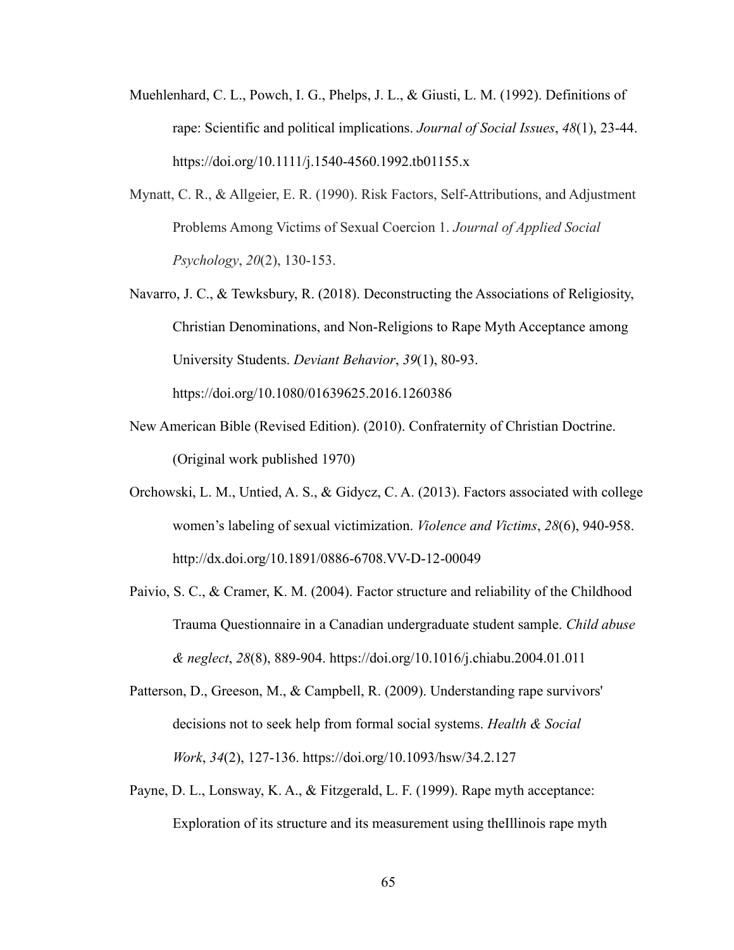- Muehlenhard, C. L., Powch, I. G., Phelps, J. L., & Giusti, L. M. (1992). Definitions of rape: Scientific and political implications. *Journal of Social Issues*, *48*(1), 23-44. https://doi.org/10.1111/j.1540-4560.1992.tb01155.x
- Mynatt, C. R., & Allgeier, E. R. (1990). Risk Factors, Self‐Attributions, and Adjustment Problems Among Victims of Sexual Coercion 1. *Journal of Applied Social Psychology*, *20*(2), 130-153.
- Navarro, J. C., & Tewksbury, R. (2018). Deconstructing the Associations of Religiosity, Christian Denominations, and Non-Religions to Rape Myth Acceptance among University Students. *Deviant Behavior*, *39*(1), 80-93. https://doi.org/10.1080/01639625.2016.1260386
- New American Bible (Revised Edition). (2010). Confraternity of Christian Doctrine. (Original work published 1970)
- Orchowski, L. M., Untied, A. S., & Gidycz, C. A. (2013). Factors associated with college women's labeling of sexual victimization. *Violence and Victims*, *28*(6), 940-958. http://dx.doi.org/10.1891/0886-6708.VV-D-12-00049
- Paivio, S. C., & Cramer, K. M. (2004). Factor structure and reliability of the Childhood Trauma Questionnaire in a Canadian undergraduate student sample. *Child abuse & neglect*, *28*(8), 889-904. https://doi.org/10.1016/j.chiabu.2004.01.011
- Patterson, D., Greeson, M., & Campbell, R. (2009). Understanding rape survivors' decisions not to seek help from formal social systems. *Health & Social Work*, *34*(2), 127-136. https://doi.org/10.1093/hsw/34.2.127
- Payne, D. L., Lonsway, K. A., & Fitzgerald, L. F. (1999). Rape myth acceptance: Exploration of its structure and its measurement using theIllinois rape myth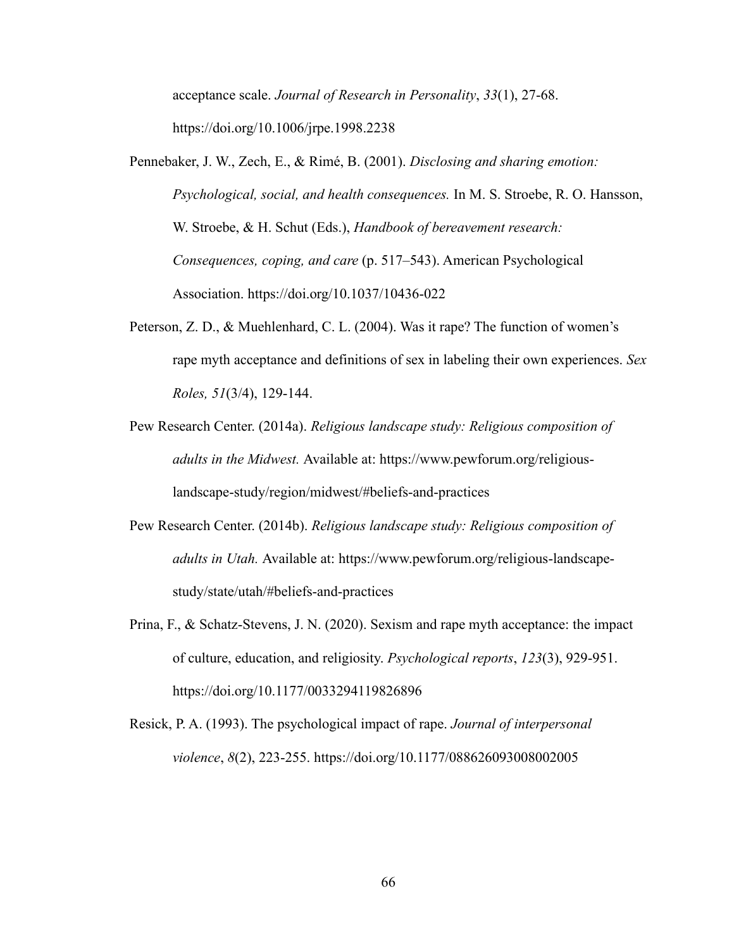acceptance scale. *Journal of Research in Personality*, *33*(1), 27-68. https://doi.org/10.1006/jrpe.1998.2238

- Pennebaker, J. W., Zech, E., & Rimé, B. (2001). *Disclosing and sharing emotion: Psychological, social, and health consequences.* In M. S. Stroebe, R. O. Hansson, W. Stroebe, & H. Schut (Eds.), *Handbook of bereavement research: Consequences, coping, and care* (p. 517–543). American Psychological Association. https://doi.org/10.1037/10436-022
- Peterson, Z. D., & Muehlenhard, C. L. (2004). Was it rape? The function of women's rape myth acceptance and definitions of sex in labeling their own experiences. *Sex Roles, 51*(3/4), 129-144.
- Pew Research Center. (2014a). *Religious landscape study: Religious composition of adults in the Midwest.* Available at: https://www.pewforum.org/religiouslandscape-study/region/midwest/#beliefs-and-practices
- Pew Research Center. (2014b). *Religious landscape study: Religious composition of adults in Utah.* Available at: https://www.pewforum.org/religious-landscapestudy/state/utah/#beliefs-and-practices
- Prina, F., & Schatz-Stevens, J. N. (2020). Sexism and rape myth acceptance: the impact of culture, education, and religiosity. *Psychological reports*, *123*(3), 929-951. https://doi.org/10.1177/0033294119826896
- Resick, P. A. (1993). The psychological impact of rape. *Journal of interpersonal violence*, *8*(2), 223-255. https://doi.org/10.1177/088626093008002005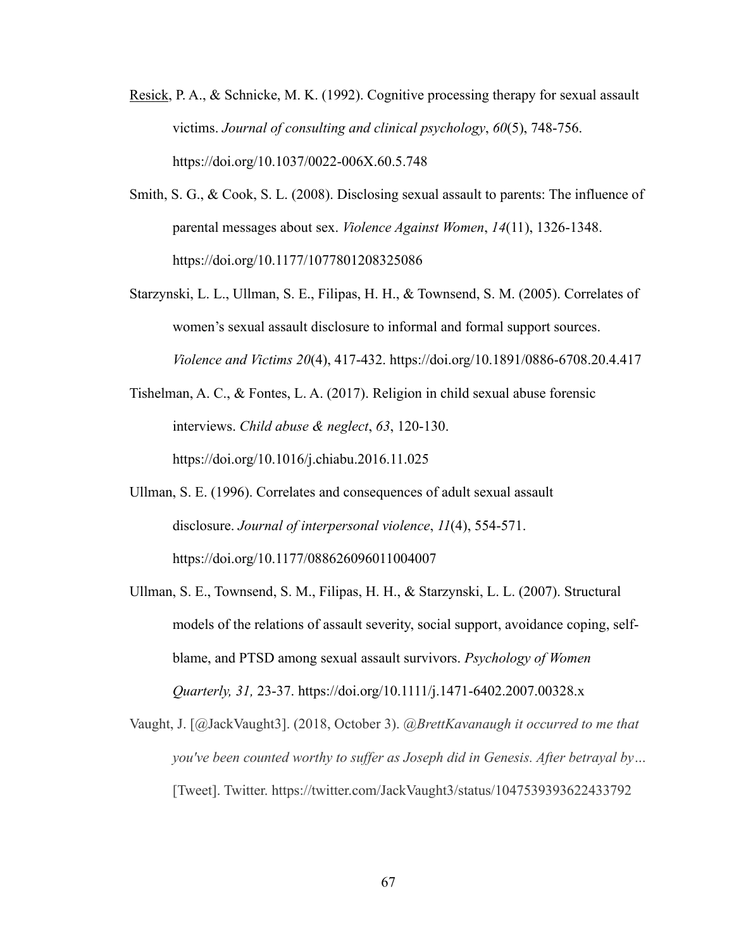- Resick, P. A., & Schnicke, M. K. (1992). Cognitive processing therapy for sexual assault victims. *Journal of consulting and clinical psychology*, *60*(5), 748-756. https://doi.org/10.1037/0022-006X.60.5.748
- Smith, S. G., & Cook, S. L. (2008). Disclosing sexual assault to parents: The influence of parental messages about sex. *Violence Against Women*, *14*(11), 1326-1348. https://doi.org/10.1177/1077801208325086
- Starzynski, L. L., Ullman, S. E., Filipas, H. H., & Townsend, S. M. (2005). Correlates of women's sexual assault disclosure to informal and formal support sources. *Violence and Victims 20*(4), 417-432. https://doi.org/10.1891/0886-6708.20.4.417
- Tishelman, A. C., & Fontes, L. A. (2017). Religion in child sexual abuse forensic interviews. *Child abuse & neglect*, *63*, 120-130. https://doi.org/10.1016/j.chiabu.2016.11.025
- Ullman, S. E. (1996). Correlates and consequences of adult sexual assault disclosure. *Journal of interpersonal violence*, *11*(4), 554-571. https://doi.org/10.1177/088626096011004007
- Ullman, S. E., Townsend, S. M., Filipas, H. H., & Starzynski, L. L. (2007). Structural models of the relations of assault severity, social support, avoidance coping, selfblame, and PTSD among sexual assault survivors. *Psychology of Women Quarterly, 31,* 23-37. https://doi.org/10.1111/j.1471-6402.2007.00328.x
- Vaught, J. [@JackVaught3]. (2018, October 3). *@BrettKavanaugh it occurred to me that you've been counted worthy to suffer as Joseph did in Genesis. After betrayal by…* [Tweet]. Twitter. https://twitter.com/JackVaught3/status/1047539393622433792